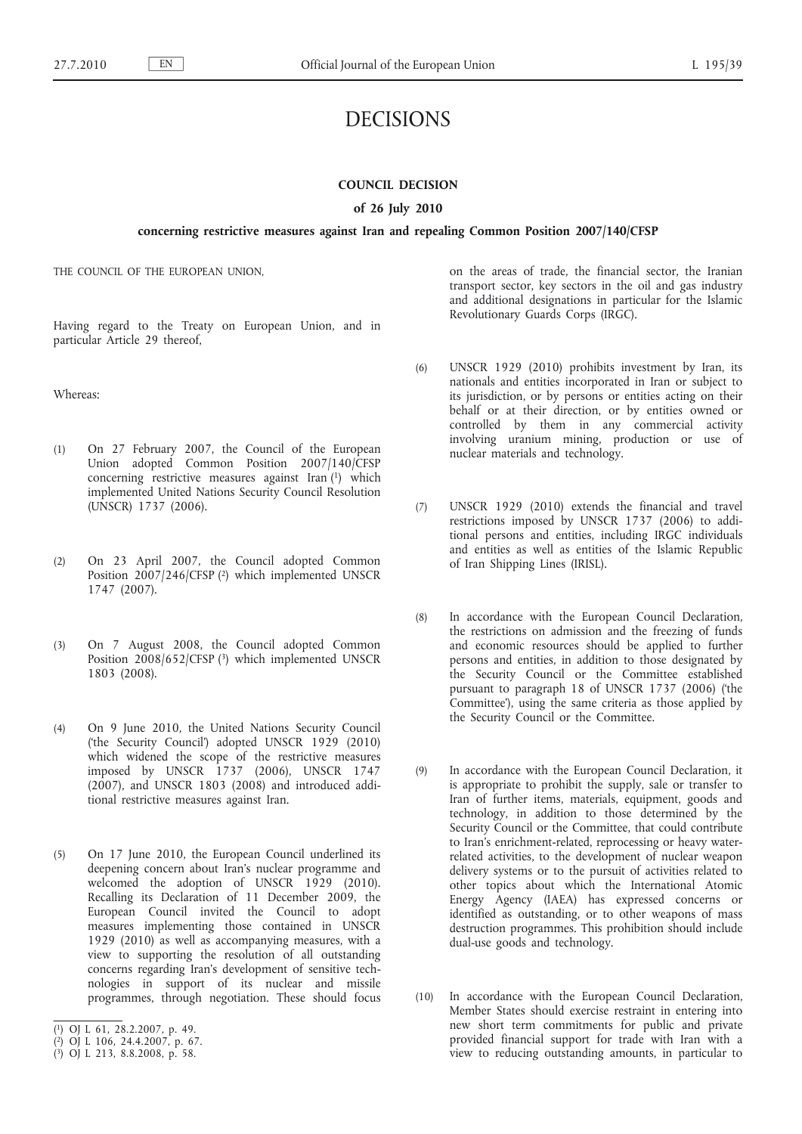# DECISIONS

## **COUNCIL DECISION**

#### **of 26 July 2010**

#### **concerning restrictive measures against Iran and repealing Common Position 2007/140/CFSP**

THE COUNCIL OF THE EUROPEAN UNION,

Having regard to the Treaty on European Union, and in particular Article 29 thereof,

Whereas:

- (1) On 27 February 2007, the Council of the European Union adopted Common Position 2007/140/CFSP concerning restrictive measures against Iran (1) which implemented United Nations Security Council Resolution (UNSCR) 1737 (2006).
- (2) On 23 April 2007, the Council adopted Common Position 2007/246/CFSP (2) which implemented UNSCR 1747 (2007).
- (3) On 7 August 2008, the Council adopted Common Position 2008/652/CFSP <sup>(3)</sup> which implemented UNSCR 1803 (2008).
- (4) On 9 June 2010, the United Nations Security Council ('the Security Council') adopted UNSCR 1929 (2010) which widened the scope of the restrictive measures imposed by UNSCR 1737 (2006), UNSCR 1747 (2007), and UNSCR 1803 (2008) and introduced additional restrictive measures against Iran.
- (5) On 17 June 2010, the European Council underlined its deepening concern about Iran's nuclear programme and welcomed the adoption of UNSCR 1929 (2010). Recalling its Declaration of 11 December 2009, the European Council invited the Council to adopt measures implementing those contained in UNSCR 1929 (2010) as well as accompanying measures, with a view to supporting the resolution of all outstanding concerns regarding Iran's development of sensitive technologies in support of its nuclear and missile programmes, through negotiation. These should focus
- ( 1) OJ L 61, 28.2.2007, p. 49.
- ( 2) OJ L 106, 24.4.2007, p. 67.

on the areas of trade, the financial sector, the Iranian transport sector, key sectors in the oil and gas industry and additional designations in particular for the Islamic Revolutionary Guards Corps (IRGC).

- (6) UNSCR 1929 (2010) prohibits investment by Iran, its nationals and entities incorporated in Iran or subject to its jurisdiction, or by persons or entities acting on their behalf or at their direction, or by entities owned or controlled by them in any commercial activity involving uranium mining, production or use of nuclear materials and technology.
- (7) UNSCR 1929 (2010) extends the financial and travel restrictions imposed by UNSCR 1737 (2006) to additional persons and entities, including IRGC individuals and entities as well as entities of the Islamic Republic of Iran Shipping Lines (IRISL).
- (8) In accordance with the European Council Declaration, the restrictions on admission and the freezing of funds and economic resources should be applied to further persons and entities, in addition to those designated by the Security Council or the Committee established pursuant to paragraph 18 of UNSCR 1737 (2006) ('the Committee'), using the same criteria as those applied by the Security Council or the Committee.
- (9) In accordance with the European Council Declaration, it is appropriate to prohibit the supply, sale or transfer to Iran of further items, materials, equipment, goods and technology, in addition to those determined by the Security Council or the Committee, that could contribute to Iran's enrichment-related, reprocessing or heavy waterrelated activities, to the development of nuclear weapon delivery systems or to the pursuit of activities related to other topics about which the International Atomic Energy Agency (IAEA) has expressed concerns or identified as outstanding, or to other weapons of mass destruction programmes. This prohibition should include dual-use goods and technology.
- (10) In accordance with the European Council Declaration, Member States should exercise restraint in entering into new short term commitments for public and private provided financial support for trade with Iran with a view to reducing outstanding amounts, in particular to

<sup>(</sup> 3) OJ L 213, 8.8.2008, p. 58.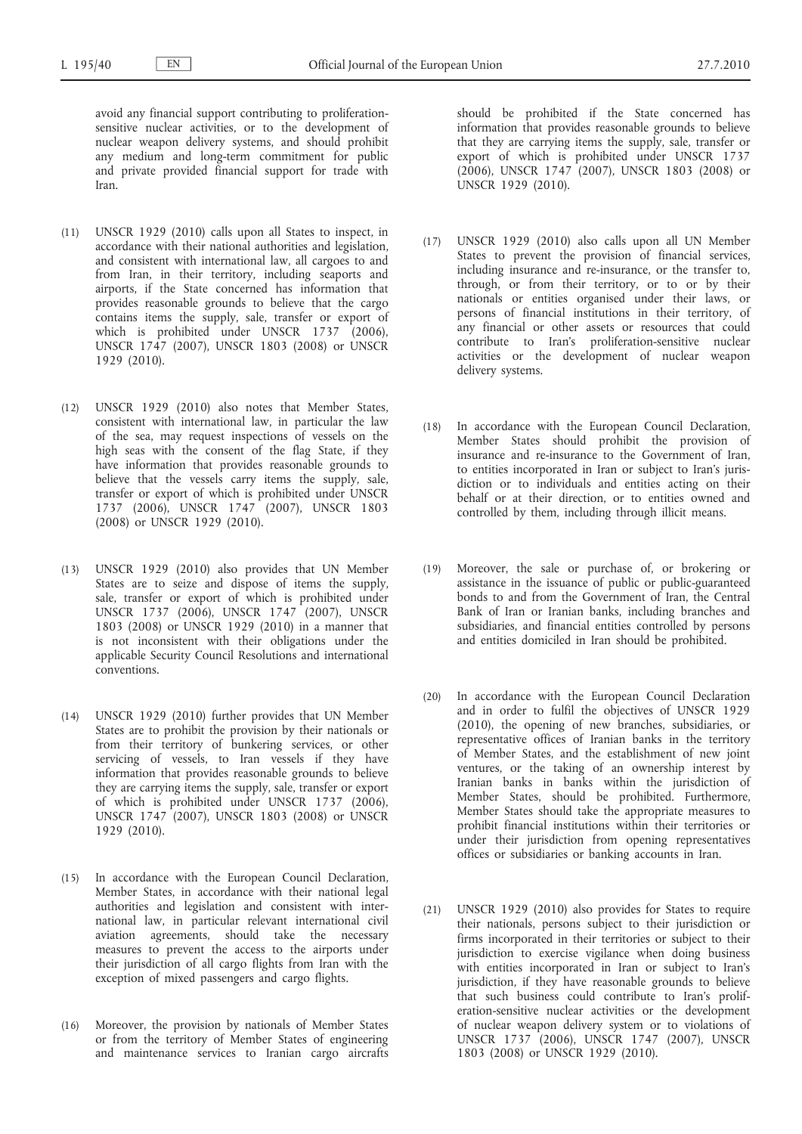avoid any financial support contributing to proliferationsensitive nuclear activities, or to the development of nuclear weapon delivery systems, and should prohibit any medium and long-term commitment for public and private provided financial support for trade with Iran.

- (11) UNSCR 1929 (2010) calls upon all States to inspect, in accordance with their national authorities and legislation, and consistent with international law, all cargoes to and from Iran, in their territory, including seaports and airports, if the State concerned has information that provides reasonable grounds to believe that the cargo contains items the supply, sale, transfer or export of which is prohibited under UNSCR 1737 (2006), UNSCR 1747 (2007), UNSCR 1803 (2008) or UNSCR 1929 (2010).
- (12) UNSCR 1929 (2010) also notes that Member States, consistent with international law, in particular the law of the sea, may request inspections of vessels on the high seas with the consent of the flag State, if they have information that provides reasonable grounds to believe that the vessels carry items the supply, sale, transfer or export of which is prohibited under UNSCR 1737 (2006), UNSCR 1747 (2007), UNSCR 1803 (2008) or UNSCR 1929 (2010).
- (13) UNSCR 1929 (2010) also provides that UN Member States are to seize and dispose of items the supply, sale, transfer or export of which is prohibited under UNSCR 1737 (2006), UNSCR 1747 (2007), UNSCR 1803 (2008) or UNSCR 1929 (2010) in a manner that is not inconsistent with their obligations under the applicable Security Council Resolutions and international conventions.
- (14) UNSCR 1929 (2010) further provides that UN Member States are to prohibit the provision by their nationals or from their territory of bunkering services, or other servicing of vessels, to Iran vessels if they have information that provides reasonable grounds to believe they are carrying items the supply, sale, transfer or export of which is prohibited under UNSCR 1737 (2006), UNSCR 1747 (2007), UNSCR 1803 (2008) or UNSCR 1929 (2010).
- (15) In accordance with the European Council Declaration, Member States, in accordance with their national legal authorities and legislation and consistent with international law, in particular relevant international civil aviation agreements, should take the necessary measures to prevent the access to the airports under their jurisdiction of all cargo flights from Iran with the exception of mixed passengers and cargo flights.
- (16) Moreover, the provision by nationals of Member States or from the territory of Member States of engineering and maintenance services to Iranian cargo aircrafts

should be prohibited if the State concerned has information that provides reasonable grounds to believe that they are carrying items the supply, sale, transfer or export of which is prohibited under UNSCR 1737 (2006), UNSCR 1747 (2007), UNSCR 1803 (2008) or UNSCR 1929 (2010).

- (17) UNSCR 1929 (2010) also calls upon all UN Member States to prevent the provision of financial services, including insurance and re-insurance, or the transfer to, through, or from their territory, or to or by their nationals or entities organised under their laws, or persons of financial institutions in their territory, of any financial or other assets or resources that could contribute to Iran's proliferation-sensitive nuclear activities or the development of nuclear weapon delivery systems.
- (18) In accordance with the European Council Declaration, Member States should prohibit the provision of insurance and re-insurance to the Government of Iran, to entities incorporated in Iran or subject to Iran's jurisdiction or to individuals and entities acting on their behalf or at their direction, or to entities owned and controlled by them, including through illicit means.
- (19) Moreover, the sale or purchase of, or brokering or assistance in the issuance of public or public-guaranteed bonds to and from the Government of Iran, the Central Bank of Iran or Iranian banks, including branches and subsidiaries, and financial entities controlled by persons and entities domiciled in Iran should be prohibited.
- (20) In accordance with the European Council Declaration and in order to fulfil the objectives of UNSCR 1929 (2010), the opening of new branches, subsidiaries, or representative offices of Iranian banks in the territory of Member States, and the establishment of new joint ventures, or the taking of an ownership interest by Iranian banks in banks within the jurisdiction of Member States, should be prohibited. Furthermore, Member States should take the appropriate measures to prohibit financial institutions within their territories or under their jurisdiction from opening representatives offices or subsidiaries or banking accounts in Iran.
- (21) UNSCR 1929 (2010) also provides for States to require their nationals, persons subject to their jurisdiction or firms incorporated in their territories or subject to their jurisdiction to exercise vigilance when doing business with entities incorporated in Iran or subject to Iran's jurisdiction, if they have reasonable grounds to believe that such business could contribute to Iran's proliferation-sensitive nuclear activities or the development of nuclear weapon delivery system or to violations of UNSCR 1737 (2006), UNSCR 1747 (2007), UNSCR 1803 (2008) or UNSCR 1929 (2010).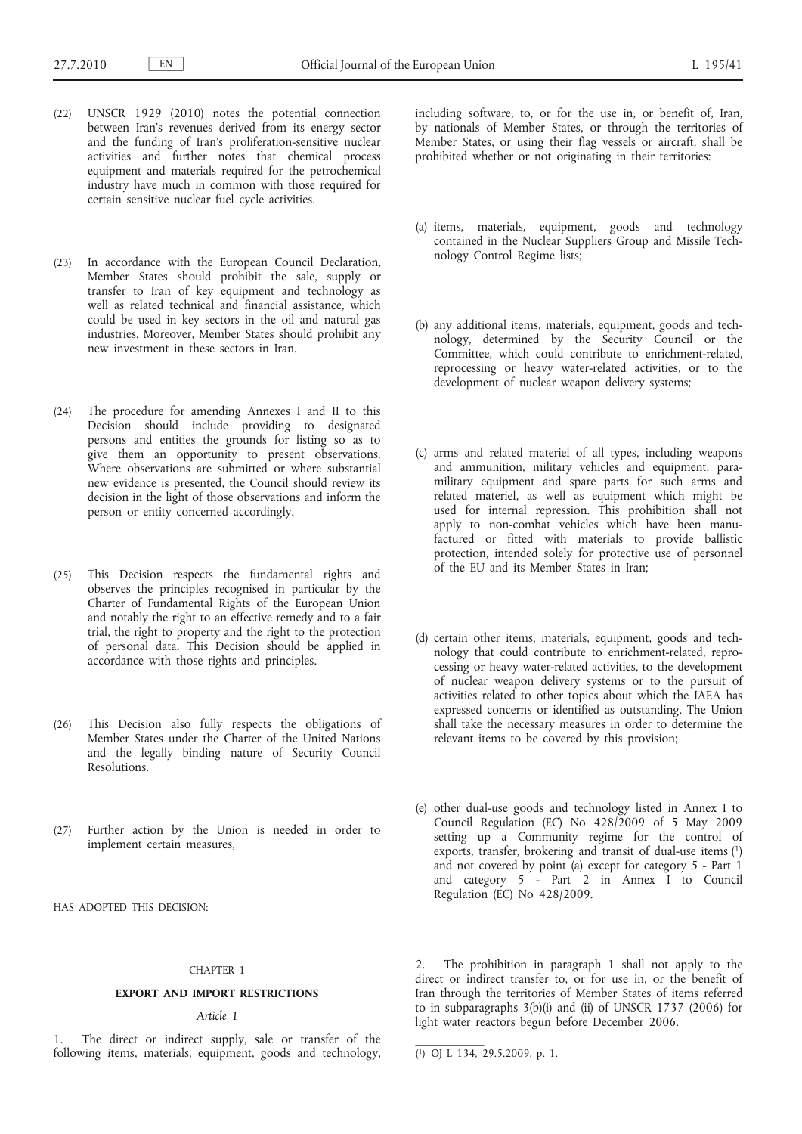- (22) UNSCR 1929 (2010) notes the potential connection between Iran's revenues derived from its energy sector and the funding of Iran's proliferation-sensitive nuclear activities and further notes that chemical process equipment and materials required for the petrochemical industry have much in common with those required for certain sensitive nuclear fuel cycle activities.
- (23) In accordance with the European Council Declaration, Member States should prohibit the sale, supply or transfer to Iran of key equipment and technology as well as related technical and financial assistance, which could be used in key sectors in the oil and natural gas industries. Moreover, Member States should prohibit any new investment in these sectors in Iran.
- (24) The procedure for amending Annexes I and II to this Decision should include providing to designated persons and entities the grounds for listing so as to give them an opportunity to present observations. Where observations are submitted or where substantial new evidence is presented, the Council should review its decision in the light of those observations and inform the person or entity concerned accordingly.
- (25) This Decision respects the fundamental rights and observes the principles recognised in particular by the Charter of Fundamental Rights of the European Union and notably the right to an effective remedy and to a fair trial, the right to property and the right to the protection of personal data. This Decision should be applied in accordance with those rights and principles.
- (26) This Decision also fully respects the obligations of Member States under the Charter of the United Nations and the legally binding nature of Security Council Resolutions.
- (27) Further action by the Union is needed in order to implement certain measures,

HAS ADOPTED THIS DECISION:

#### CHAPTER 1

## **EXPORT AND IMPORT RESTRICTIONS**

## *Article 1*

The direct or indirect supply, sale or transfer of the following items, materials, equipment, goods and technology, including software, to, or for the use in, or benefit of, Iran, by nationals of Member States, or through the territories of Member States, or using their flag vessels or aircraft, shall be prohibited whether or not originating in their territories:

- (a) items, materials, equipment, goods and technology contained in the Nuclear Suppliers Group and Missile Technology Control Regime lists;
- (b) any additional items, materials, equipment, goods and technology, determined by the Security Council or the Committee, which could contribute to enrichment-related, reprocessing or heavy water-related activities, or to the development of nuclear weapon delivery systems;
- (c) arms and related materiel of all types, including weapons and ammunition, military vehicles and equipment, paramilitary equipment and spare parts for such arms and related materiel, as well as equipment which might be used for internal repression. This prohibition shall not apply to non-combat vehicles which have been manufactured or fitted with materials to provide ballistic protection, intended solely for protective use of personnel of the EU and its Member States in Iran;
- (d) certain other items, materials, equipment, goods and technology that could contribute to enrichment-related, reprocessing or heavy water-related activities, to the development of nuclear weapon delivery systems or to the pursuit of activities related to other topics about which the IAEA has expressed concerns or identified as outstanding. The Union shall take the necessary measures in order to determine the relevant items to be covered by this provision;
- (e) other dual-use goods and technology listed in Annex I to Council Regulation (EC) No  $428\frac{30}{2009}$  of 5 May 2009 setting up a Community regime for the control of exports, transfer, brokering and transit of dual-use items (1) and not covered by point (a) except for category 5 - Part 1 and category 5 - Part 2 in Annex I to Council Regulation (EC) No 428/2009.

2. The prohibition in paragraph 1 shall not apply to the direct or indirect transfer to, or for use in, or the benefit of Iran through the territories of Member States of items referred to in subparagraphs 3(b)(i) and (ii) of UNSCR 1737 (2006) for light water reactors begun before December 2006.

<sup>(</sup> 1) OJ L 134, 29.5.2009, p. 1.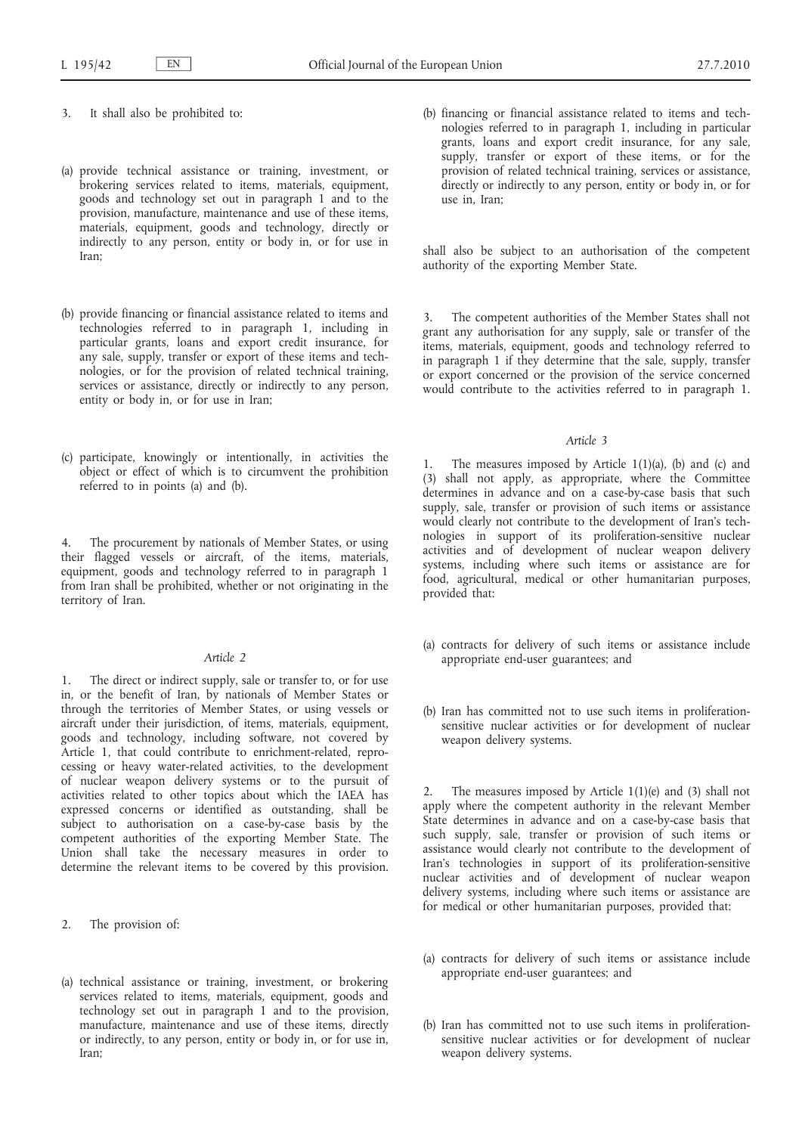- 3. It shall also be prohibited to:
- (a) provide technical assistance or training, investment, or brokering services related to items, materials, equipment, goods and technology set out in paragraph 1 and to the provision, manufacture, maintenance and use of these items, materials, equipment, goods and technology, directly or indirectly to any person, entity or body in, or for use in Iran;
- (b) provide financing or financial assistance related to items and technologies referred to in paragraph 1, including in particular grants, loans and export credit insurance, for any sale, supply, transfer or export of these items and technologies, or for the provision of related technical training, services or assistance, directly or indirectly to any person, entity or body in, or for use in Iran;
- (c) participate, knowingly or intentionally, in activities the object or effect of which is to circumvent the prohibition referred to in points (a) and (b).

The procurement by nationals of Member States, or using their flagged vessels or aircraft, of the items, materials, equipment, goods and technology referred to in paragraph 1 from Iran shall be prohibited, whether or not originating in the territory of Iran.

#### *Article 2*

1. The direct or indirect supply, sale or transfer to, or for use in, or the benefit of Iran, by nationals of Member States or through the territories of Member States, or using vessels or aircraft under their jurisdiction, of items, materials, equipment, goods and technology, including software, not covered by Article 1, that could contribute to enrichment-related, reprocessing or heavy water-related activities, to the development of nuclear weapon delivery systems or to the pursuit of activities related to other topics about which the IAEA has expressed concerns or identified as outstanding, shall be subject to authorisation on a case-by-case basis by the competent authorities of the exporting Member State. The Union shall take the necessary measures in order to determine the relevant items to be covered by this provision.

- 2. The provision of:
- (a) technical assistance or training, investment, or brokering services related to items, materials, equipment, goods and technology set out in paragraph 1 and to the provision, manufacture, maintenance and use of these items, directly or indirectly, to any person, entity or body in, or for use in, Iran;

(b) financing or financial assistance related to items and technologies referred to in paragraph 1, including in particular grants, loans and export credit insurance, for any sale, supply, transfer or export of these items, or for the provision of related technical training, services or assistance, directly or indirectly to any person, entity or body in, or for use in, Iran;

shall also be subject to an authorisation of the competent authority of the exporting Member State.

3. The competent authorities of the Member States shall not grant any authorisation for any supply, sale or transfer of the items, materials, equipment, goods and technology referred to in paragraph 1 if they determine that the sale, supply, transfer or export concerned or the provision of the service concerned would contribute to the activities referred to in paragraph 1.

#### *Article 3*

The measures imposed by Article  $1(1)(a)$ , (b) and (c) and (3) shall not apply, as appropriate, where the Committee determines in advance and on a case-by-case basis that such supply, sale, transfer or provision of such items or assistance would clearly not contribute to the development of Iran's technologies in support of its proliferation-sensitive nuclear activities and of development of nuclear weapon delivery systems, including where such items or assistance are for food, agricultural, medical or other humanitarian purposes, provided that:

- (a) contracts for delivery of such items or assistance include appropriate end-user guarantees; and
- (b) Iran has committed not to use such items in proliferationsensitive nuclear activities or for development of nuclear weapon delivery systems.

The measures imposed by Article  $1(1)(e)$  and  $(3)$  shall not apply where the competent authority in the relevant Member State determines in advance and on a case-by-case basis that such supply, sale, transfer or provision of such items or assistance would clearly not contribute to the development of Iran's technologies in support of its proliferation-sensitive nuclear activities and of development of nuclear weapon delivery systems, including where such items or assistance are for medical or other humanitarian purposes, provided that:

- (a) contracts for delivery of such items or assistance include appropriate end-user guarantees; and
- (b) Iran has committed not to use such items in proliferationsensitive nuclear activities or for development of nuclear weapon delivery systems.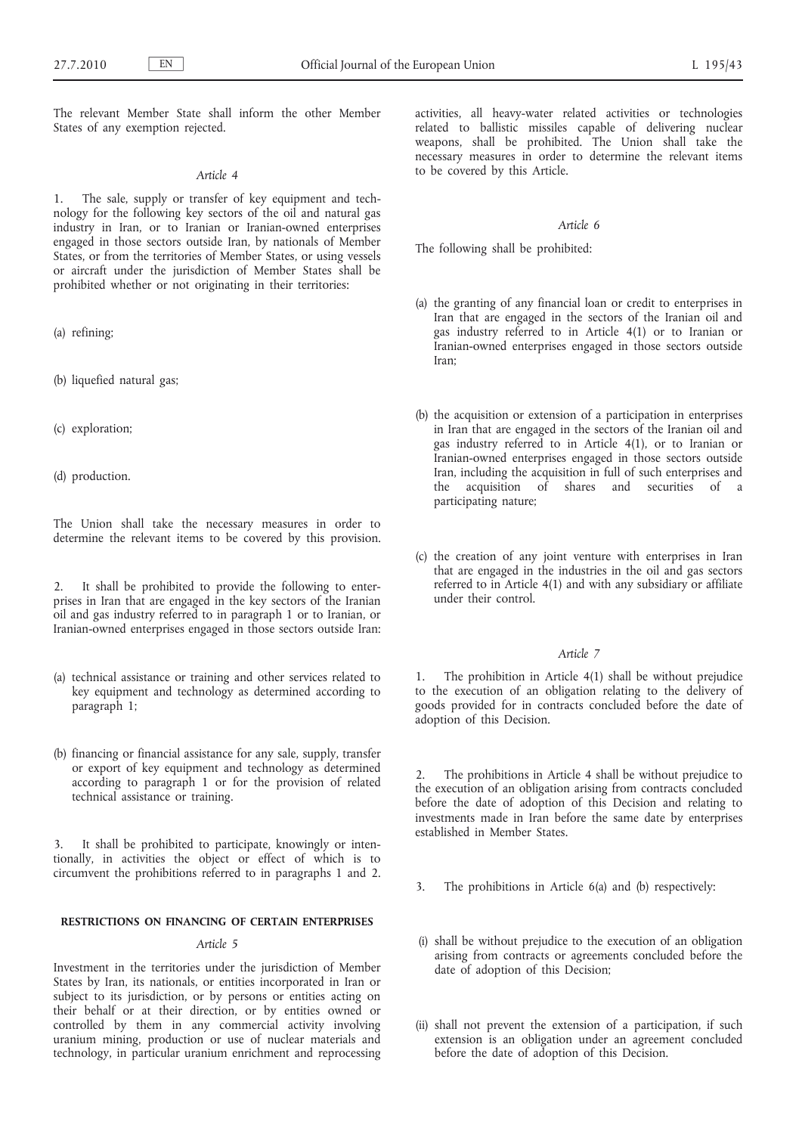The relevant Member State shall inform the other Member States of any exemption rejected.

#### *Article 4*

1. The sale, supply or transfer of key equipment and technology for the following key sectors of the oil and natural gas industry in Iran, or to Iranian or Iranian-owned enterprises engaged in those sectors outside Iran, by nationals of Member States, or from the territories of Member States, or using vessels or aircraft under the jurisdiction of Member States shall be prohibited whether or not originating in their territories:

(a) refining;

- (b) liquefied natural gas;
- (c) exploration;
- (d) production.

The Union shall take the necessary measures in order to determine the relevant items to be covered by this provision.

2. It shall be prohibited to provide the following to enterprises in Iran that are engaged in the key sectors of the Iranian oil and gas industry referred to in paragraph 1 or to Iranian, or Iranian-owned enterprises engaged in those sectors outside Iran:

- (a) technical assistance or training and other services related to key equipment and technology as determined according to paragraph 1;
- (b) financing or financial assistance for any sale, supply, transfer or export of key equipment and technology as determined according to paragraph 1 or for the provision of related technical assistance or training.

It shall be prohibited to participate, knowingly or intentionally, in activities the object or effect of which is to circumvent the prohibitions referred to in paragraphs 1 and 2.

## **RESTRICTIONS ON FINANCING OF CERTAIN ENTERPRISES**

#### *Article 5*

Investment in the territories under the jurisdiction of Member States by Iran, its nationals, or entities incorporated in Iran or subject to its jurisdiction, or by persons or entities acting on their behalf or at their direction, or by entities owned or controlled by them in any commercial activity involving uranium mining, production or use of nuclear materials and technology, in particular uranium enrichment and reprocessing activities, all heavy-water related activities or technologies related to ballistic missiles capable of delivering nuclear weapons, shall be prohibited. The Union shall take the necessary measures in order to determine the relevant items to be covered by this Article.

#### *Article 6*

The following shall be prohibited:

- (a) the granting of any financial loan or credit to enterprises in Iran that are engaged in the sectors of the Iranian oil and gas industry referred to in Article 4(1) or to Iranian or Iranian-owned enterprises engaged in those sectors outside Iran;
- (b) the acquisition or extension of a participation in enterprises in Iran that are engaged in the sectors of the Iranian oil and gas industry referred to in Article 4(1), or to Iranian or Iranian-owned enterprises engaged in those sectors outside Iran, including the acquisition in full of such enterprises and the acquisition of shares and securities of a participating nature;
- (c) the creation of any joint venture with enterprises in Iran that are engaged in the industries in the oil and gas sectors referred to in Article 4(1) and with any subsidiary or affiliate under their control.

## *Article 7*

1. The prohibition in Article 4(1) shall be without prejudice to the execution of an obligation relating to the delivery of goods provided for in contracts concluded before the date of adoption of this Decision.

The prohibitions in Article 4 shall be without prejudice to the execution of an obligation arising from contracts concluded before the date of adoption of this Decision and relating to investments made in Iran before the same date by enterprises established in Member States.

- 3. The prohibitions in Article 6(a) and (b) respectively:
- (i) shall be without prejudice to the execution of an obligation arising from contracts or agreements concluded before the date of adoption of this Decision;
- (ii) shall not prevent the extension of a participation, if such extension is an obligation under an agreement concluded before the date of adoption of this Decision.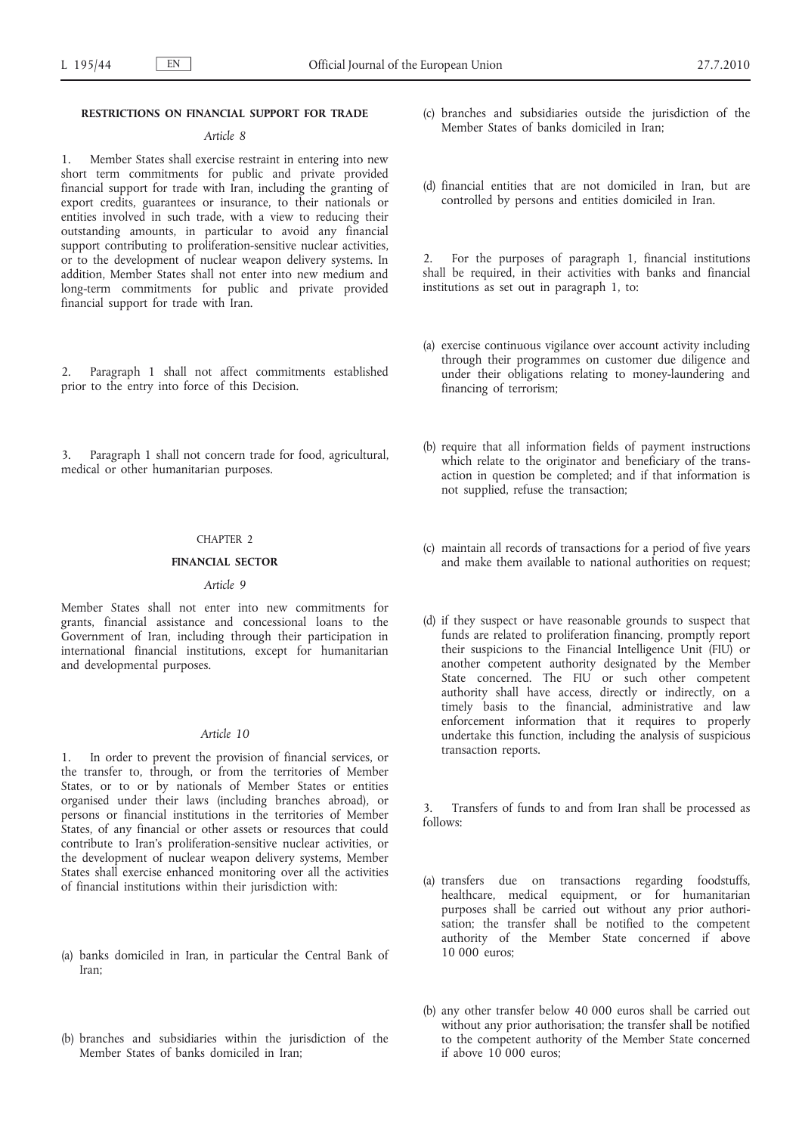#### **RESTRICTIONS ON FINANCIAL SUPPORT FOR TRADE**

#### *Article 8*

1. Member States shall exercise restraint in entering into new short term commitments for public and private provided financial support for trade with Iran, including the granting of export credits, guarantees or insurance, to their nationals or entities involved in such trade, with a view to reducing their outstanding amounts, in particular to avoid any financial support contributing to proliferation-sensitive nuclear activities, or to the development of nuclear weapon delivery systems. In addition, Member States shall not enter into new medium and long-term commitments for public and private provided financial support for trade with Iran.

2. Paragraph 1 shall not affect commitments established prior to the entry into force of this Decision.

3. Paragraph 1 shall not concern trade for food, agricultural, medical or other humanitarian purposes.

#### CHAPTER 2

#### **FINANCIAL SECTOR**

## *Article 9*

Member States shall not enter into new commitments for grants, financial assistance and concessional loans to the Government of Iran, including through their participation in international financial institutions, except for humanitarian and developmental purposes.

## *Article 10*

1. In order to prevent the provision of financial services, or the transfer to, through, or from the territories of Member States, or to or by nationals of Member States or entities organised under their laws (including branches abroad), or persons or financial institutions in the territories of Member States, of any financial or other assets or resources that could contribute to Iran's proliferation-sensitive nuclear activities, or the development of nuclear weapon delivery systems, Member States shall exercise enhanced monitoring over all the activities of financial institutions within their jurisdiction with:

- (a) banks domiciled in Iran, in particular the Central Bank of Iran;
- (b) branches and subsidiaries within the jurisdiction of the Member States of banks domiciled in Iran;
- (c) branches and subsidiaries outside the jurisdiction of the Member States of banks domiciled in Iran;
- (d) financial entities that are not domiciled in Iran, but are controlled by persons and entities domiciled in Iran.

2. For the purposes of paragraph 1, financial institutions shall be required, in their activities with banks and financial institutions as set out in paragraph 1, to:

- (a) exercise continuous vigilance over account activity including through their programmes on customer due diligence and under their obligations relating to money-laundering and financing of terrorism;
- (b) require that all information fields of payment instructions which relate to the originator and beneficiary of the transaction in question be completed; and if that information is not supplied, refuse the transaction;
- (c) maintain all records of transactions for a period of five years and make them available to national authorities on request;
- (d) if they suspect or have reasonable grounds to suspect that funds are related to proliferation financing, promptly report their suspicions to the Financial Intelligence Unit (FIU) or another competent authority designated by the Member State concerned. The FIU or such other competent authority shall have access, directly or indirectly, on a timely basis to the financial, administrative and law enforcement information that it requires to properly undertake this function, including the analysis of suspicious transaction reports.

3. Transfers of funds to and from Iran shall be processed as follows:

- (a) transfers due on transactions regarding foodstuffs, healthcare, medical equipment, or for humanitarian purposes shall be carried out without any prior authorisation; the transfer shall be notified to the competent authority of the Member State concerned if above 10 000 euros;
- (b) any other transfer below 40 000 euros shall be carried out without any prior authorisation; the transfer shall be notified to the competent authority of the Member State concerned if above  $10000$  euros;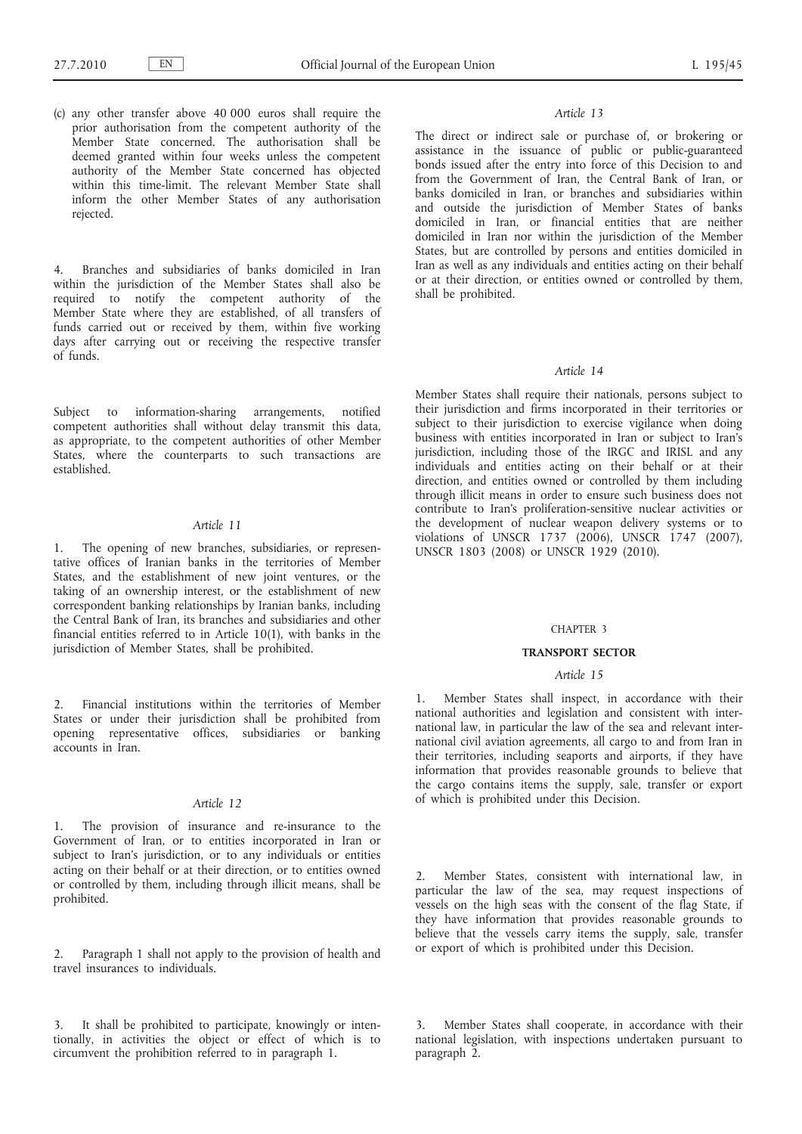(c) any other transfer above 40 000 euros shall require the prior authorisation from the competent authority of the Member State concerned. The authorisation shall be deemed granted within four weeks unless the competent authority of the Member State concerned has objected within this time-limit. The relevant Member State shall inform the other Member States of any authorisation rejected.

4. Branches and subsidiaries of banks domiciled in Iran within the jurisdiction of the Member States shall also be required to notify the competent authority of the Member State where they are established, of all transfers of funds carried out or received by them, within five working days after carrying out or receiving the respective transfer of funds.

Subject to information-sharing arrangements, notified competent authorities shall without delay transmit this data, as appropriate, to the competent authorities of other Member States, where the counterparts to such transactions are established.

#### *Article 11*

1. The opening of new branches, subsidiaries, or representative offices of Iranian banks in the territories of Member States, and the establishment of new joint ventures, or the taking of an ownership interest, or the establishment of new correspondent banking relationships by Iranian banks, including the Central Bank of Iran, its branches and subsidiaries and other financial entities referred to in Article 10(1), with banks in the jurisdiction of Member States, shall be prohibited.

2. Financial institutions within the territories of Member States or under their jurisdiction shall be prohibited from opening representative offices, subsidiaries or banking accounts in Iran.

## *Article 12*

1. The provision of insurance and re-insurance to the Government of Iran, or to entities incorporated in Iran or subject to Iran's jurisdiction, or to any individuals or entities acting on their behalf or at their direction, or to entities owned or controlled by them, including through illicit means, shall be prohibited.

2. Paragraph 1 shall not apply to the provision of health and travel insurances to individuals.

3. It shall be prohibited to participate, knowingly or intentionally, in activities the object or effect of which is to circumvent the prohibition referred to in paragraph 1.

#### *Article 13*

The direct or indirect sale or purchase of, or brokering or assistance in the issuance of public or public-guaranteed bonds issued after the entry into force of this Decision to and from the Government of Iran, the Central Bank of Iran, or banks domiciled in Iran, or branches and subsidiaries within and outside the jurisdiction of Member States of banks domiciled in Iran, or financial entities that are neither domiciled in Iran nor within the jurisdiction of the Member States, but are controlled by persons and entities domiciled in Iran as well as any individuals and entities acting on their behalf or at their direction, or entities owned or controlled by them, shall be prohibited.

#### *Article 14*

Member States shall require their nationals, persons subject to their jurisdiction and firms incorporated in their territories or subject to their jurisdiction to exercise vigilance when doing business with entities incorporated in Iran or subject to Iran's jurisdiction, including those of the IRGC and IRISL and any individuals and entities acting on their behalf or at their direction, and entities owned or controlled by them including through illicit means in order to ensure such business does not contribute to Iran's proliferation-sensitive nuclear activities or the development of nuclear weapon delivery systems or to violations of UNSCR 1737 (2006), UNSCR 1747 (2007), UNSCR 1803 (2008) or UNSCR 1929 (2010).

## CHAPTER 3

#### **TRANSPORT SECTOR**

#### *Article 15*

1. Member States shall inspect, in accordance with their national authorities and legislation and consistent with international law, in particular the law of the sea and relevant international civil aviation agreements, all cargo to and from Iran in their territories, including seaports and airports, if they have information that provides reasonable grounds to believe that the cargo contains items the supply, sale, transfer or export of which is prohibited under this Decision.

2. Member States, consistent with international law, in particular the law of the sea, may request inspections of vessels on the high seas with the consent of the flag State, if they have information that provides reasonable grounds to believe that the vessels carry items the supply, sale, transfer or export of which is prohibited under this Decision.

3. Member States shall cooperate, in accordance with their national legislation, with inspections undertaken pursuant to paragraph 2.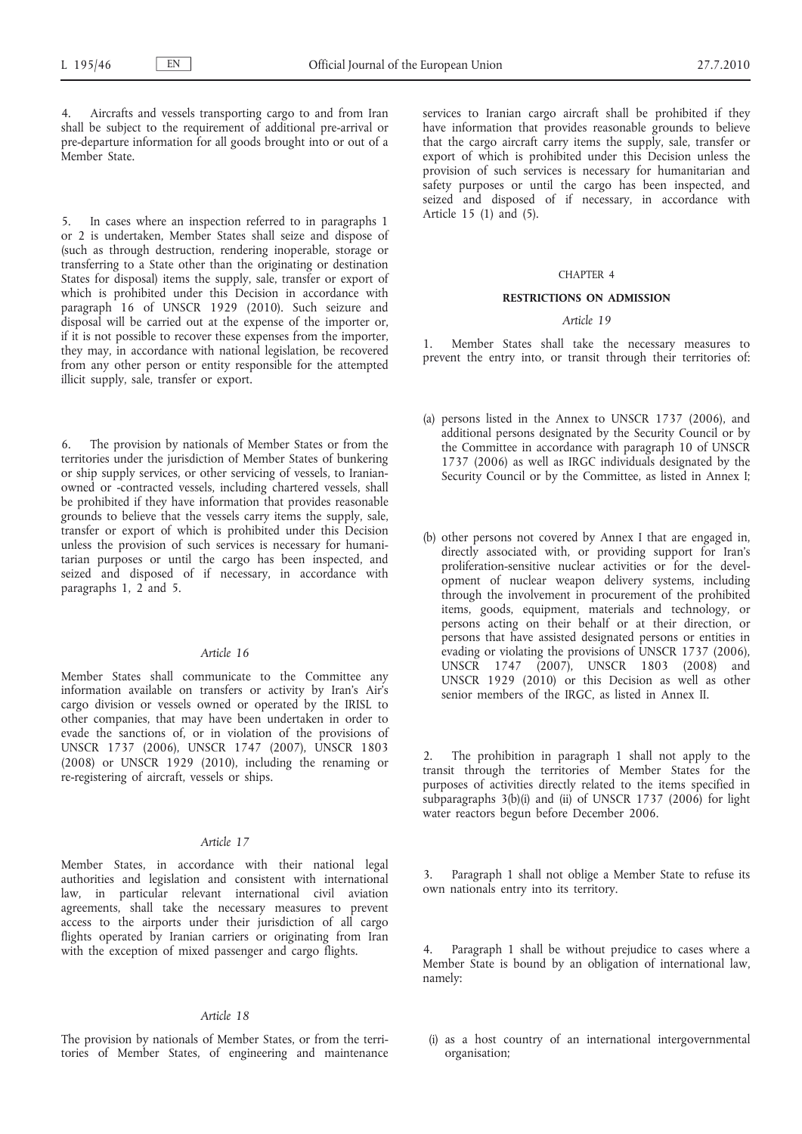Aircrafts and vessels transporting cargo to and from Iran shall be subject to the requirement of additional pre-arrival or pre-departure information for all goods brought into or out of a Member State.

5. In cases where an inspection referred to in paragraphs 1 or 2 is undertaken, Member States shall seize and dispose of (such as through destruction, rendering inoperable, storage or transferring to a State other than the originating or destination States for disposal) items the supply, sale, transfer or export of which is prohibited under this Decision in accordance with paragraph 16 of UNSCR 1929 (2010). Such seizure and disposal will be carried out at the expense of the importer or, if it is not possible to recover these expenses from the importer, they may, in accordance with national legislation, be recovered from any other person or entity responsible for the attempted illicit supply, sale, transfer or export.

6. The provision by nationals of Member States or from the territories under the jurisdiction of Member States of bunkering or ship supply services, or other servicing of vessels, to Iranianowned or -contracted vessels, including chartered vessels, shall be prohibited if they have information that provides reasonable grounds to believe that the vessels carry items the supply, sale, transfer or export of which is prohibited under this Decision unless the provision of such services is necessary for humanitarian purposes or until the cargo has been inspected, and seized and disposed of if necessary, in accordance with paragraphs 1, 2 and 5.

#### *Article 16*

Member States shall communicate to the Committee any information available on transfers or activity by Iran's Air's cargo division or vessels owned or operated by the IRISL to other companies, that may have been undertaken in order to evade the sanctions of, or in violation of the provisions of UNSCR 1737 (2006), UNSCR 1747 (2007), UNSCR 1803 (2008) or UNSCR 1929 (2010), including the renaming or re-registering of aircraft, vessels or ships.

#### *Article 17*

Member States, in accordance with their national legal authorities and legislation and consistent with international law, in particular relevant international civil aviation agreements, shall take the necessary measures to prevent access to the airports under their jurisdiction of all cargo flights operated by Iranian carriers or originating from Iran with the exception of mixed passenger and cargo flights.

## *Article 18*

The provision by nationals of Member States, or from the territories of Member States, of engineering and maintenance services to Iranian cargo aircraft shall be prohibited if they have information that provides reasonable grounds to believe that the cargo aircraft carry items the supply, sale, transfer or export of which is prohibited under this Decision unless the provision of such services is necessary for humanitarian and safety purposes or until the cargo has been inspected, and seized and disposed of if necessary, in accordance with Article 15 (1) and (5).

#### CHAPTER 4

#### **RESTRICTIONS ON ADMISSION**

### *Article 19*

1. Member States shall take the necessary measures to prevent the entry into, or transit through their territories of:

- (a) persons listed in the Annex to UNSCR 1737 (2006), and additional persons designated by the Security Council or by the Committee in accordance with paragraph 10 of UNSCR 1737 (2006) as well as IRGC individuals designated by the Security Council or by the Committee, as listed in Annex I;
- (b) other persons not covered by Annex I that are engaged in, directly associated with, or providing support for Iran's proliferation-sensitive nuclear activities or for the development of nuclear weapon delivery systems, including through the involvement in procurement of the prohibited items, goods, equipment, materials and technology, or persons acting on their behalf or at their direction, or persons that have assisted designated persons or entities in evading or violating the provisions of UNSCR 1737 (2006), UNSCR 1747 (2007), UNSCR 1803 (2008) and UNSCR 1929 (2010) or this Decision as well as other senior members of the IRGC, as listed in Annex II.

2. The prohibition in paragraph 1 shall not apply to the transit through the territories of Member States for the purposes of activities directly related to the items specified in subparagraphs 3(b)(i) and (ii) of UNSCR 1737 (2006) for light water reactors begun before December 2006.

3. Paragraph 1 shall not oblige a Member State to refuse its own nationals entry into its territory.

Paragraph 1 shall be without prejudice to cases where a Member State is bound by an obligation of international law, namely:

(i) as a host country of an international intergovernmental organisation;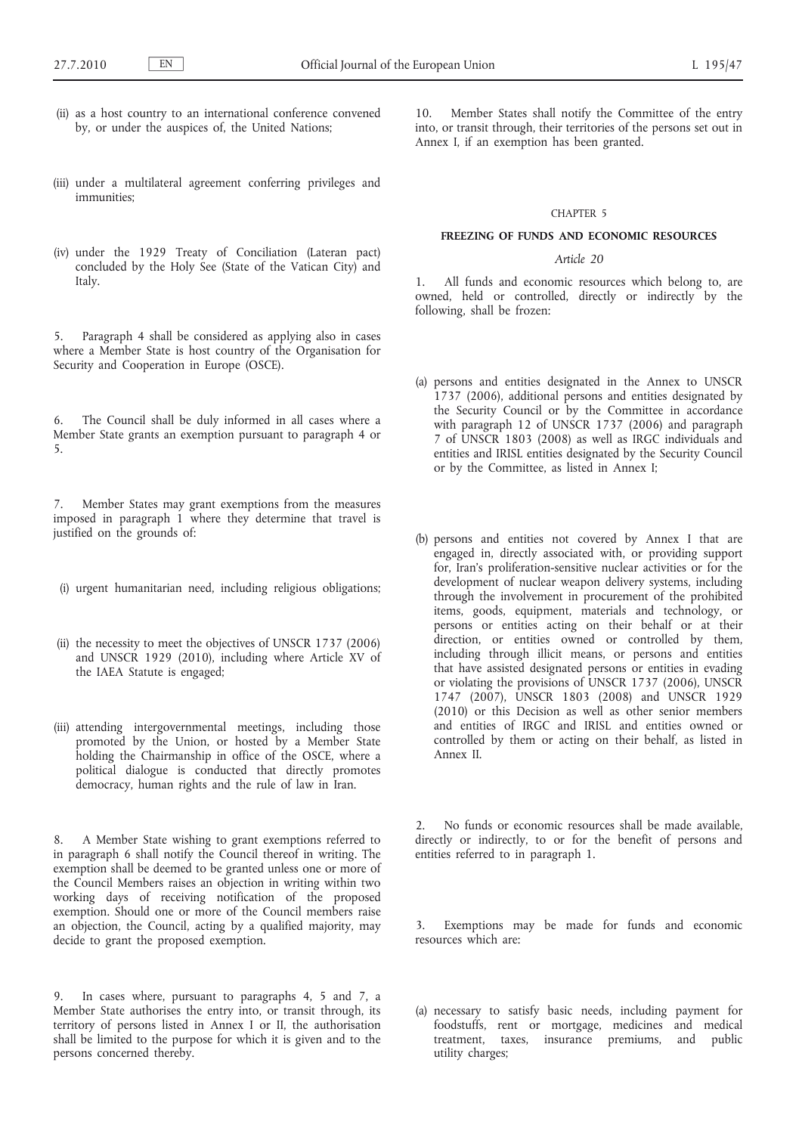- (ii) as a host country to an international conference convened by, or under the auspices of, the United Nations;
- (iii) under a multilateral agreement conferring privileges and immunities;
- (iv) under the 1929 Treaty of Conciliation (Lateran pact) concluded by the Holy See (State of the Vatican City) and Italy.

5. Paragraph 4 shall be considered as applying also in cases where a Member State is host country of the Organisation for Security and Cooperation in Europe (OSCE).

6. The Council shall be duly informed in all cases where a Member State grants an exemption pursuant to paragraph 4 or 5.

7. Member States may grant exemptions from the measures imposed in paragraph 1 where they determine that travel is justified on the grounds of:

- (i) urgent humanitarian need, including religious obligations;
- (ii) the necessity to meet the objectives of UNSCR 1737 (2006) and UNSCR 1929 (2010), including where Article XV of the IAEA Statute is engaged;
- (iii) attending intergovernmental meetings, including those promoted by the Union, or hosted by a Member State holding the Chairmanship in office of the OSCE, where a political dialogue is conducted that directly promotes democracy, human rights and the rule of law in Iran.

8. A Member State wishing to grant exemptions referred to in paragraph 6 shall notify the Council thereof in writing. The exemption shall be deemed to be granted unless one or more of the Council Members raises an objection in writing within two working days of receiving notification of the proposed exemption. Should one or more of the Council members raise an objection, the Council, acting by a qualified majority, may decide to grant the proposed exemption.

9. In cases where, pursuant to paragraphs 4, 5 and 7, a Member State authorises the entry into, or transit through, its territory of persons listed in Annex I or II, the authorisation shall be limited to the purpose for which it is given and to the persons concerned thereby.

10. Member States shall notify the Committee of the entry into, or transit through, their territories of the persons set out in Annex I, if an exemption has been granted.

#### CHAPTER 5

#### **FREEZING OF FUNDS AND ECONOMIC RESOURCES**

#### *Article 20*

1. All funds and economic resources which belong to, are owned, held or controlled, directly or indirectly by the following, shall be frozen:

- (a) persons and entities designated in the Annex to UNSCR 1737 (2006), additional persons and entities designated by the Security Council or by the Committee in accordance with paragraph 12 of UNSCR 1737 (2006) and paragraph 7 of UNSCR 1803 (2008) as well as IRGC individuals and entities and IRISL entities designated by the Security Council or by the Committee, as listed in Annex I;
- (b) persons and entities not covered by Annex I that are engaged in, directly associated with, or providing support for, Iran's proliferation-sensitive nuclear activities or for the development of nuclear weapon delivery systems, including through the involvement in procurement of the prohibited items, goods, equipment, materials and technology, or persons or entities acting on their behalf or at their direction, or entities owned or controlled by them, including through illicit means, or persons and entities that have assisted designated persons or entities in evading or violating the provisions of UNSCR 1737 (2006), UNSCR 1747 (2007), UNSCR 1803 (2008) and UNSCR 1929 (2010) or this Decision as well as other senior members and entities of IRGC and IRISL and entities owned or controlled by them or acting on their behalf, as listed in Annex II.

2. No funds or economic resources shall be made available, directly or indirectly, to or for the benefit of persons and entities referred to in paragraph 1.

3. Exemptions may be made for funds and economic resources which are:

(a) necessary to satisfy basic needs, including payment for foodstuffs, rent or mortgage, medicines and medical treatment, taxes, insurance premiums, and public utility charges;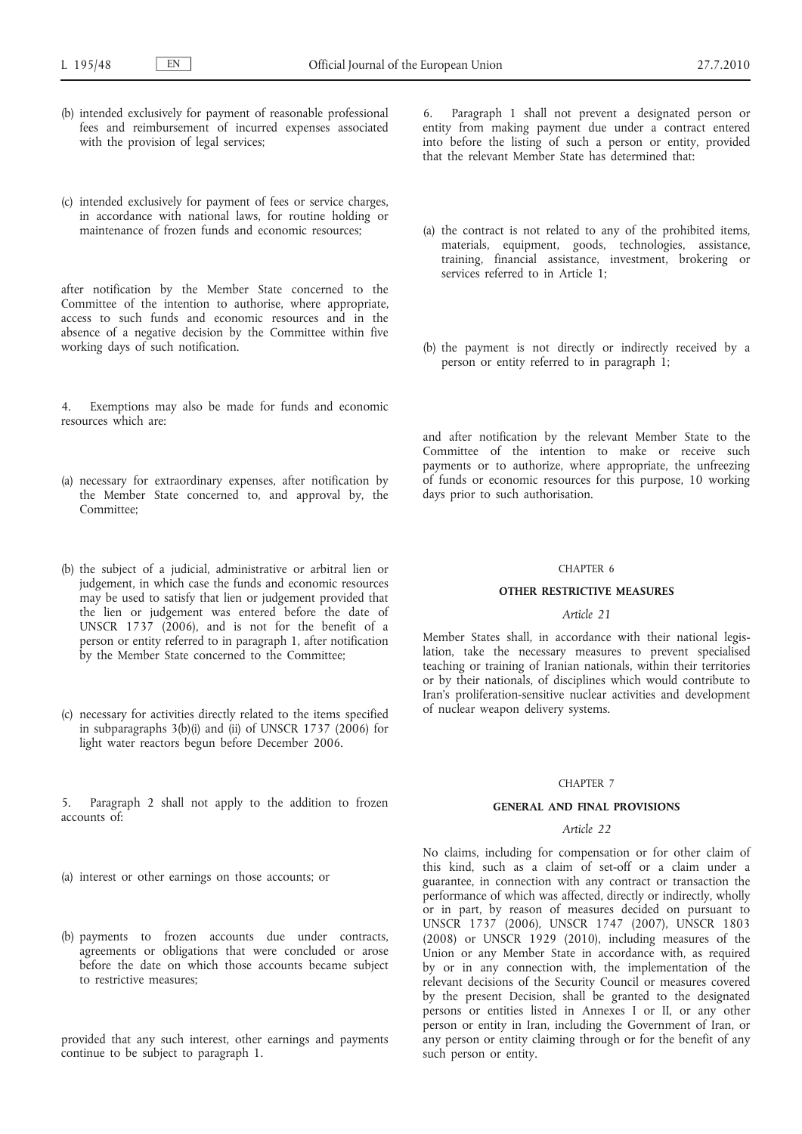- (b) intended exclusively for payment of reasonable professional fees and reimbursement of incurred expenses associated with the provision of legal services;
- (c) intended exclusively for payment of fees or service charges, in accordance with national laws, for routine holding or maintenance of frozen funds and economic resources;

after notification by the Member State concerned to the Committee of the intention to authorise, where appropriate, access to such funds and economic resources and in the absence of a negative decision by the Committee within five working days of such notification.

4. Exemptions may also be made for funds and economic resources which are:

- (a) necessary for extraordinary expenses, after notification by the Member State concerned to, and approval by, the Committee;
- (b) the subject of a judicial, administrative or arbitral lien or judgement, in which case the funds and economic resources may be used to satisfy that lien or judgement provided that the lien or judgement was entered before the date of UNSCR 1737 (2006), and is not for the benefit of a person or entity referred to in paragraph 1, after notification by the Member State concerned to the Committee;
- (c) necessary for activities directly related to the items specified in subparagraphs  $3(b)(i)$  and (ii) of UNSCR 1737 (2006) for light water reactors begun before December 2006.

5. Paragraph 2 shall not apply to the addition to frozen accounts of:

- (a) interest or other earnings on those accounts; or
- (b) payments to frozen accounts due under contracts, agreements or obligations that were concluded or arose before the date on which those accounts became subject to restrictive measures;

provided that any such interest, other earnings and payments continue to be subject to paragraph 1.

6. Paragraph 1 shall not prevent a designated person or entity from making payment due under a contract entered into before the listing of such a person or entity, provided that the relevant Member State has determined that:

- (a) the contract is not related to any of the prohibited items, materials, equipment, goods, technologies, assistance, training, financial assistance, investment, brokering or services referred to in Article 1;
- (b) the payment is not directly or indirectly received by a person or entity referred to in paragraph 1;

and after notification by the relevant Member State to the Committee of the intention to make or receive such payments or to authorize, where appropriate, the unfreezing of funds or economic resources for this purpose, 10 working days prior to such authorisation.

## CHAPTER 6

### **OTHER RESTRICTIVE MEASURES**

#### *Article 21*

Member States shall, in accordance with their national legislation, take the necessary measures to prevent specialised teaching or training of Iranian nationals, within their territories or by their nationals, of disciplines which would contribute to Iran's proliferation-sensitive nuclear activities and development of nuclear weapon delivery systems.

#### CHAPTER 7

#### **GENERAL AND FINAL PROVISIONS**

## *Article 22*

No claims, including for compensation or for other claim of this kind, such as a claim of set-off or a claim under a guarantee, in connection with any contract or transaction the performance of which was affected, directly or indirectly, wholly or in part, by reason of measures decided on pursuant to UNSCR 1737 (2006), UNSCR 1747 (2007), UNSCR 1803 (2008) or UNSCR 1929 (2010), including measures of the Union or any Member State in accordance with, as required by or in any connection with, the implementation of the relevant decisions of the Security Council or measures covered by the present Decision, shall be granted to the designated persons or entities listed in Annexes I or II, or any other person or entity in Iran, including the Government of Iran, or any person or entity claiming through or for the benefit of any such person or entity.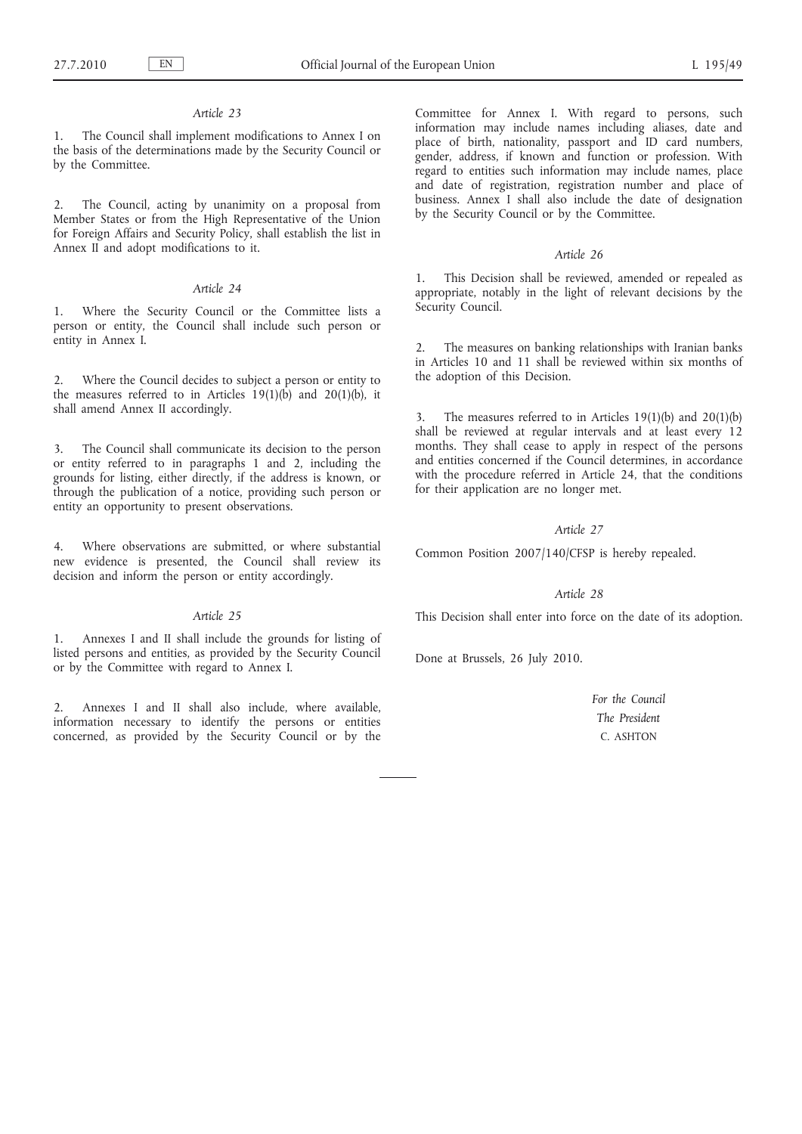#### *Article 23*

1. The Council shall implement modifications to Annex I on the basis of the determinations made by the Security Council or by the Committee.

2. The Council, acting by unanimity on a proposal from Member States or from the High Representative of the Union for Foreign Affairs and Security Policy, shall establish the list in Annex II and adopt modifications to it.

## *Article 24*

1. Where the Security Council or the Committee lists a person or entity, the Council shall include such person or entity in Annex I.

2. Where the Council decides to subject a person or entity to the measures referred to in Articles  $19(1)(b)$  and  $20(1)(b)$ , it shall amend Annex II accordingly.

The Council shall communicate its decision to the person or entity referred to in paragraphs 1 and 2, including the grounds for listing, either directly, if the address is known, or through the publication of a notice, providing such person or entity an opportunity to present observations.

4. Where observations are submitted, or where substantial new evidence is presented, the Council shall review its decision and inform the person or entity accordingly.

#### *Article 25*

Annexes I and II shall include the grounds for listing of listed persons and entities, as provided by the Security Council or by the Committee with regard to Annex I.

2. Annexes I and II shall also include, where available, information necessary to identify the persons or entities concerned, as provided by the Security Council or by the Committee for Annex I. With regard to persons, such information may include names including aliases, date and place of birth, nationality, passport and ID card numbers, gender, address, if known and function or profession. With regard to entities such information may include names, place and date of registration, registration number and place of business. Annex I shall also include the date of designation by the Security Council or by the Committee.

#### *Article 26*

1. This Decision shall be reviewed, amended or repealed as appropriate, notably in the light of relevant decisions by the Security Council.

The measures on banking relationships with Iranian banks in Articles 10 and 11 shall be reviewed within six months of the adoption of this Decision.

3. The measures referred to in Articles 19(1)(b) and 20(1)(b) shall be reviewed at regular intervals and at least every 12 months. They shall cease to apply in respect of the persons and entities concerned if the Council determines, in accordance with the procedure referred in Article 24, that the conditions for their application are no longer met.

## *Article 27*

Common Position 2007/140/CFSP is hereby repealed.

#### *Article 28*

This Decision shall enter into force on the date of its adoption.

Done at Brussels, 26 July 2010.

*For the Council The President* C. ASHTON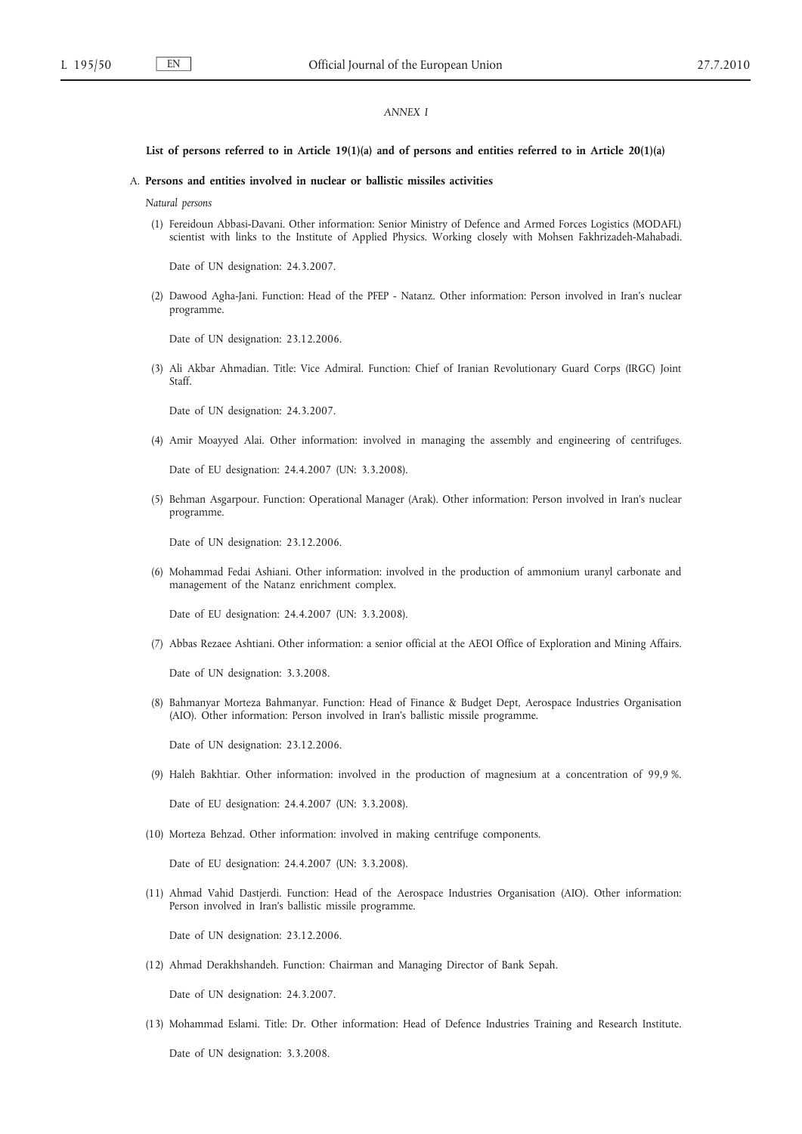#### *ANNEX I*

#### **List of persons referred to in Article 19(1)(a) and of persons and entities referred to in Article 20(1)(a)**

#### A. **Persons and entities involved in nuclear or ballistic missiles activities**

#### *Natural persons*

(1) Fereidoun Abbasi-Davani. Other information: Senior Ministry of Defence and Armed Forces Logistics (MODAFL) scientist with links to the Institute of Applied Physics. Working closely with Mohsen Fakhrizadeh-Mahabadi.

Date of UN designation: 24.3.2007.

(2) Dawood Agha-Jani. Function: Head of the PFEP - Natanz. Other information: Person involved in Iran's nuclear programme.

Date of UN designation: 23.12.2006.

(3) Ali Akbar Ahmadian. Title: Vice Admiral. Function: Chief of Iranian Revolutionary Guard Corps (IRGC) Joint Staff.

Date of UN designation: 24.3.2007.

(4) Amir Moayyed Alai. Other information: involved in managing the assembly and engineering of centrifuges.

Date of EU designation: 24.4.2007 (UN: 3.3.2008).

(5) Behman Asgarpour. Function: Operational Manager (Arak). Other information: Person involved in Iran's nuclear programme.

Date of UN designation: 23.12.2006.

(6) Mohammad Fedai Ashiani. Other information: involved in the production of ammonium uranyl carbonate and management of the Natanz enrichment complex.

Date of EU designation: 24.4.2007 (UN: 3.3.2008).

(7) Abbas Rezaee Ashtiani. Other information: a senior official at the AEOI Office of Exploration and Mining Affairs.

Date of UN designation: 3.3.2008.

(8) Bahmanyar Morteza Bahmanyar. Function: Head of Finance & Budget Dept, Aerospace Industries Organisation (AIO). Other information: Person involved in Iran's ballistic missile programme.

Date of UN designation: 23.12.2006.

(9) Haleh Bakhtiar. Other information: involved in the production of magnesium at a concentration of 99,9 %.

Date of EU designation: 24.4.2007 (UN: 3.3.2008).

(10) Morteza Behzad. Other information: involved in making centrifuge components.

Date of EU designation: 24.4.2007 (UN: 3.3.2008).

(11) Ahmad Vahid Dastjerdi. Function: Head of the Aerospace Industries Organisation (AIO). Other information: Person involved in Iran's ballistic missile programme.

Date of UN designation: 23.12.2006.

(12) Ahmad Derakhshandeh. Function: Chairman and Managing Director of Bank Sepah.

Date of UN designation: 24.3.2007.

(13) Mohammad Eslami. Title: Dr. Other information: Head of Defence Industries Training and Research Institute.

Date of UN designation: 3.3.2008.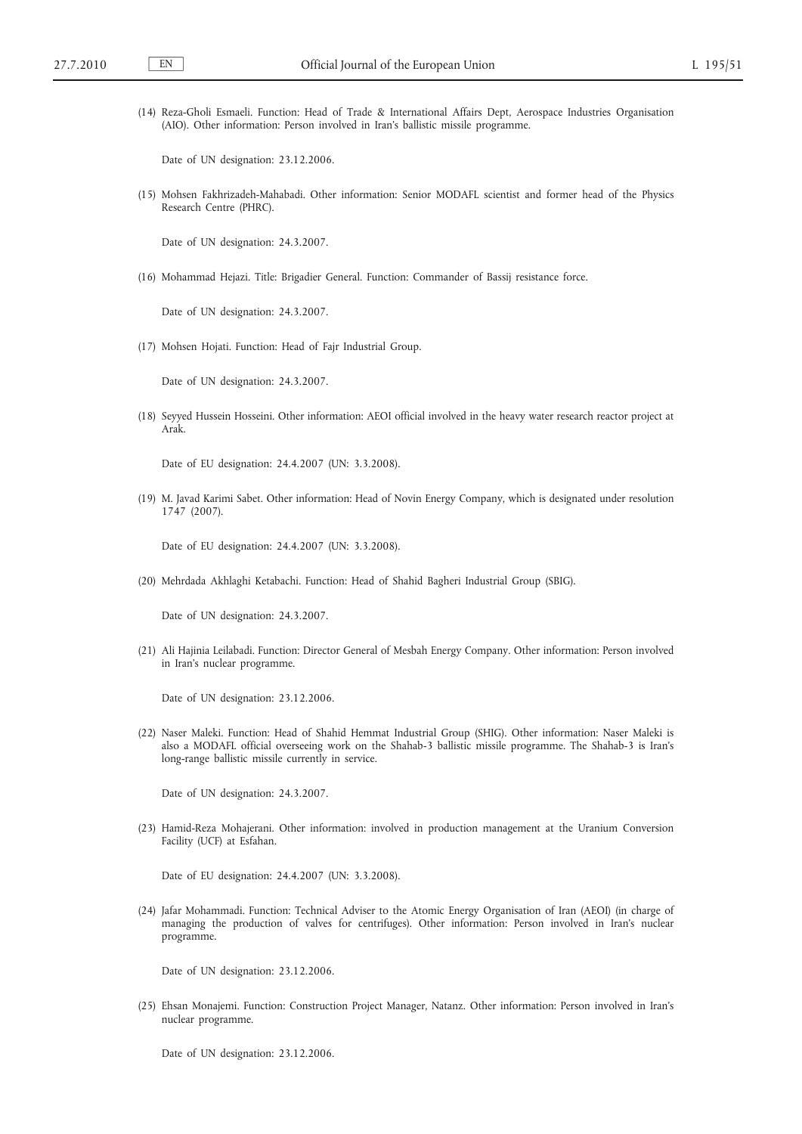(14) Reza-Gholi Esmaeli. Function: Head of Trade & International Affairs Dept, Aerospace Industries Organisation (AIO). Other information: Person involved in Iran's ballistic missile programme.

Date of UN designation: 23.12.2006.

(15) Mohsen Fakhrizadeh-Mahabadi. Other information: Senior MODAFL scientist and former head of the Physics Research Centre (PHRC).

Date of UN designation: 24.3.2007.

(16) Mohammad Hejazi. Title: Brigadier General. Function: Commander of Bassij resistance force.

Date of UN designation: 24.3.2007.

(17) Mohsen Hojati. Function: Head of Fajr Industrial Group.

Date of UN designation: 24.3.2007.

(18) Seyyed Hussein Hosseini. Other information: AEOI official involved in the heavy water research reactor project at Arak.

Date of EU designation: 24.4.2007 (UN: 3.3.2008).

(19) M. Javad Karimi Sabet. Other information: Head of Novin Energy Company, which is designated under resolution 1747 (2007).

Date of EU designation: 24.4.2007 (UN: 3.3.2008).

(20) Mehrdada Akhlaghi Ketabachi. Function: Head of Shahid Bagheri Industrial Group (SBIG).

Date of UN designation: 24.3.2007.

(21) Ali Hajinia Leilabadi. Function: Director General of Mesbah Energy Company. Other information: Person involved in Iran's nuclear programme.

Date of UN designation: 23.12.2006.

(22) Naser Maleki. Function: Head of Shahid Hemmat Industrial Group (SHIG). Other information: Naser Maleki is also a MODAFL official overseeing work on the Shahab-3 ballistic missile programme. The Shahab-3 is Iran's long-range ballistic missile currently in service.

Date of UN designation: 24.3.2007.

(23) Hamid-Reza Mohajerani. Other information: involved in production management at the Uranium Conversion Facility (UCF) at Esfahan.

Date of EU designation: 24.4.2007 (UN: 3.3.2008).

(24) Jafar Mohammadi. Function: Technical Adviser to the Atomic Energy Organisation of Iran (AEOI) (in charge of managing the production of valves for centrifuges). Other information: Person involved in Iran's nuclear programme.

Date of UN designation: 23.12.2006.

(25) Ehsan Monajemi. Function: Construction Project Manager, Natanz. Other information: Person involved in Iran's nuclear programme.

Date of UN designation: 23.12.2006.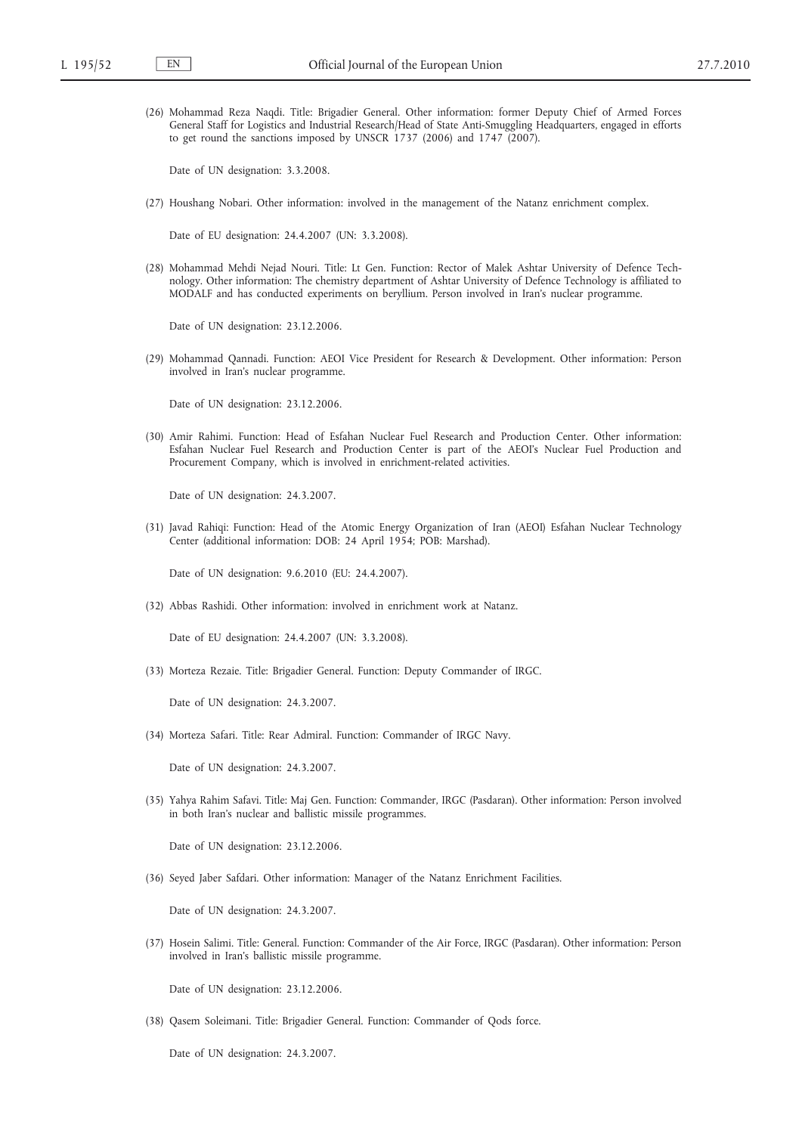(26) Mohammad Reza Naqdi. Title: Brigadier General. Other information: former Deputy Chief of Armed Forces General Staff for Logistics and Industrial Research/Head of State Anti-Smuggling Headquarters, engaged in efforts to get round the sanctions imposed by UNSCR 1737 (2006) and 1747 (2007).

Date of UN designation: 3.3.2008.

(27) Houshang Nobari. Other information: involved in the management of the Natanz enrichment complex.

Date of EU designation: 24.4.2007 (UN: 3.3.2008).

(28) Mohammad Mehdi Nejad Nouri. Title: Lt Gen. Function: Rector of Malek Ashtar University of Defence Technology. Other information: The chemistry department of Ashtar University of Defence Technology is affiliated to MODALF and has conducted experiments on beryllium. Person involved in Iran's nuclear programme.

Date of UN designation: 23.12.2006.

(29) Mohammad Qannadi. Function: AEOI Vice President for Research & Development. Other information: Person involved in Iran's nuclear programme.

Date of UN designation: 23.12.2006.

(30) Amir Rahimi. Function: Head of Esfahan Nuclear Fuel Research and Production Center. Other information: Esfahan Nuclear Fuel Research and Production Center is part of the AEOI's Nuclear Fuel Production and Procurement Company, which is involved in enrichment-related activities.

Date of UN designation: 24.3.2007.

(31) Javad Rahiqi: Function: Head of the Atomic Energy Organization of Iran (AEOI) Esfahan Nuclear Technology Center (additional information: DOB: 24 April 1954; POB: Marshad).

Date of UN designation: 9.6.2010 (EU: 24.4.2007).

(32) Abbas Rashidi. Other information: involved in enrichment work at Natanz.

Date of EU designation: 24.4.2007 (UN: 3.3.2008).

(33) Morteza Rezaie. Title: Brigadier General. Function: Deputy Commander of IRGC.

Date of UN designation: 24.3.2007.

(34) Morteza Safari. Title: Rear Admiral. Function: Commander of IRGC Navy.

Date of UN designation: 24.3.2007.

(35) Yahya Rahim Safavi. Title: Maj Gen. Function: Commander, IRGC (Pasdaran). Other information: Person involved in both Iran's nuclear and ballistic missile programmes.

Date of UN designation: 23.12.2006.

(36) Seyed Jaber Safdari. Other information: Manager of the Natanz Enrichment Facilities.

Date of UN designation: 24.3.2007.

(37) Hosein Salimi. Title: General. Function: Commander of the Air Force, IRGC (Pasdaran). Other information: Person involved in Iran's ballistic missile programme.

Date of UN designation: 23.12.2006.

(38) Qasem Soleimani. Title: Brigadier General. Function: Commander of Qods force.

Date of UN designation: 24.3.2007.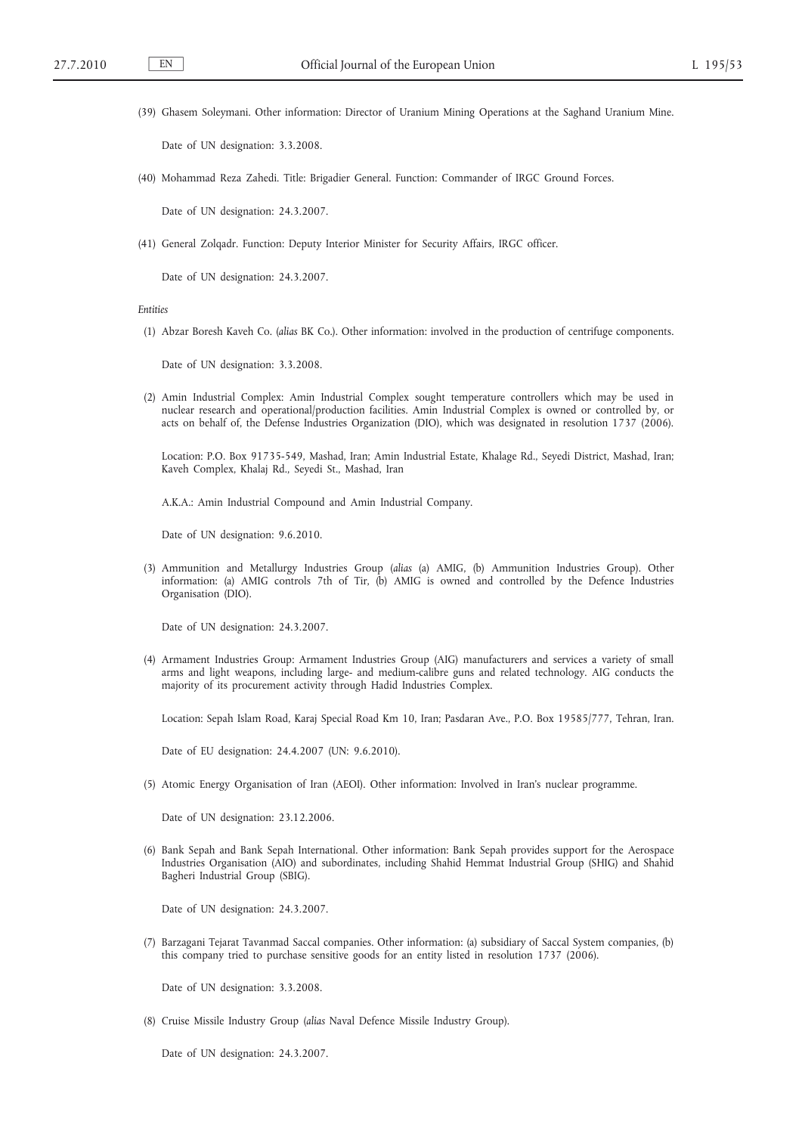(39) Ghasem Soleymani. Other information: Director of Uranium Mining Operations at the Saghand Uranium Mine.

Date of UN designation: 3.3.2008.

(40) Mohammad Reza Zahedi. Title: Brigadier General. Function: Commander of IRGC Ground Forces.

Date of UN designation: 24.3.2007.

(41) General Zolqadr. Function: Deputy Interior Minister for Security Affairs, IRGC officer.

Date of UN designation: 24.3.2007.

#### *Entities*

(1) Abzar Boresh Kaveh Co. (*alias* BK Co.). Other information: involved in the production of centrifuge components.

Date of UN designation: 3.3.2008.

(2) Amin Industrial Complex: Amin Industrial Complex sought temperature controllers which may be used in nuclear research and operational/production facilities. Amin Industrial Complex is owned or controlled by, or acts on behalf of, the Defense Industries Organization (DIO), which was designated in resolution 1737 (2006).

Location: P.O. Box 91735-549, Mashad, Iran; Amin Industrial Estate, Khalage Rd., Seyedi District, Mashad, Iran; Kaveh Complex, Khalaj Rd., Seyedi St., Mashad, Iran

A.K.A.: Amin Industrial Compound and Amin Industrial Company.

Date of UN designation: 9.6.2010.

(3) Ammunition and Metallurgy Industries Group (*alias* (a) AMIG, (b) Ammunition Industries Group). Other information: (a) AMIG controls 7th of Tir, (b) AMIG is owned and controlled by the Defence Industries Organisation (DIO).

Date of UN designation: 24.3.2007.

(4) Armament Industries Group: Armament Industries Group (AIG) manufacturers and services a variety of small arms and light weapons, including large- and medium-calibre guns and related technology. AIG conducts the majority of its procurement activity through Hadid Industries Complex.

Location: Sepah Islam Road, Karaj Special Road Km 10, Iran; Pasdaran Ave., P.O. Box 19585/777, Tehran, Iran.

Date of EU designation: 24.4.2007 (UN: 9.6.2010).

(5) Atomic Energy Organisation of Iran (AEOI). Other information: Involved in Iran's nuclear programme.

Date of UN designation: 23.12.2006.

(6) Bank Sepah and Bank Sepah International. Other information: Bank Sepah provides support for the Aerospace Industries Organisation (AIO) and subordinates, including Shahid Hemmat Industrial Group (SHIG) and Shahid Bagheri Industrial Group (SBIG).

Date of UN designation: 24.3.2007.

(7) Barzagani Tejarat Tavanmad Saccal companies. Other information: (a) subsidiary of Saccal System companies, (b) this company tried to purchase sensitive goods for an entity listed in resolution 1737 (2006).

Date of UN designation: 3.3.2008.

(8) Cruise Missile Industry Group (*alias* Naval Defence Missile Industry Group).

Date of UN designation: 24.3.2007.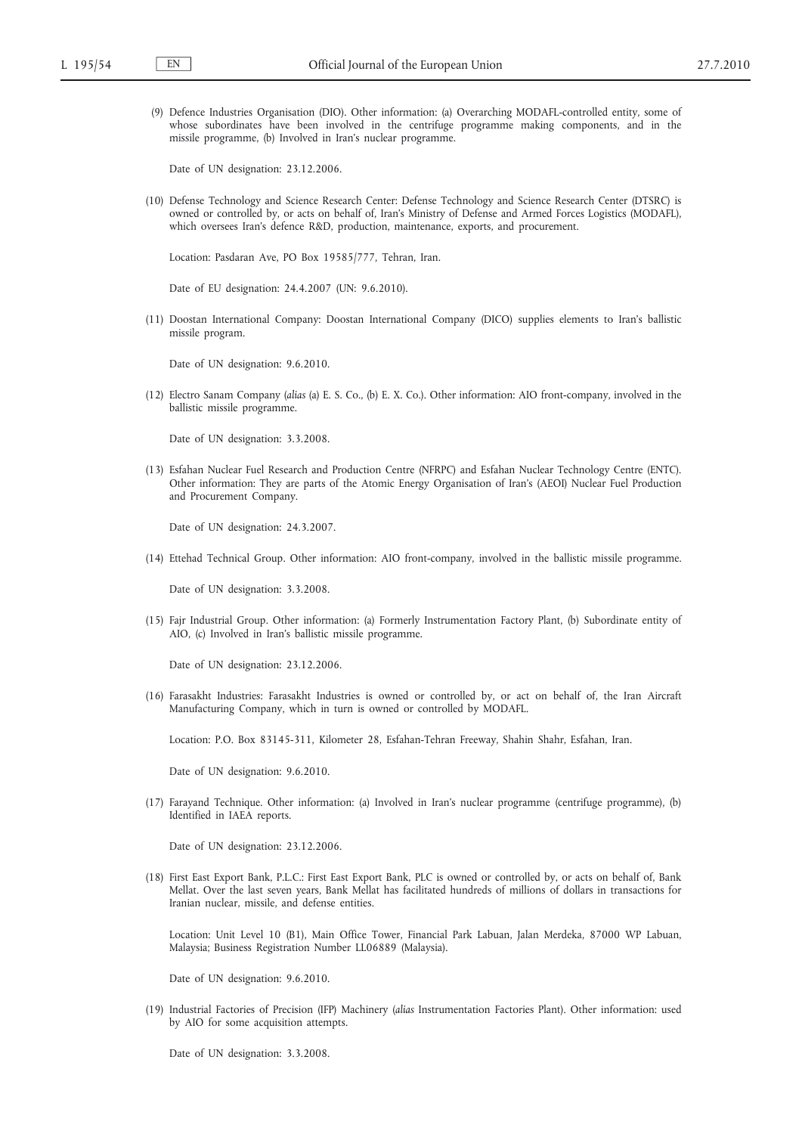(9) Defence Industries Organisation (DIO). Other information: (a) Overarching MODAFL-controlled entity, some of whose subordinates have been involved in the centrifuge programme making components, and in the missile programme, (b) Involved in Iran's nuclear programme.

Date of UN designation: 23.12.2006.

(10) Defense Technology and Science Research Center: Defense Technology and Science Research Center (DTSRC) is owned or controlled by, or acts on behalf of, Iran's Ministry of Defense and Armed Forces Logistics (MODAFL), which oversees Iran's defence R&D, production, maintenance, exports, and procurement.

Location: Pasdaran Ave, PO Box 19585/777, Tehran, Iran.

Date of EU designation: 24.4.2007 (UN: 9.6.2010).

(11) Doostan International Company: Doostan International Company (DICO) supplies elements to Iran's ballistic missile program.

Date of UN designation: 9.6.2010.

(12) Electro Sanam Company (*alias* (a) E. S. Co., (b) E. X. Co.). Other information: AIO front-company, involved in the ballistic missile programme.

Date of UN designation: 3.3.2008.

(13) Esfahan Nuclear Fuel Research and Production Centre (NFRPC) and Esfahan Nuclear Technology Centre (ENTC). Other information: They are parts of the Atomic Energy Organisation of Iran's (AEOI) Nuclear Fuel Production and Procurement Company.

Date of UN designation: 24.3.2007.

(14) Ettehad Technical Group. Other information: AIO front-company, involved in the ballistic missile programme.

Date of UN designation: 3.3.2008.

(15) Fajr Industrial Group. Other information: (a) Formerly Instrumentation Factory Plant, (b) Subordinate entity of AIO, (c) Involved in Iran's ballistic missile programme.

Date of UN designation: 23.12.2006.

(16) Farasakht Industries: Farasakht Industries is owned or controlled by, or act on behalf of, the Iran Aircraft Manufacturing Company, which in turn is owned or controlled by MODAFL.

Location: P.O. Box 83145-311, Kilometer 28, Esfahan-Tehran Freeway, Shahin Shahr, Esfahan, Iran.

Date of UN designation: 9.6.2010.

(17) Farayand Technique. Other information: (a) Involved in Iran's nuclear programme (centrifuge programme), (b) Identified in IAEA reports.

Date of UN designation: 23.12.2006.

(18) First East Export Bank, P.L.C.: First East Export Bank, PLC is owned or controlled by, or acts on behalf of, Bank Mellat. Over the last seven years, Bank Mellat has facilitated hundreds of millions of dollars in transactions for Iranian nuclear, missile, and defense entities.

Location: Unit Level 10 (B1), Main Office Tower, Financial Park Labuan, Jalan Merdeka, 87000 WP Labuan, Malaysia; Business Registration Number LL06889 (Malaysia).

Date of UN designation: 9.6.2010.

(19) Industrial Factories of Precision (IFP) Machinery (*alias* Instrumentation Factories Plant). Other information: used by AIO for some acquisition attempts.

Date of UN designation: 3.3.2008.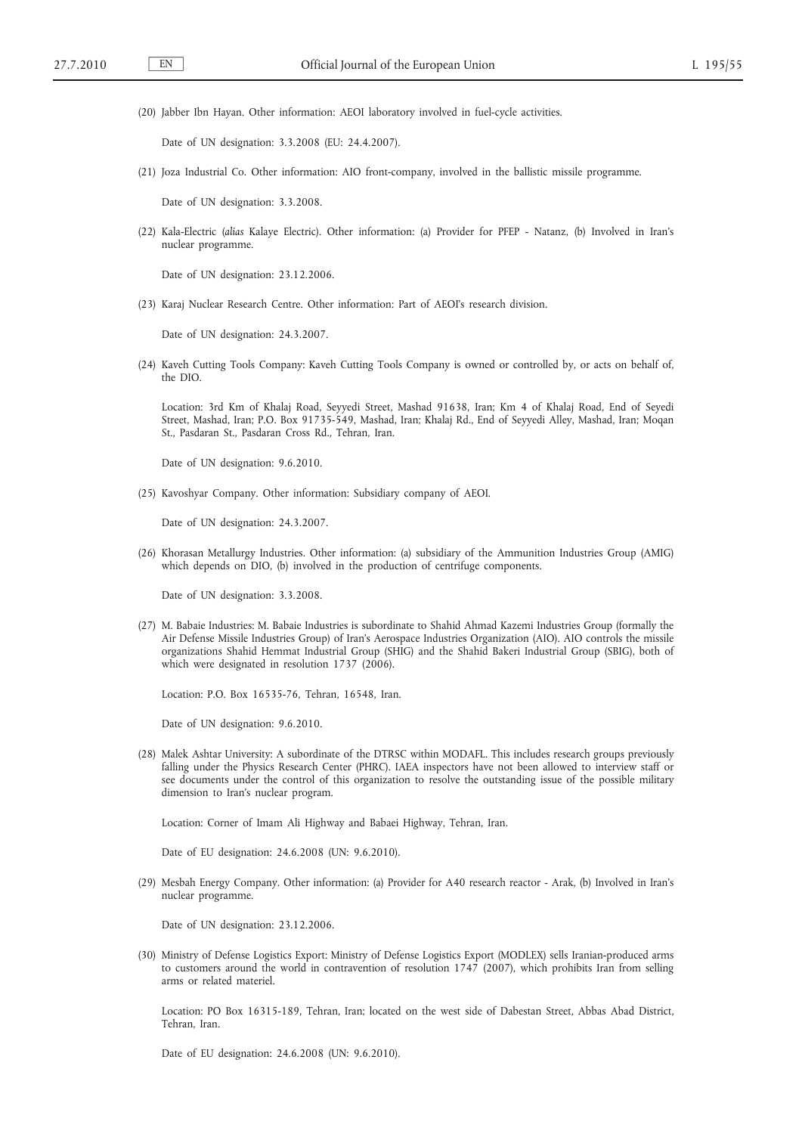(20) Jabber Ibn Hayan. Other information: AEOI laboratory involved in fuel-cycle activities.

Date of UN designation: 3.3.2008 (EU: 24.4.2007).

(21) Joza Industrial Co. Other information: AIO front-company, involved in the ballistic missile programme.

Date of UN designation: 3.3.2008.

(22) Kala-Electric (*alias* Kalaye Electric). Other information: (a) Provider for PFEP - Natanz, (b) Involved in Iran's nuclear programme.

Date of UN designation: 23.12.2006.

(23) Karaj Nuclear Research Centre. Other information: Part of AEOI's research division.

Date of UN designation: 24.3.2007.

(24) Kaveh Cutting Tools Company: Kaveh Cutting Tools Company is owned or controlled by, or acts on behalf of, the DIO.

Location: 3rd Km of Khalaj Road, Seyyedi Street, Mashad 91638, Iran; Km 4 of Khalaj Road, End of Seyedi Street, Mashad, Iran; P.O. Box 91735-549, Mashad, Iran; Khalaj Rd., End of Seyyedi Alley, Mashad, Iran; Moqan St., Pasdaran St., Pasdaran Cross Rd., Tehran, Iran.

Date of UN designation: 9.6.2010.

(25) Kavoshyar Company. Other information: Subsidiary company of AEOI.

Date of UN designation: 24.3.2007.

(26) Khorasan Metallurgy Industries. Other information: (a) subsidiary of the Ammunition Industries Group (AMIG) which depends on DIO, (b) involved in the production of centrifuge components.

Date of UN designation: 3.3.2008.

(27) M. Babaie Industries: M. Babaie Industries is subordinate to Shahid Ahmad Kazemi Industries Group (formally the Air Defense Missile Industries Group) of Iran's Aerospace Industries Organization (AIO). AIO controls the missile organizations Shahid Hemmat Industrial Group (SHIG) and the Shahid Bakeri Industrial Group (SBIG), both of which were designated in resolution 1737 (2006).

Location: P.O. Box 16535-76, Tehran, 16548, Iran.

Date of UN designation: 9.6.2010.

(28) Malek Ashtar University: A subordinate of the DTRSC within MODAFL. This includes research groups previously falling under the Physics Research Center (PHRC). IAEA inspectors have not been allowed to interview staff or see documents under the control of this organization to resolve the outstanding issue of the possible military dimension to Iran's nuclear program.

Location: Corner of Imam Ali Highway and Babaei Highway, Tehran, Iran.

Date of EU designation: 24.6.2008 (UN: 9.6.2010).

(29) Mesbah Energy Company. Other information: (a) Provider for A40 research reactor - Arak, (b) Involved in Iran's nuclear programme.

Date of UN designation: 23.12.2006.

(30) Ministry of Defense Logistics Export: Ministry of Defense Logistics Export (MODLEX) sells Iranian-produced arms to customers around the world in contravention of resolution 1747 (2007), which prohibits Iran from selling arms or related materiel.

Location: PO Box 16315-189, Tehran, Iran; located on the west side of Dabestan Street, Abbas Abad District, Tehran, Iran.

Date of EU designation: 24.6.2008 (UN: 9.6.2010).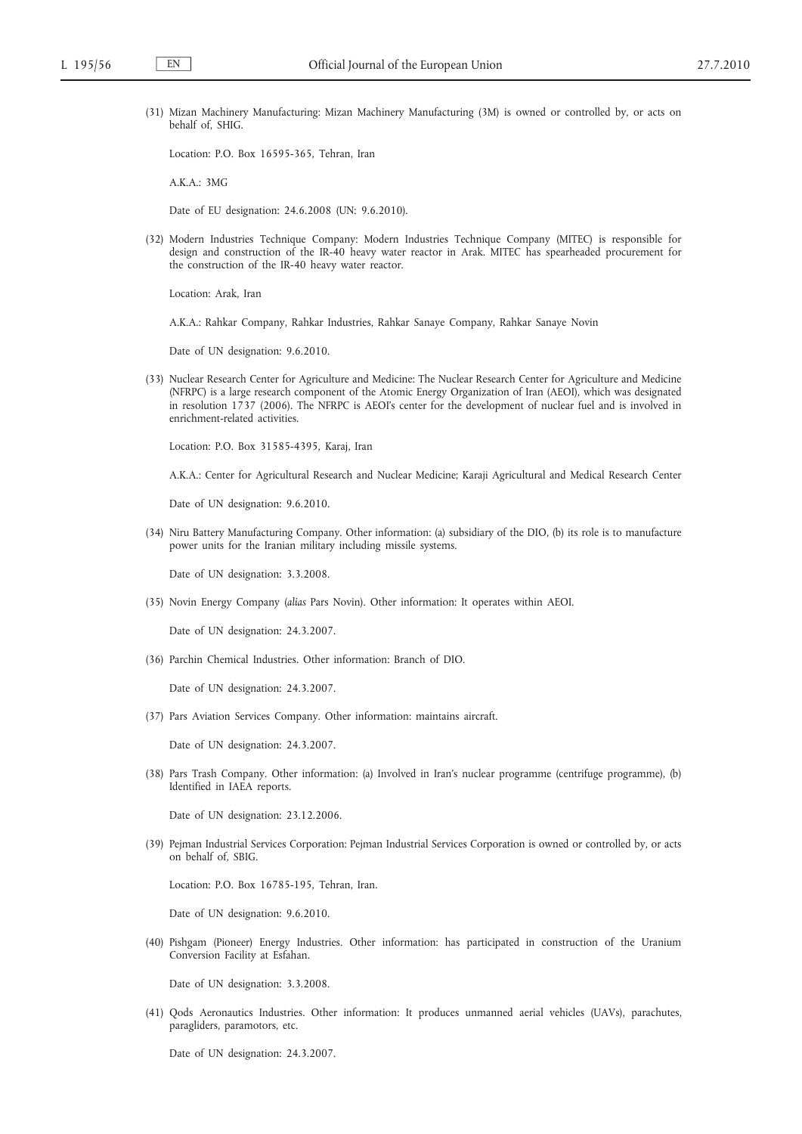(31) Mizan Machinery Manufacturing: Mizan Machinery Manufacturing (3M) is owned or controlled by, or acts on behalf of, SHIG.

Location: P.O. Box 16595-365, Tehran, Iran

A.K.A.: 3MG

Date of EU designation: 24.6.2008 (UN: 9.6.2010).

(32) Modern Industries Technique Company: Modern Industries Technique Company (MITEC) is responsible for design and construction of the IR-40 heavy water reactor in Arak. MITEC has spearheaded procurement for the construction of the IR-40 heavy water reactor.

Location: Arak, Iran

A.K.A.: Rahkar Company, Rahkar Industries, Rahkar Sanaye Company, Rahkar Sanaye Novin

Date of UN designation: 9.6.2010.

(33) Nuclear Research Center for Agriculture and Medicine: The Nuclear Research Center for Agriculture and Medicine (NFRPC) is a large research component of the Atomic Energy Organization of Iran (AEOI), which was designated in resolution 1737 (2006). The NFRPC is AEOI's center for the development of nuclear fuel and is involved in enrichment-related activities.

Location: P.O. Box 31585-4395, Karaj, Iran

A.K.A.: Center for Agricultural Research and Nuclear Medicine; Karaji Agricultural and Medical Research Center

Date of UN designation: 9.6.2010.

(34) Niru Battery Manufacturing Company. Other information: (a) subsidiary of the DIO, (b) its role is to manufacture power units for the Iranian military including missile systems.

Date of UN designation: 3.3.2008.

(35) Novin Energy Company (*alias* Pars Novin). Other information: It operates within AEOI.

Date of UN designation: 24.3.2007.

(36) Parchin Chemical Industries. Other information: Branch of DIO.

Date of UN designation: 24.3.2007.

(37) Pars Aviation Services Company. Other information: maintains aircraft.

Date of UN designation: 24.3.2007.

(38) Pars Trash Company. Other information: (a) Involved in Iran's nuclear programme (centrifuge programme), (b) Identified in IAEA reports.

Date of UN designation: 23.12.2006.

(39) Pejman Industrial Services Corporation: Pejman Industrial Services Corporation is owned or controlled by, or acts on behalf of, SBIG.

Location: P.O. Box 16785-195, Tehran, Iran.

Date of UN designation: 9.6.2010.

(40) Pishgam (Pioneer) Energy Industries. Other information: has participated in construction of the Uranium Conversion Facility at Esfahan.

Date of UN designation: 3.3.2008.

(41) Qods Aeronautics Industries. Other information: It produces unmanned aerial vehicles (UAVs), parachutes, paragliders, paramotors, etc.

Date of UN designation: 24.3.2007.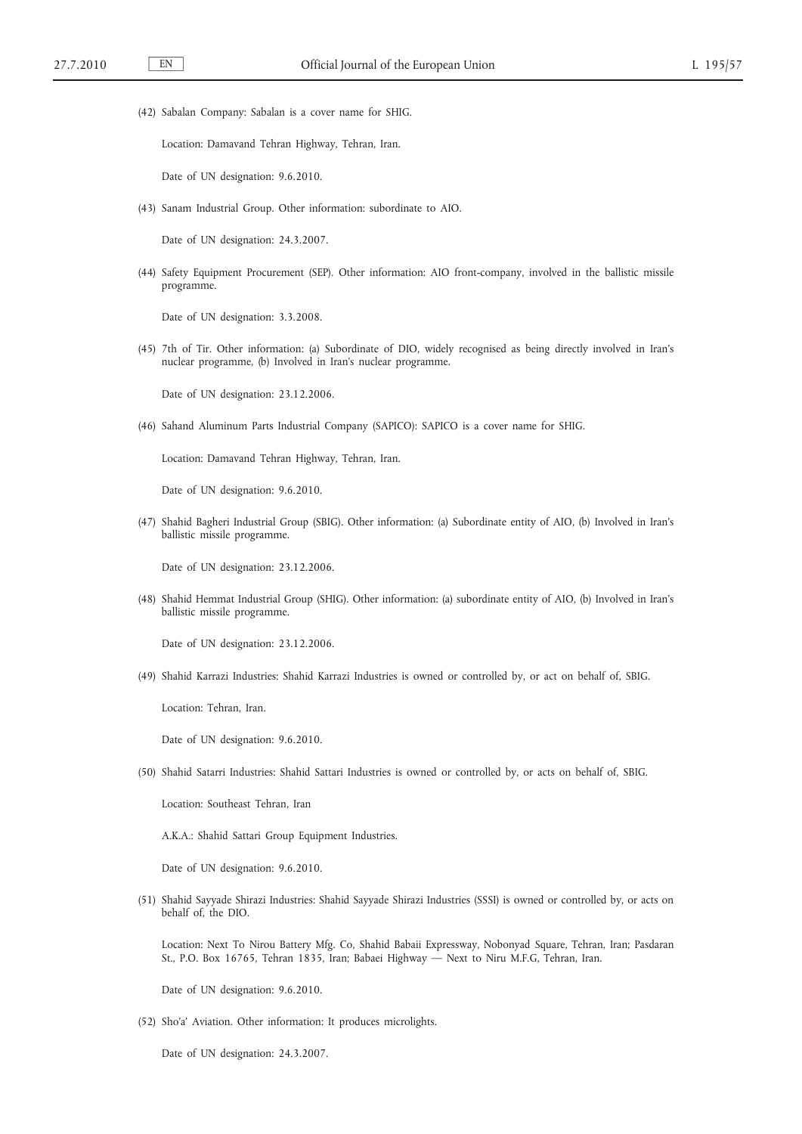(42) Sabalan Company: Sabalan is a cover name for SHIG.

Location: Damavand Tehran Highway, Tehran, Iran.

Date of UN designation: 9.6.2010.

(43) Sanam Industrial Group. Other information: subordinate to AIO.

Date of UN designation: 24.3.2007.

(44) Safety Equipment Procurement (SEP). Other information: AIO front-company, involved in the ballistic missile programme.

Date of UN designation: 3.3.2008.

(45) 7th of Tir. Other information: (a) Subordinate of DIO, widely recognised as being directly involved in Iran's nuclear programme, (b) Involved in Iran's nuclear programme.

Date of UN designation: 23.12.2006.

(46) Sahand Aluminum Parts Industrial Company (SAPICO): SAPICO is a cover name for SHIG.

Location: Damavand Tehran Highway, Tehran, Iran.

Date of UN designation: 9.6.2010.

(47) Shahid Bagheri Industrial Group (SBIG). Other information: (a) Subordinate entity of AIO, (b) Involved in Iran's ballistic missile programme.

Date of UN designation: 23.12.2006.

(48) Shahid Hemmat Industrial Group (SHIG). Other information: (a) subordinate entity of AIO, (b) Involved in Iran's ballistic missile programme.

Date of UN designation: 23.12.2006.

(49) Shahid Karrazi Industries: Shahid Karrazi Industries is owned or controlled by, or act on behalf of, SBIG.

Location: Tehran, Iran.

Date of UN designation: 9.6.2010.

(50) Shahid Satarri Industries: Shahid Sattari Industries is owned or controlled by, or acts on behalf of, SBIG.

Location: Southeast Tehran, Iran

A.K.A.: Shahid Sattari Group Equipment Industries.

Date of UN designation: 9.6.2010.

(51) Shahid Sayyade Shirazi Industries: Shahid Sayyade Shirazi Industries (SSSI) is owned or controlled by, or acts on behalf of, the DIO.

Location: Next To Nirou Battery Mfg. Co, Shahid Babaii Expressway, Nobonyad Square, Tehran, Iran; Pasdaran St., P.O. Box 16765, Tehran 1835, Iran; Babaei Highway — Next to Niru M.F.G, Tehran, Iran.

Date of UN designation: 9.6.2010.

(52) Sho'a' Aviation. Other information: It produces microlights.

Date of UN designation: 24.3.2007.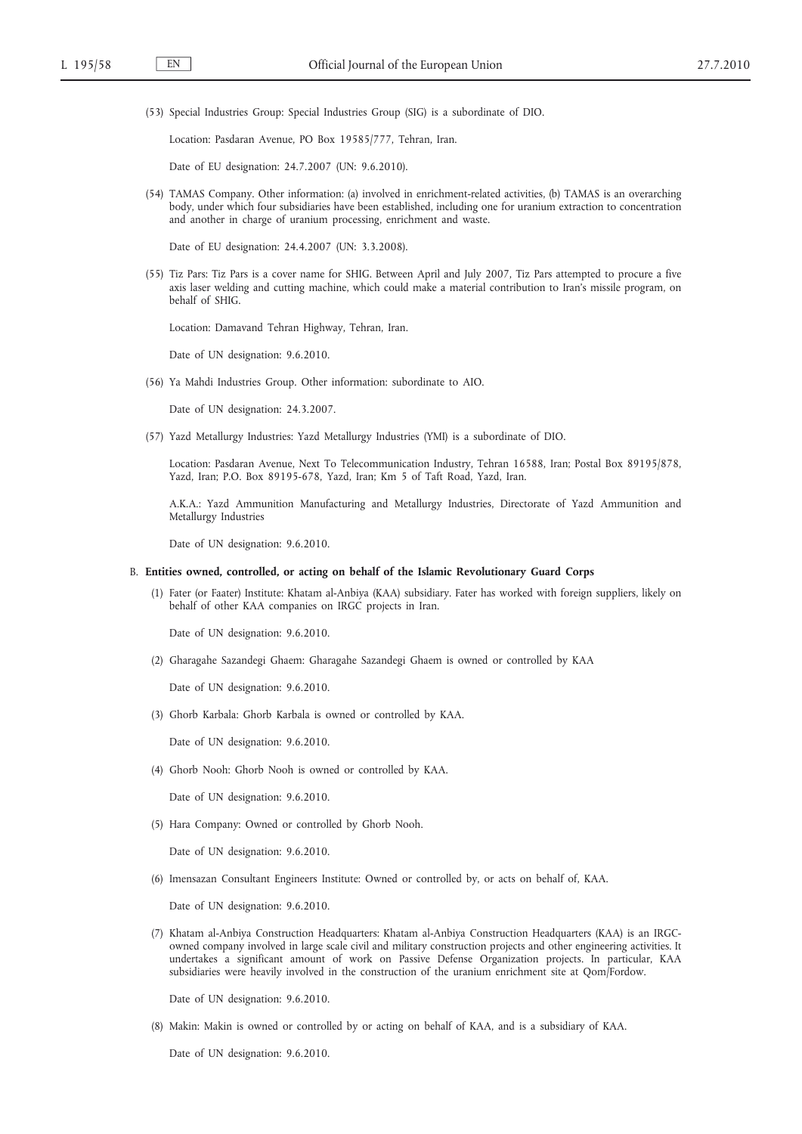(53) Special Industries Group: Special Industries Group (SIG) is a subordinate of DIO.

Location: Pasdaran Avenue, PO Box 19585/777, Tehran, Iran.

Date of EU designation: 24.7.2007 (UN: 9.6.2010).

(54) TAMAS Company. Other information: (a) involved in enrichment-related activities, (b) TAMAS is an overarching body, under which four subsidiaries have been established, including one for uranium extraction to concentration and another in charge of uranium processing, enrichment and waste.

Date of EU designation: 24.4.2007 (UN: 3.3.2008).

(55) Tiz Pars: Tiz Pars is a cover name for SHIG. Between April and July 2007, Tiz Pars attempted to procure a five axis laser welding and cutting machine, which could make a material contribution to Iran's missile program, on behalf of SHIG.

Location: Damavand Tehran Highway, Tehran, Iran.

Date of UN designation: 9.6.2010.

(56) Ya Mahdi Industries Group. Other information: subordinate to AIO.

Date of UN designation: 24.3.2007.

(57) Yazd Metallurgy Industries: Yazd Metallurgy Industries (YMI) is a subordinate of DIO.

Location: Pasdaran Avenue, Next To Telecommunication Industry, Tehran 16588, Iran; Postal Box 89195/878, Yazd, Iran; P.O. Box 89195-678, Yazd, Iran; Km 5 of Taft Road, Yazd, Iran.

A.K.A.: Yazd Ammunition Manufacturing and Metallurgy Industries, Directorate of Yazd Ammunition and Metallurgy Industries

Date of UN designation: 9.6.2010.

#### B. **Entities owned, controlled, or acting on behalf of the Islamic Revolutionary Guard Corps**

(1) Fater (or Faater) Institute: Khatam al-Anbiya (KAA) subsidiary. Fater has worked with foreign suppliers, likely on behalf of other KAA companies on IRGC projects in Iran.

Date of UN designation: 9.6.2010.

(2) Gharagahe Sazandegi Ghaem: Gharagahe Sazandegi Ghaem is owned or controlled by KAA

Date of UN designation: 9.6.2010.

(3) Ghorb Karbala: Ghorb Karbala is owned or controlled by KAA.

Date of UN designation: 9.6.2010.

(4) Ghorb Nooh: Ghorb Nooh is owned or controlled by KAA.

Date of UN designation: 9.6.2010.

(5) Hara Company: Owned or controlled by Ghorb Nooh.

Date of UN designation: 9.6.2010.

(6) Imensazan Consultant Engineers Institute: Owned or controlled by, or acts on behalf of, KAA.

Date of UN designation: 9.6.2010.

(7) Khatam al-Anbiya Construction Headquarters: Khatam al-Anbiya Construction Headquarters (KAA) is an IRGCowned company involved in large scale civil and military construction projects and other engineering activities. It undertakes a significant amount of work on Passive Defense Organization projects. In particular, KAA subsidiaries were heavily involved in the construction of the uranium enrichment site at Qom/Fordow.

Date of UN designation: 9.6.2010.

(8) Makin: Makin is owned or controlled by or acting on behalf of KAA, and is a subsidiary of KAA.

Date of UN designation: 9.6.2010.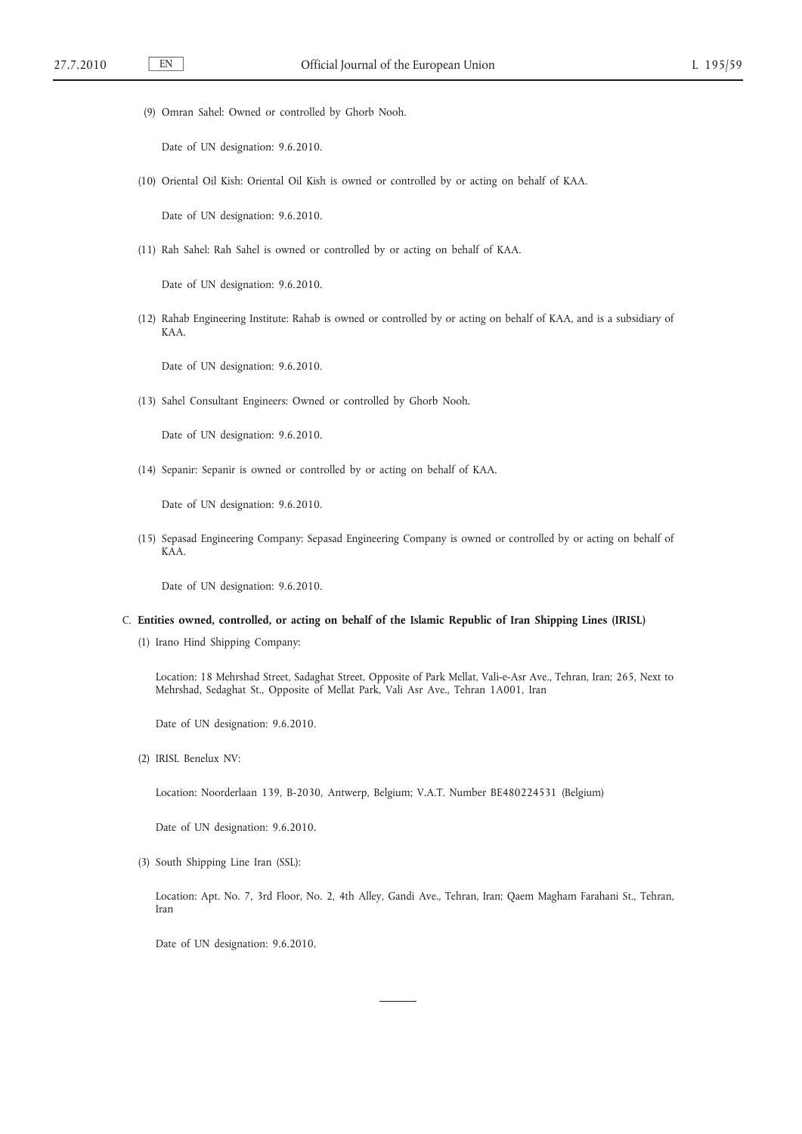(9) Omran Sahel: Owned or controlled by Ghorb Nooh.

Date of UN designation: 9.6.2010.

(10) Oriental Oil Kish: Oriental Oil Kish is owned or controlled by or acting on behalf of KAA.

Date of UN designation: 9.6.2010.

(11) Rah Sahel: Rah Sahel is owned or controlled by or acting on behalf of KAA.

Date of UN designation: 9.6.2010.

(12) Rahab Engineering Institute: Rahab is owned or controlled by or acting on behalf of KAA, and is a subsidiary of KAA.

Date of UN designation: 9.6.2010.

(13) Sahel Consultant Engineers: Owned or controlled by Ghorb Nooh.

Date of UN designation: 9.6.2010.

(14) Sepanir: Sepanir is owned or controlled by or acting on behalf of KAA.

Date of UN designation: 9.6.2010.

(15) Sepasad Engineering Company: Sepasad Engineering Company is owned or controlled by or acting on behalf of KAA.

Date of UN designation: 9.6.2010.

### C. **Entities owned, controlled, or acting on behalf of the Islamic Republic of Iran Shipping Lines (IRISL)**

(1) Irano Hind Shipping Company:

Location: 18 Mehrshad Street, Sadaghat Street, Opposite of Park Mellat, Vali-e-Asr Ave., Tehran, Iran; 265, Next to Mehrshad, Sedaghat St., Opposite of Mellat Park, Vali Asr Ave., Tehran 1A001, Iran

Date of UN designation: 9.6.2010.

(2) IRISL Benelux NV:

Location: Noorderlaan 139, B-2030, Antwerp, Belgium; V.A.T. Number BE480224531 (Belgium)

Date of UN designation: 9.6.2010.

(3) South Shipping Line Iran (SSL):

Location: Apt. No. 7, 3rd Floor, No. 2, 4th Alley, Gandi Ave., Tehran, Iran; Qaem Magham Farahani St., Tehran, Iran

Date of UN designation: 9.6.2010.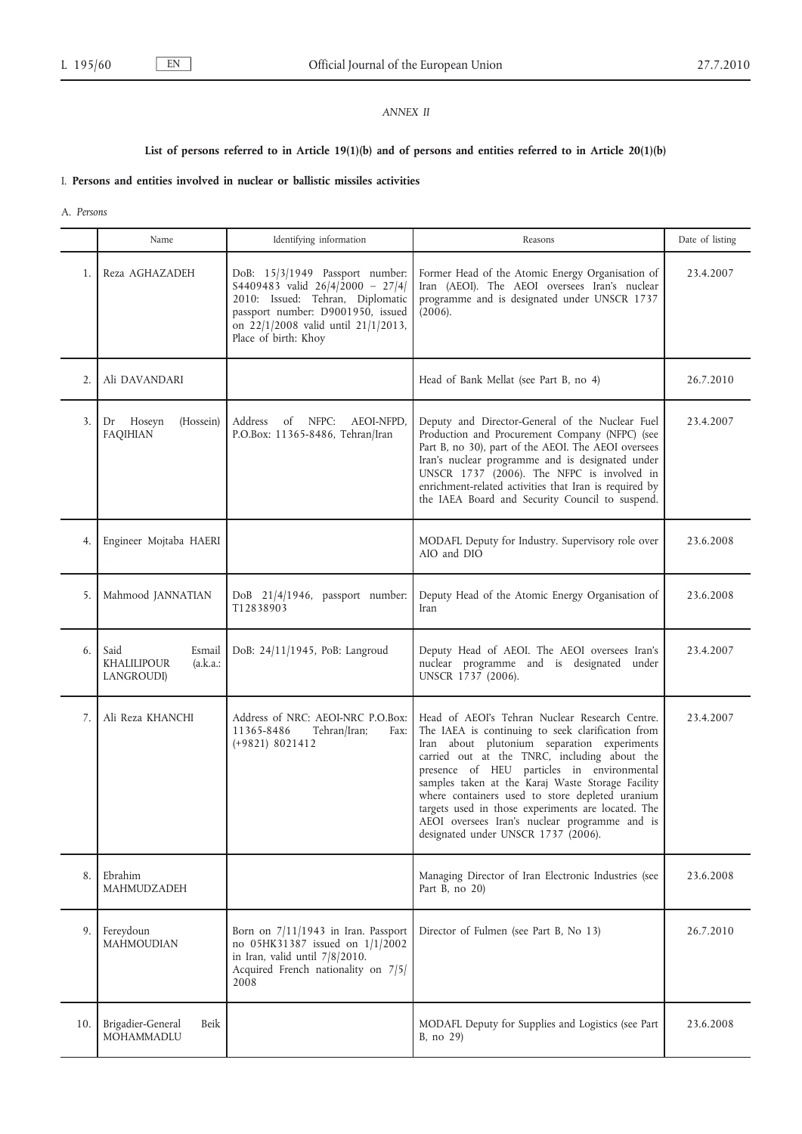# *ANNEX II*

## **List of persons referred to in Article 19(1)(b) and of persons and entities referred to in Article 20(1)(b)**

## I. **Persons and entities involved in nuclear or ballistic missiles activities**

## A. *Persons*

|     | Name                                                    | Identifying information                                                                                                                                                                                     | Reasons                                                                                                                                                                                                                                                                                                                                                                                                                                                                                                | Date of listing |
|-----|---------------------------------------------------------|-------------------------------------------------------------------------------------------------------------------------------------------------------------------------------------------------------------|--------------------------------------------------------------------------------------------------------------------------------------------------------------------------------------------------------------------------------------------------------------------------------------------------------------------------------------------------------------------------------------------------------------------------------------------------------------------------------------------------------|-----------------|
| 1.  | Reza AGHAZADEH                                          | DoB: 15/3/1949 Passport number:<br>S4409483 valid 26/4/2000 - 27/4/<br>2010: Issued: Tehran, Diplomatic<br>passport number: D9001950, issued<br>on 22/1/2008 valid until 21/1/2013,<br>Place of birth: Khoy | Former Head of the Atomic Energy Organisation of<br>Iran (AEOI). The AEOI oversees Iran's nuclear<br>programme and is designated under UNSCR 1737<br>(2006).                                                                                                                                                                                                                                                                                                                                           | 23.4.2007       |
| 2.  | Ali DAVANDARI                                           |                                                                                                                                                                                                             | Head of Bank Mellat (see Part B, no 4)                                                                                                                                                                                                                                                                                                                                                                                                                                                                 | 26.7.2010       |
| 3.  | Hoseyn<br>(Hossein)<br>Dr<br><b>FAQIHIAN</b>            | Address<br>of<br>NFPC:<br>AEOI-NFPD,<br>P.O.Box: 11365-8486, Tehran/Iran                                                                                                                                    | Deputy and Director-General of the Nuclear Fuel<br>Production and Procurement Company (NFPC) (see<br>Part B, no 30), part of the AEOI. The AEOI oversees<br>Iran's nuclear programme and is designated under<br>UNSCR 1737 (2006). The NFPC is involved in<br>enrichment-related activities that Iran is required by<br>the IAEA Board and Security Council to suspend.                                                                                                                                | 23.4.2007       |
| 4.  | Engineer Mojtaba HAERI                                  |                                                                                                                                                                                                             | MODAFL Deputy for Industry. Supervisory role over<br>AIO and DIO                                                                                                                                                                                                                                                                                                                                                                                                                                       | 23.6.2008       |
| 5.  | Mahmood JANNATIAN                                       | DoB 21/4/1946, passport number:<br>T12838903                                                                                                                                                                | Deputy Head of the Atomic Energy Organisation of<br>Iran                                                                                                                                                                                                                                                                                                                                                                                                                                               | 23.6.2008       |
| 6.  | Said<br>Esmail<br>(a.k.a.:<br>KHALILIPOUR<br>LANGROUDI) | DoB: 24/11/1945, PoB: Langroud                                                                                                                                                                              | Deputy Head of AEOI. The AEOI oversees Iran's<br>nuclear programme and is designated under<br>UNSCR 1737 (2006).                                                                                                                                                                                                                                                                                                                                                                                       | 23.4.2007       |
| 7.  | Ali Reza KHANCHI                                        | Address of NRC: AEOI-NRC P.O.Box:<br>11365-8486<br>Tehran/Iran;<br>Fax:<br>$(+9821)$ 8021412                                                                                                                | Head of AEOI's Tehran Nuclear Research Centre.<br>The IAEA is continuing to seek clarification from<br>Iran about plutonium separation experiments<br>carried out at the TNRC, including about the<br>presence of HEU particles in environmental<br>samples taken at the Karaj Waste Storage Facility<br>where containers used to store depleted uranium<br>targets used in those experiments are located. The<br>AEOI oversees Iran's nuclear programme and is<br>designated under UNSCR 1737 (2006). | 23.4.2007       |
| 8.  | Ebrahim<br>MAHMUDZADEH                                  |                                                                                                                                                                                                             | Managing Director of Iran Electronic Industries (see<br>Part B, no 20)                                                                                                                                                                                                                                                                                                                                                                                                                                 | 23.6.2008       |
| 9.  | Fereydoun<br>MAHMOUDIAN                                 | Born on $7/11/1943$ in Iran. Passport<br>no 05HK31387 issued on 1/1/2002<br>in Iran, valid until 7/8/2010.<br>Acquired French nationality on 7/5/<br>2008                                                   | Director of Fulmen (see Part B, No 13)                                                                                                                                                                                                                                                                                                                                                                                                                                                                 | 26.7.2010       |
| 10. | Brigadier-General<br>Beik<br>MOHAMMADLU                 |                                                                                                                                                                                                             | MODAFL Deputy for Supplies and Logistics (see Part<br>$B$ , no 29)                                                                                                                                                                                                                                                                                                                                                                                                                                     | 23.6.2008       |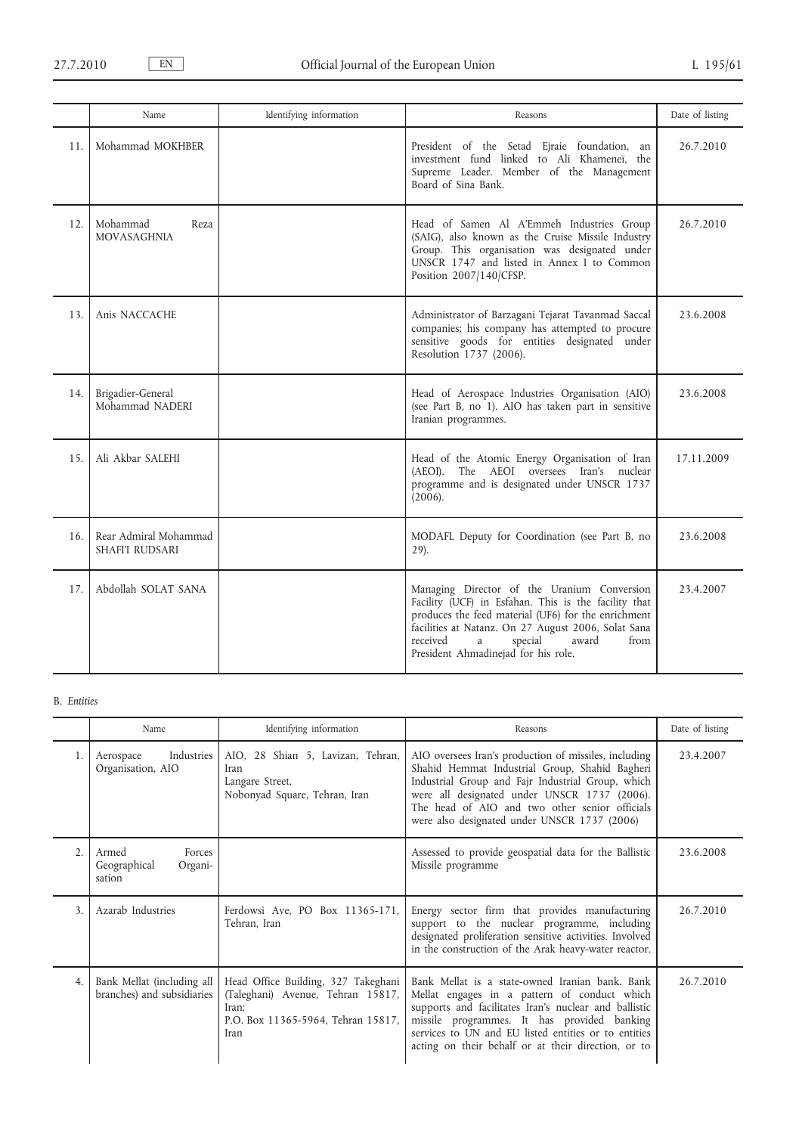|     | Name                                            | Identifying information | Reasons                                                                                                                                                                                                                                                                                                            | Date of listing |
|-----|-------------------------------------------------|-------------------------|--------------------------------------------------------------------------------------------------------------------------------------------------------------------------------------------------------------------------------------------------------------------------------------------------------------------|-----------------|
| 11. | Mohammad MOKHBER                                |                         | President of the Setad Ejraie foundation, an<br>investment fund linked to Ali Khameneï, the<br>Supreme Leader. Member of the Management<br>Board of Sina Bank.                                                                                                                                                     | 26.7.2010       |
| 12. | Mohammad<br>Reza<br><b>MOVASAGHNIA</b>          |                         | Head of Samen Al A'Emmeh Industries Group<br>(SAIG), also known as the Cruise Missile Industry<br>Group. This organisation was designated under<br>UNSCR 1747 and listed in Annex I to Common<br>Position 2007/140/CFSP.                                                                                           | 26.7.2010       |
| 13. | Anis NACCACHE                                   |                         | Administrator of Barzagani Tejarat Tavanmad Saccal<br>companies; his company has attempted to procure<br>sensitive goods for entities designated under<br>Resolution 1737 (2006).                                                                                                                                  | 23.6.2008       |
| 14. | Brigadier-General<br>Mohammad NADERI            |                         | Head of Aerospace Industries Organisation (AIO)<br>(see Part B, no 1). AIO has taken part in sensitive<br>Iranian programmes.                                                                                                                                                                                      | 23.6.2008       |
| 15. | Ali Akbar SALEHI                                |                         | Head of the Atomic Energy Organisation of Iran<br>(AEOI).<br>The AEOI oversees Iran's nuclear<br>programme and is designated under UNSCR 1737<br>(2006).                                                                                                                                                           | 17.11.2009      |
| 16. | Rear Admiral Mohammad<br><b>SHAFI'I RUDSARI</b> |                         | MODAFL Deputy for Coordination (see Part B, no<br>$29$ ).                                                                                                                                                                                                                                                          | 23.6.2008       |
| 17. | Abdollah SOLAT SANA                             |                         | Managing Director of the Uranium Conversion<br>Facility (UCF) in Esfahan. This is the facility that<br>produces the feed material (UF6) for the enrichment<br>facilities at Natanz. On 27 August 2006, Solat Sana<br>received<br>special<br>from<br>award<br>$\overline{a}$<br>President Ahmadinejad for his role. | 23.4.2007       |

# B. *Entities*

|                  | Name                                                     | Identifying information                                                                                                         | Reasons                                                                                                                                                                                                                                                                                                                | Date of listing |
|------------------|----------------------------------------------------------|---------------------------------------------------------------------------------------------------------------------------------|------------------------------------------------------------------------------------------------------------------------------------------------------------------------------------------------------------------------------------------------------------------------------------------------------------------------|-----------------|
| 1.               | Industries<br>Aerospace<br>Organisation, AIO             | AIO, 28 Shian 5, Lavizan, Tehran,<br>Iran<br>Langare Street,<br>Nobonyad Square, Tehran, Iran                                   | AIO oversees Iran's production of missiles, including<br>Shahid Hemmat Industrial Group, Shahid Bagheri<br>Industrial Group and Fajr Industrial Group, which<br>were all designated under UNSCR 1737 (2006).<br>The head of AIO and two other senior officials<br>were also designated under UNSCR 1737 (2006)         | 23.4.2007       |
| $\overline{2}$ . | Armed<br>Forces<br>Geographical<br>Organi-<br>sation     |                                                                                                                                 | Assessed to provide geospatial data for the Ballistic<br>Missile programme                                                                                                                                                                                                                                             | 23.6.2008       |
| $\mathcal{E}$    | Azarab Industries                                        | Ferdowsi Ave, PO Box 11365-171,<br>Tehran, Iran                                                                                 | Energy sector firm that provides manufacturing<br>support to the nuclear programme, including<br>designated proliferation sensitive activities. Involved<br>in the construction of the Arak heavy-water reactor.                                                                                                       | 26.7.2010       |
| 4.               | Bank Mellat (including all<br>branches) and subsidiaries | Head Office Building, 327 Takeghani<br>(Taleghani) Avenue, Tehran 15817,<br>Iran:<br>P.O. Box 11365-5964, Tehran 15817,<br>Iran | Bank Mellat is a state-owned Iranian bank. Bank<br>Mellat engages in a pattern of conduct which<br>supports and facilitates Iran's nuclear and ballistic<br>missile programmes. It has provided banking<br>services to UN and EU listed entities or to entities<br>acting on their behalf or at their direction, or to | 26.7.2010       |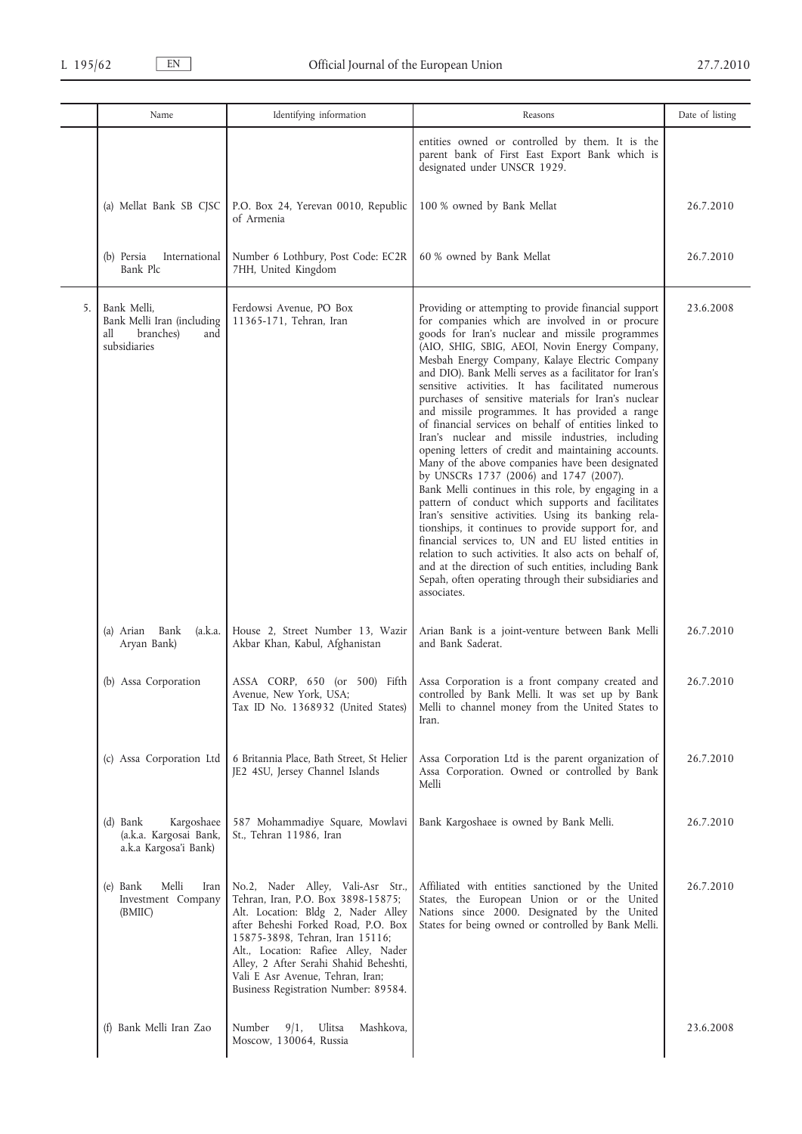|    | Name                                                                                 | Identifying information                                                                                                                                                                                                                                                                                                                              | Reasons                                                                                                                                                                                                                                                                                                                                                                                                                                                                                                                                                                                                                                                                                                                                                                                                                                                                                                                                                                                                                                                                                                                                                                                                                                | Date of listing |
|----|--------------------------------------------------------------------------------------|------------------------------------------------------------------------------------------------------------------------------------------------------------------------------------------------------------------------------------------------------------------------------------------------------------------------------------------------------|----------------------------------------------------------------------------------------------------------------------------------------------------------------------------------------------------------------------------------------------------------------------------------------------------------------------------------------------------------------------------------------------------------------------------------------------------------------------------------------------------------------------------------------------------------------------------------------------------------------------------------------------------------------------------------------------------------------------------------------------------------------------------------------------------------------------------------------------------------------------------------------------------------------------------------------------------------------------------------------------------------------------------------------------------------------------------------------------------------------------------------------------------------------------------------------------------------------------------------------|-----------------|
|    |                                                                                      |                                                                                                                                                                                                                                                                                                                                                      | entities owned or controlled by them. It is the<br>parent bank of First East Export Bank which is<br>designated under UNSCR 1929.                                                                                                                                                                                                                                                                                                                                                                                                                                                                                                                                                                                                                                                                                                                                                                                                                                                                                                                                                                                                                                                                                                      |                 |
|    | (a) Mellat Bank SB CJSC                                                              | P.O. Box 24, Yerevan 0010, Republic<br>of Armenia                                                                                                                                                                                                                                                                                                    | 100 % owned by Bank Mellat                                                                                                                                                                                                                                                                                                                                                                                                                                                                                                                                                                                                                                                                                                                                                                                                                                                                                                                                                                                                                                                                                                                                                                                                             | 26.7.2010       |
|    | (b) Persia<br>International<br>Bank Plc                                              | Number 6 Lothbury, Post Code: EC2R<br>7HH, United Kingdom                                                                                                                                                                                                                                                                                            | 60 % owned by Bank Mellat                                                                                                                                                                                                                                                                                                                                                                                                                                                                                                                                                                                                                                                                                                                                                                                                                                                                                                                                                                                                                                                                                                                                                                                                              | 26.7.2010       |
| 5. | Bank Melli,<br>Bank Melli Iran (including<br>all<br>branches)<br>and<br>subsidiaries | Ferdowsi Avenue, PO Box<br>11365-171, Tehran, Iran                                                                                                                                                                                                                                                                                                   | Providing or attempting to provide financial support<br>for companies which are involved in or procure<br>goods for Iran's nuclear and missile programmes<br>(AIO, SHIG, SBIG, AEOI, Novin Energy Company,<br>Mesbah Energy Company, Kalaye Electric Company<br>and DIO). Bank Melli serves as a facilitator for Iran's<br>sensitive activities. It has facilitated numerous<br>purchases of sensitive materials for Iran's nuclear<br>and missile programmes. It has provided a range<br>of financial services on behalf of entities linked to<br>Iran's nuclear and missile industries, including<br>opening letters of credit and maintaining accounts.<br>Many of the above companies have been designated<br>by UNSCRs 1737 (2006) and 1747 (2007).<br>Bank Melli continues in this role, by engaging in a<br>pattern of conduct which supports and facilitates<br>Iran's sensitive activities. Using its banking rela-<br>tionships, it continues to provide support for, and<br>financial services to, UN and EU listed entities in<br>relation to such activities. It also acts on behalf of,<br>and at the direction of such entities, including Bank<br>Sepah, often operating through their subsidiaries and<br>associates. | 23.6.2008       |
|    | Bank<br>(a) Arian<br>(a.k.a.<br>Aryan Bank)                                          | House 2, Street Number 13, Wazir<br>Akbar Khan, Kabul, Afghanistan                                                                                                                                                                                                                                                                                   | Arian Bank is a joint-venture between Bank Melli<br>and Bank Saderat.                                                                                                                                                                                                                                                                                                                                                                                                                                                                                                                                                                                                                                                                                                                                                                                                                                                                                                                                                                                                                                                                                                                                                                  | 26.7.2010       |
|    | (b) Assa Corporation                                                                 | ASSA CORP, 650 (or 500) Fifth<br>Avenue, New York, USA;<br>Tax ID No. 1368932 (United States)                                                                                                                                                                                                                                                        | Assa Corporation is a front company created and<br>controlled by Bank Melli. It was set up by Bank<br>Melli to channel money from the United States to<br>Iran.                                                                                                                                                                                                                                                                                                                                                                                                                                                                                                                                                                                                                                                                                                                                                                                                                                                                                                                                                                                                                                                                        | 26.7.2010       |
|    | (c) Assa Corporation Ltd                                                             | 6 Britannia Place, Bath Street, St Helier<br>JE2 4SU, Jersey Channel Islands                                                                                                                                                                                                                                                                         | Assa Corporation Ltd is the parent organization of<br>Assa Corporation. Owned or controlled by Bank<br>Melli                                                                                                                                                                                                                                                                                                                                                                                                                                                                                                                                                                                                                                                                                                                                                                                                                                                                                                                                                                                                                                                                                                                           | 26.7.2010       |
|    | $(d)$ Bank<br>Kargoshaee<br>(a.k.a. Kargosai Bank,<br>a.k.a Kargosa'i Bank)          | 587 Mohammadiye Square, Mowlavi<br>St., Tehran 11986, Iran                                                                                                                                                                                                                                                                                           | Bank Kargoshaee is owned by Bank Melli.                                                                                                                                                                                                                                                                                                                                                                                                                                                                                                                                                                                                                                                                                                                                                                                                                                                                                                                                                                                                                                                                                                                                                                                                | 26.7.2010       |
|    | Melli<br>(e) Bank<br>Iran<br>Investment Company<br>(BMIIC)                           | No.2, Nader Alley, Vali-Asr Str.,<br>Tehran, Iran, P.O. Box 3898-15875;<br>Alt. Location: Bldg 2, Nader Alley<br>after Beheshi Forked Road, P.O. Box<br>15875-3898, Tehran, Iran 15116;<br>Alt., Location: Rafiee Alley, Nader<br>Alley, 2 After Serahi Shahid Beheshti,<br>Vali E Asr Avenue, Tehran, Iran;<br>Business Registration Number: 89584. | Affiliated with entities sanctioned by the United<br>States, the European Union or or the United<br>Nations since 2000. Designated by the United<br>States for being owned or controlled by Bank Melli.                                                                                                                                                                                                                                                                                                                                                                                                                                                                                                                                                                                                                                                                                                                                                                                                                                                                                                                                                                                                                                | 26.7.2010       |
|    | (f) Bank Melli Iran Zao                                                              | 9/1,<br>Ulitsa<br>Mashkova,<br>Number<br>Moscow, 130064, Russia                                                                                                                                                                                                                                                                                      |                                                                                                                                                                                                                                                                                                                                                                                                                                                                                                                                                                                                                                                                                                                                                                                                                                                                                                                                                                                                                                                                                                                                                                                                                                        | 23.6.2008       |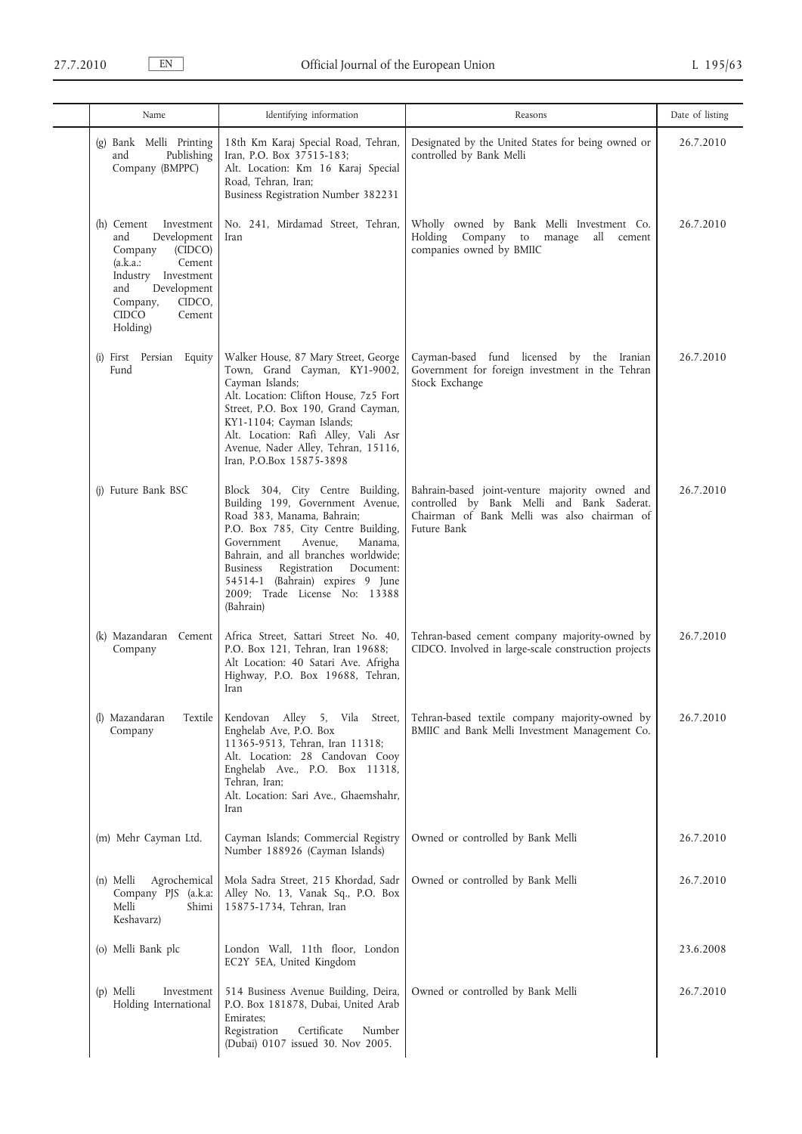| Name                                                                                                                                                                                                | Identifying information                                                                                                                                                                                                                                                                                                                                 | Reasons                                                                                                                                                    | Date of listing |
|-----------------------------------------------------------------------------------------------------------------------------------------------------------------------------------------------------|---------------------------------------------------------------------------------------------------------------------------------------------------------------------------------------------------------------------------------------------------------------------------------------------------------------------------------------------------------|------------------------------------------------------------------------------------------------------------------------------------------------------------|-----------------|
| (g) Bank Melli Printing<br>and<br>Publishing<br>Company (BMPPC)                                                                                                                                     | 18th Km Karaj Special Road, Tehran,<br>Iran, P.O. Box 37515-183;<br>Alt. Location: Km 16 Karaj Special<br>Road, Tehran, Iran;<br>Business Registration Number 382231                                                                                                                                                                                    | Designated by the United States for being owned or<br>controlled by Bank Melli                                                                             | 26.7.2010       |
| (h) Cement<br>Investment<br>and<br>Development<br>Company<br>(CIDCO)<br>Cement<br>(a.k.a.:<br>Industry Investment<br>Development<br>and<br>Company,<br>CIDCO,<br><b>CIDCO</b><br>Cement<br>Holding) | No. 241, Mirdamad Street, Tehran,<br>Iran                                                                                                                                                                                                                                                                                                               | Wholly owned by Bank Melli Investment Co.<br>Holding Company to manage<br>all cement<br>companies owned by BMIIC                                           | 26.7.2010       |
| (i) First Persian Equity<br>Fund                                                                                                                                                                    | Walker House, 87 Mary Street, George<br>Town, Grand Cayman, KY1-9002,<br>Cayman Islands;<br>Alt. Location: Clifton House, 7z5 Fort<br>Street, P.O. Box 190, Grand Cayman,<br>KY1-1104; Cayman Islands;<br>Alt. Location: Rafi Alley, Vali Asr<br>Avenue, Nader Alley, Tehran, 15116,<br>Iran, P.O.Box 15875-3898                                        | Cayman-based fund licensed by the Iranian<br>Government for foreign investment in the Tehran<br>Stock Exchange                                             | 26.7.2010       |
| (j) Future Bank BSC                                                                                                                                                                                 | Block 304, City Centre Building,<br>Building 199, Government Avenue,<br>Road 383, Manama, Bahrain;<br>P.O. Box 785, City Centre Building,<br>Manama.<br>Government<br>Avenue.<br>Bahrain, and all branches worldwide;<br>Registration<br>Document:<br><b>Business</b><br>54514-1 (Bahrain) expires 9 June<br>2009; Trade License No: 13388<br>(Bahrain) | Bahrain-based joint-venture majority owned and<br>controlled by Bank Melli and Bank Saderat.<br>Chairman of Bank Melli was also chairman of<br>Future Bank | 26.7.2010       |
| (k) Mazandaran Cement<br>Company                                                                                                                                                                    | Africa Street. Sattari Street No. 40.<br>P.O. Box 121, Tehran, Iran 19688;<br>Alt Location: 40 Satari Ave. Afrigha<br>Highway, P.O. Box 19688, Tehran,<br>Iran                                                                                                                                                                                          | Tehran-based cement company majority-owned by<br>CIDCO. Involved in large-scale construction projects                                                      | 26.7.2010       |
| (l) Mazandaran<br>Textile<br>Company                                                                                                                                                                | Kendovan Alley 5, Vila Street,<br>Enghelab Ave, P.O. Box<br>11365-9513, Tehran, Iran 11318;<br>Alt. Location: 28 Candovan Cooy<br>Enghelab Ave., P.O. Box 11318,<br>Tehran, Iran;<br>Alt. Location: Sari Ave., Ghaemshahr,<br>Iran                                                                                                                      | Tehran-based textile company majority-owned by<br>BMIIC and Bank Melli Investment Management Co.                                                           | 26.7.2010       |
| (m) Mehr Cayman Ltd.                                                                                                                                                                                | Cayman Islands; Commercial Registry<br>Number 188926 (Cayman Islands)                                                                                                                                                                                                                                                                                   | Owned or controlled by Bank Melli                                                                                                                          | 26.7.2010       |
| Agrochemical<br>(n) Melli<br>Company PJS (a.k.a:<br>Melli<br>Shimi<br>Keshavarz)                                                                                                                    | Mola Sadra Street, 215 Khordad, Sadr<br>Alley No. 13, Vanak Sq., P.O. Box<br>15875-1734, Tehran, Iran                                                                                                                                                                                                                                                   | Owned or controlled by Bank Melli                                                                                                                          | 26.7.2010       |
| (o) Melli Bank plc                                                                                                                                                                                  | London Wall, 11th floor, London<br>EC2Y 5EA, United Kingdom                                                                                                                                                                                                                                                                                             |                                                                                                                                                            | 23.6.2008       |
| (p) Melli<br>Investment<br>Holding International                                                                                                                                                    | 514 Business Avenue Building, Deira,<br>P.O. Box 181878, Dubai, United Arab<br>Emirates;<br>Certificate<br>Registration<br>Number<br>(Dubai) 0107 issued 30. Nov 2005.                                                                                                                                                                                  | Owned or controlled by Bank Melli                                                                                                                          | 26.7.2010       |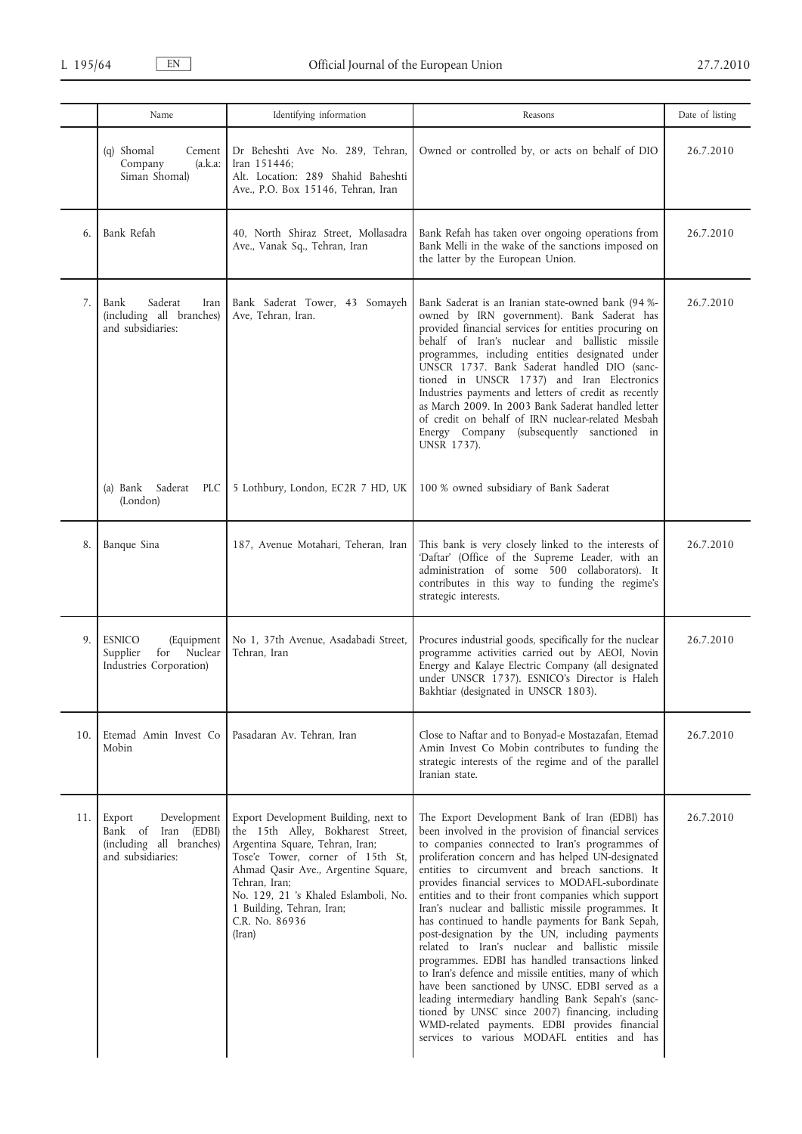|     | Name                                                                                             | Identifying information                                                                                                                                                                                                                                                                                   | Reasons                                                                                                                                                                                                                                                                                                                                                                                                                                                                                                                                                                                                                                                                                                                                                                                                                                                                                                                                                              | Date of listing |
|-----|--------------------------------------------------------------------------------------------------|-----------------------------------------------------------------------------------------------------------------------------------------------------------------------------------------------------------------------------------------------------------------------------------------------------------|----------------------------------------------------------------------------------------------------------------------------------------------------------------------------------------------------------------------------------------------------------------------------------------------------------------------------------------------------------------------------------------------------------------------------------------------------------------------------------------------------------------------------------------------------------------------------------------------------------------------------------------------------------------------------------------------------------------------------------------------------------------------------------------------------------------------------------------------------------------------------------------------------------------------------------------------------------------------|-----------------|
|     | (q) Shomal<br>Cement<br>(a.k.a:<br>Company<br>Siman Shomal)                                      | Dr Beheshti Ave No. 289, Tehran,<br>Iran 151446;<br>Alt. Location: 289 Shahid Baheshti<br>Ave., P.O. Box 15146, Tehran, Iran                                                                                                                                                                              | Owned or controlled by, or acts on behalf of DIO                                                                                                                                                                                                                                                                                                                                                                                                                                                                                                                                                                                                                                                                                                                                                                                                                                                                                                                     | 26.7.2010       |
| 6.  | Bank Refah                                                                                       | 40, North Shiraz Street, Mollasadra<br>Ave., Vanak Sq., Tehran, Iran                                                                                                                                                                                                                                      | Bank Refah has taken over ongoing operations from<br>Bank Melli in the wake of the sanctions imposed on<br>the latter by the European Union.                                                                                                                                                                                                                                                                                                                                                                                                                                                                                                                                                                                                                                                                                                                                                                                                                         | 26.7.2010       |
| 7.  | Saderat<br>Bank<br>Iran<br>(including all branches)<br>and subsidiaries:                         | Bank Saderat Tower, 43 Somayeh<br>Ave, Tehran, Iran.                                                                                                                                                                                                                                                      | Bank Saderat is an Iranian state-owned bank (94 %-<br>owned by IRN government). Bank Saderat has<br>provided financial services for entities procuring on<br>behalf of Iran's nuclear and ballistic missile<br>programmes, including entities designated under<br>UNSCR 1737. Bank Saderat handled DIO (sanc-<br>tioned in UNSCR 1737) and Iran Electronics<br>Industries payments and letters of credit as recently<br>as March 2009. In 2003 Bank Saderat handled letter<br>of credit on behalf of IRN nuclear-related Mesbah<br>Energy Company (subsequently sanctioned in<br>UNSR 1737).                                                                                                                                                                                                                                                                                                                                                                         | 26.7.2010       |
|     | Saderat<br><b>PLC</b><br>(a) Bank<br>(London)                                                    | 5 Lothbury, London, EC2R 7 HD, UK                                                                                                                                                                                                                                                                         | 100 % owned subsidiary of Bank Saderat                                                                                                                                                                                                                                                                                                                                                                                                                                                                                                                                                                                                                                                                                                                                                                                                                                                                                                                               |                 |
| 8.  | Banque Sina                                                                                      | 187, Avenue Motahari, Teheran, Iran                                                                                                                                                                                                                                                                       | This bank is very closely linked to the interests of<br>'Daftar' (Office of the Supreme Leader, with an<br>administration of some 500 collaborators). It<br>contributes in this way to funding the regime's<br>strategic interests.                                                                                                                                                                                                                                                                                                                                                                                                                                                                                                                                                                                                                                                                                                                                  | 26.7.2010       |
| 9.  | <b>ESNICO</b><br>(Equipment<br>for Nuclear<br>Supplier<br>Industries Corporation)                | No 1, 37th Avenue, Asadabadi Street,<br>Tehran, Iran                                                                                                                                                                                                                                                      | Procures industrial goods, specifically for the nuclear<br>programme activities carried out by AEOI, Novin<br>Energy and Kalaye Electric Company (all designated<br>under UNSCR 1737). ESNICO's Director is Haleh<br>Bakhtiar (designated in UNSCR 1803).                                                                                                                                                                                                                                                                                                                                                                                                                                                                                                                                                                                                                                                                                                            | 26.7.2010       |
| 10. | Etemad Amin Invest Co<br>Mobin                                                                   | Pasadaran Av. Tehran, Iran                                                                                                                                                                                                                                                                                | Close to Naftar and to Bonyad-e Mostazafan, Etemad<br>Amin Invest Co Mobin contributes to funding the<br>strategic interests of the regime and of the parallel<br>Iranian state.                                                                                                                                                                                                                                                                                                                                                                                                                                                                                                                                                                                                                                                                                                                                                                                     | 26.7.2010       |
| 11. | Export<br>Development<br>Bank of<br>Iran (EDBI)<br>(including all branches)<br>and subsidiaries: | Export Development Building, next to<br>the 15th Alley, Bokharest Street,<br>Argentina Square, Tehran, Iran;<br>Tose'e Tower, corner of 15th St,<br>Ahmad Qasir Ave., Argentine Square,<br>Tehran, Iran;<br>No. 129, 21 's Khaled Eslamboli, No.<br>1 Building, Tehran, Iran;<br>C.R. No. 86936<br>(Iran) | The Export Development Bank of Iran (EDBI) has<br>been involved in the provision of financial services<br>to companies connected to Iran's programmes of<br>proliferation concern and has helped UN-designated<br>entities to circumvent and breach sanctions. It<br>provides financial services to MODAFL-subordinate<br>entities and to their front companies which support<br>Iran's nuclear and ballistic missile programmes. It<br>has continued to handle payments for Bank Sepah,<br>post-designation by the UN, including payments<br>related to Iran's nuclear and ballistic missile<br>programmes. EDBI has handled transactions linked<br>to Iran's defence and missile entities, many of which<br>have been sanctioned by UNSC. EDBI served as a<br>leading intermediary handling Bank Sepah's (sanc-<br>tioned by UNSC since 2007) financing, including<br>WMD-related payments. EDBI provides financial<br>services to various MODAFL entities and has | 26.7.2010       |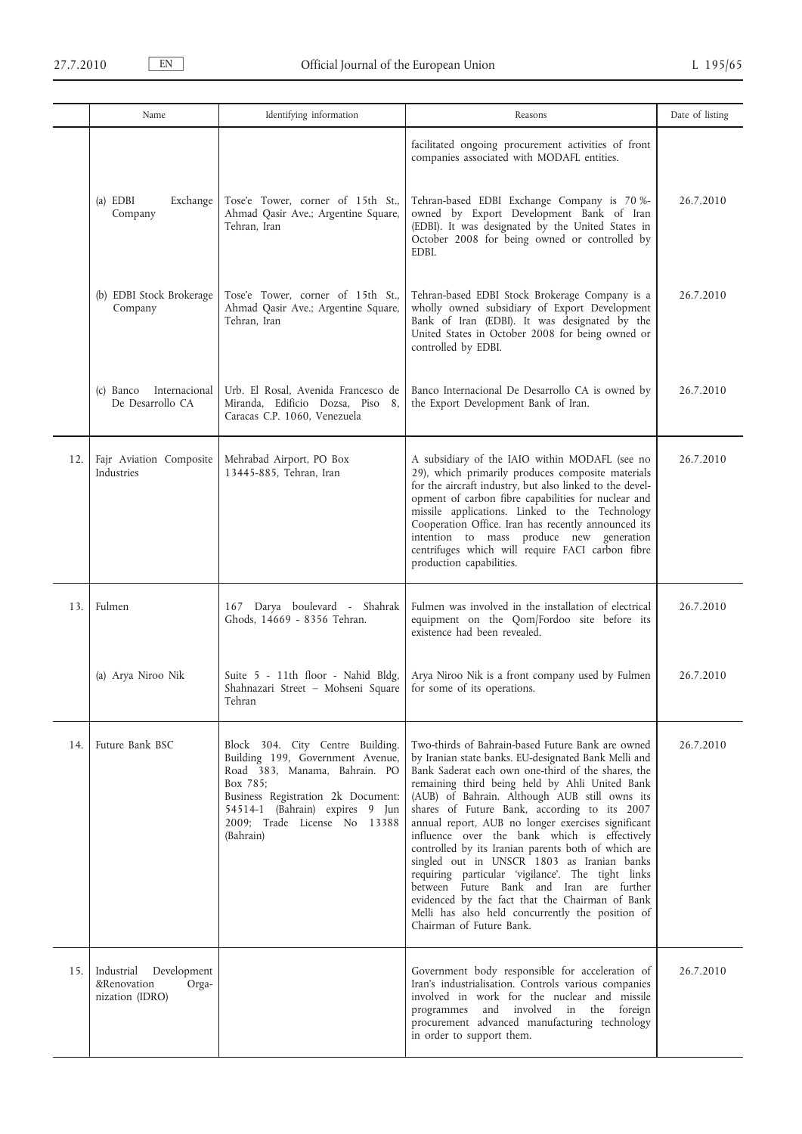|     | Name                                                                 | Identifying information                                                                                                                                                                                                                 | Reasons                                                                                                                                                                                                                                                                                                                                                                                                                                                                                                                                                                                                                                                                                                                                                           | Date of listing |
|-----|----------------------------------------------------------------------|-----------------------------------------------------------------------------------------------------------------------------------------------------------------------------------------------------------------------------------------|-------------------------------------------------------------------------------------------------------------------------------------------------------------------------------------------------------------------------------------------------------------------------------------------------------------------------------------------------------------------------------------------------------------------------------------------------------------------------------------------------------------------------------------------------------------------------------------------------------------------------------------------------------------------------------------------------------------------------------------------------------------------|-----------------|
|     |                                                                      |                                                                                                                                                                                                                                         | facilitated ongoing procurement activities of front<br>companies associated with MODAFL entities.                                                                                                                                                                                                                                                                                                                                                                                                                                                                                                                                                                                                                                                                 |                 |
|     | $(a)$ EDBI<br>Exchange<br>Company                                    | Tose'e Tower, corner of 15th St.,<br>Ahmad Qasir Ave.; Argentine Square,<br>Tehran, Iran                                                                                                                                                | Tehran-based EDBI Exchange Company is 70%-<br>owned by Export Development Bank of Iran<br>(EDBI). It was designated by the United States in<br>October 2008 for being owned or controlled by<br>EDBI.                                                                                                                                                                                                                                                                                                                                                                                                                                                                                                                                                             | 26.7.2010       |
|     | (b) EDBI Stock Brokerage<br>Company                                  | Tose'e Tower, corner of 15th St.,<br>Ahmad Qasir Ave.; Argentine Square,<br>Tehran, Iran                                                                                                                                                | Tehran-based EDBI Stock Brokerage Company is a<br>wholly owned subsidiary of Export Development<br>Bank of Iran (EDBI). It was designated by the<br>United States in October 2008 for being owned or<br>controlled by EDBI.                                                                                                                                                                                                                                                                                                                                                                                                                                                                                                                                       | 26.7.2010       |
|     | Internacional<br>$(c)$ Banco<br>De Desarrollo CA                     | Urb. El Rosal, Avenida Francesco de<br>Miranda, Edificio Dozsa, Piso 8,<br>Caracas C.P. 1060, Venezuela                                                                                                                                 | Banco Internacional De Desarrollo CA is owned by<br>the Export Development Bank of Iran.                                                                                                                                                                                                                                                                                                                                                                                                                                                                                                                                                                                                                                                                          | 26.7.2010       |
| 12. | Fajr Aviation Composite<br>Industries                                | Mehrabad Airport, PO Box<br>13445-885, Tehran, Iran                                                                                                                                                                                     | A subsidiary of the IAIO within MODAFL (see no<br>29), which primarily produces composite materials<br>for the aircraft industry, but also linked to the devel-<br>opment of carbon fibre capabilities for nuclear and<br>missile applications. Linked to the Technology<br>Cooperation Office. Iran has recently announced its<br>intention to mass produce new generation<br>centrifuges which will require FACI carbon fibre<br>production capabilities.                                                                                                                                                                                                                                                                                                       | 26.7.2010       |
| 13. | Fulmen                                                               | 167 Darya boulevard - Shahrak<br>Ghods, 14669 - 8356 Tehran.                                                                                                                                                                            | Fulmen was involved in the installation of electrical<br>equipment on the Qom/Fordoo site before its<br>existence had been revealed.                                                                                                                                                                                                                                                                                                                                                                                                                                                                                                                                                                                                                              | 26.7.2010       |
|     | (a) Arya Niroo Nik                                                   | Suite 5 - 11th floor - Nahid Bldg,<br>Shahnazari Street - Mohseni Square<br>Tehran                                                                                                                                                      | Arya Niroo Nik is a front company used by Fulmen<br>for some of its operations.                                                                                                                                                                                                                                                                                                                                                                                                                                                                                                                                                                                                                                                                                   | 26.7.2010       |
| 14. | Future Bank BSC                                                      | Block 304. City Centre Building.<br>Building 199, Government Avenue,<br>Road 383, Manama, Bahrain. PO<br>Box 785;<br>Business Registration 2k Document:<br>54514-1 (Bahrain) expires 9 Jun<br>2009; Trade License No 13388<br>(Bahrain) | Two-thirds of Bahrain-based Future Bank are owned<br>by Iranian state banks. EU-designated Bank Melli and<br>Bank Saderat each own one-third of the shares, the<br>remaining third being held by Ahli United Bank<br>(AUB) of Bahrain. Although AUB still owns its<br>shares of Future Bank, according to its 2007<br>annual report, AUB no longer exercises significant<br>influence over the bank which is effectively<br>controlled by its Iranian parents both of which are<br>singled out in UNSCR 1803 as Iranian banks<br>requiring particular 'vigilance'. The tight links<br>between Future Bank and Iran are further<br>evidenced by the fact that the Chairman of Bank<br>Melli has also held concurrently the position of<br>Chairman of Future Bank. | 26.7.2010       |
| 15. | Industrial<br>Development<br>&Renovation<br>Orga-<br>nization (IDRO) |                                                                                                                                                                                                                                         | Government body responsible for acceleration of<br>Iran's industrialisation. Controls various companies<br>involved in work for the nuclear and missile<br>programmes and involved in the foreign<br>procurement advanced manufacturing technology<br>in order to support them.                                                                                                                                                                                                                                                                                                                                                                                                                                                                                   | 26.7.2010       |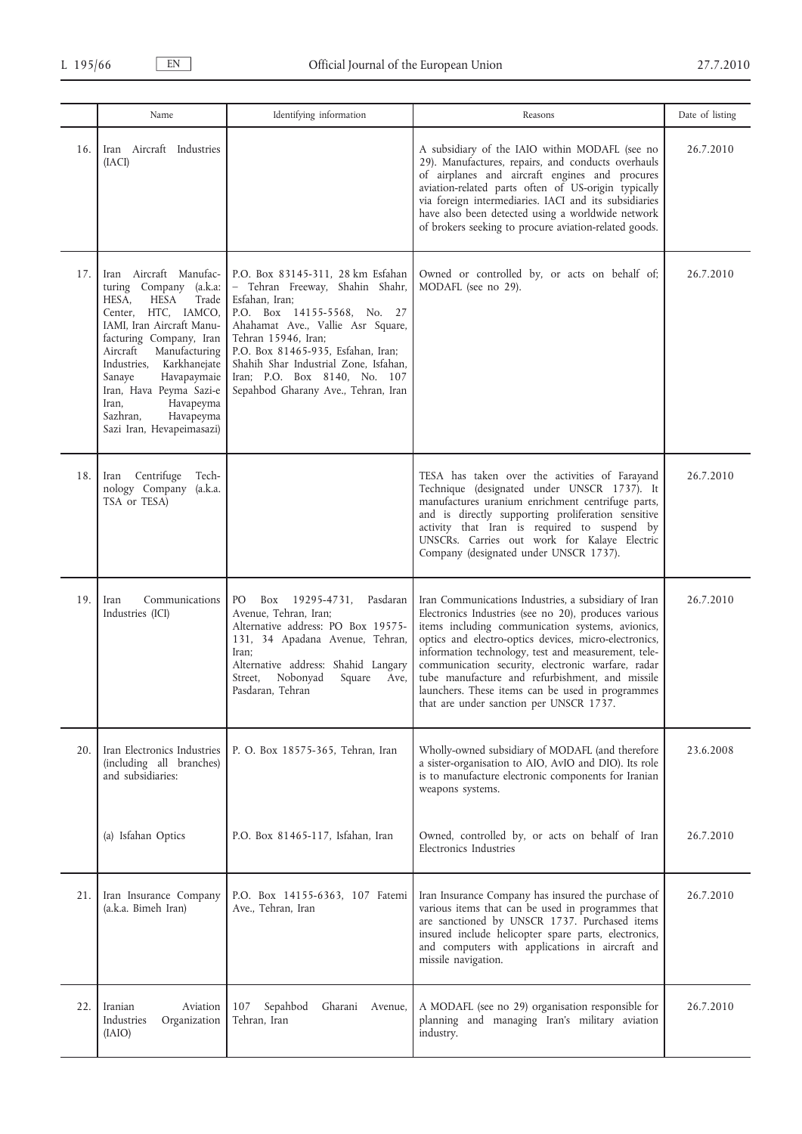|     | Name                                                                                                                                                                                                                                                                                                                                                         | Identifying information                                                                                                                                                                                                                                                                                                                 | Reasons                                                                                                                                                                                                                                                                                                                                                                                                                                                                                 | Date of listing |
|-----|--------------------------------------------------------------------------------------------------------------------------------------------------------------------------------------------------------------------------------------------------------------------------------------------------------------------------------------------------------------|-----------------------------------------------------------------------------------------------------------------------------------------------------------------------------------------------------------------------------------------------------------------------------------------------------------------------------------------|-----------------------------------------------------------------------------------------------------------------------------------------------------------------------------------------------------------------------------------------------------------------------------------------------------------------------------------------------------------------------------------------------------------------------------------------------------------------------------------------|-----------------|
| 16. | Iran Aircraft Industries<br>(IACI)                                                                                                                                                                                                                                                                                                                           |                                                                                                                                                                                                                                                                                                                                         | A subsidiary of the IAIO within MODAFL (see no<br>29). Manufactures, repairs, and conducts overhauls<br>of airplanes and aircraft engines and procures<br>aviation-related parts often of US-origin typically<br>via foreign intermediaries. IACI and its subsidiaries<br>have also been detected using a worldwide network<br>of brokers seeking to procure aviation-related goods.                                                                                                    | 26.7.2010       |
| 17. | Iran Aircraft Manufac-<br>turing Company (a.k.a:<br>HESA,<br><b>HESA</b><br>Trade<br>Center, HTC, IAMCO,<br>IAMI, Iran Aircraft Manu-<br>facturing Company, Iran<br>Aircraft<br>Manufacturing<br>Industries,<br>Karkhanejate<br>Havapaymaie<br>Sanaye<br>Iran, Hava Peyma Sazi-e<br>Havapeyma<br>Iran,<br>Sazhran,<br>Havapeyma<br>Sazi Iran, Hevapeimasazi) | P.O. Box 83145-311, 28 km Esfahan<br>- Tehran Freeway, Shahin Shahr,<br>Esfahan, Iran;<br>P.O. Box 14155-5568, No. 27<br>Ahahamat Ave., Vallie Asr Square,<br>Tehran 15946, Iran;<br>P.O. Box 81465-935, Esfahan, Iran;<br>Shahih Shar Industrial Zone, Isfahan,<br>Iran; P.O. Box 8140, No. 107<br>Sepahbod Gharany Ave., Tehran, Iran | Owned or controlled by, or acts on behalf of;<br>MODAFL (see no 29).                                                                                                                                                                                                                                                                                                                                                                                                                    | 26.7.2010       |
| 18. | Iran Centrifuge<br>Tech-<br>nology Company<br>(a.k.a.<br>TSA or TESA)                                                                                                                                                                                                                                                                                        |                                                                                                                                                                                                                                                                                                                                         | TESA has taken over the activities of Farayand<br>Technique (designated under UNSCR 1737). It<br>manufactures uranium enrichment centrifuge parts,<br>and is directly supporting proliferation sensitive<br>activity that Iran is required to suspend by<br>UNSCRs. Carries out work for Kalaye Electric<br>Company (designated under UNSCR 1737).                                                                                                                                      | 26.7.2010       |
| 19. | Communications<br>Iran<br>Industries (ICI)                                                                                                                                                                                                                                                                                                                   | 19295-4731,<br>Pasdaran<br>PO.<br>Box<br>Avenue, Tehran, Iran;<br>Alternative address: PO Box 19575-<br>131, 34 Apadana Avenue, Tehran,<br>Iran;<br>Alternative address: Shahid Langary<br>Nobonyad<br>Street,<br>Square<br>Ave,<br>Pasdaran. Tehran                                                                                    | Iran Communications Industries, a subsidiary of Iran<br>Electronics Industries (see no 20), produces various<br>items including communication systems, avionics,<br>optics and electro-optics devices, micro-electronics,<br>information technology, test and measurement, tele-<br>communication security, electronic warfare, radar<br>tube manufacture and refurbishment, and missile<br>launchers. These items can be used in programmes<br>that are under sanction per UNSCR 1737. | 26.7.2010       |
| 20. | Iran Electronics Industries<br>(including all branches)<br>and subsidiaries:                                                                                                                                                                                                                                                                                 | P. O. Box 18575-365, Tehran, Iran                                                                                                                                                                                                                                                                                                       | Wholly-owned subsidiary of MODAFL (and therefore<br>a sister-organisation to AIO, AvIO and DIO). Its role<br>is to manufacture electronic components for Iranian<br>weapons systems.                                                                                                                                                                                                                                                                                                    | 23.6.2008       |
|     | (a) Isfahan Optics                                                                                                                                                                                                                                                                                                                                           | P.O. Box 81465-117, Isfahan, Iran                                                                                                                                                                                                                                                                                                       | Owned, controlled by, or acts on behalf of Iran<br>Electronics Industries                                                                                                                                                                                                                                                                                                                                                                                                               | 26.7.2010       |
| 21. | Iran Insurance Company<br>(a.k.a. Bimeh Iran)                                                                                                                                                                                                                                                                                                                | P.O. Box 14155-6363, 107 Fatemi<br>Ave., Tehran, Iran                                                                                                                                                                                                                                                                                   | Iran Insurance Company has insured the purchase of<br>various items that can be used in programmes that<br>are sanctioned by UNSCR 1737. Purchased items<br>insured include helicopter spare parts, electronics,<br>and computers with applications in aircraft and<br>missile navigation.                                                                                                                                                                                              | 26.7.2010       |
| 22. | Iranian<br>Aviation<br>Industries<br>Organization<br>(IAIO)                                                                                                                                                                                                                                                                                                  | Sepahbod<br>107<br>Gharani<br>Avenue,<br>Tehran, Iran                                                                                                                                                                                                                                                                                   | A MODAFL (see no 29) organisation responsible for<br>planning and managing Iran's military aviation<br>industry.                                                                                                                                                                                                                                                                                                                                                                        | 26.7.2010       |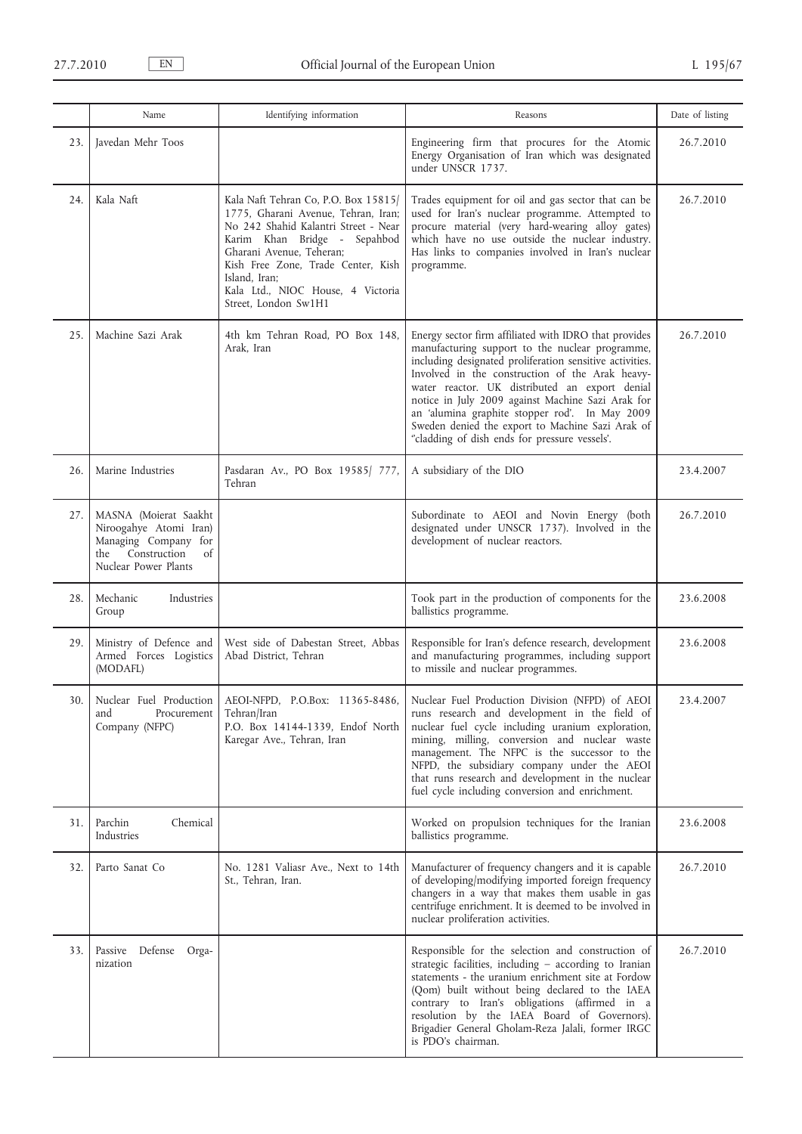|     | Name                                                                                                                         | Identifying information                                                                                                                                                                                                                                                                             | Reasons                                                                                                                                                                                                                                                                                                                                                                                                                                                                               | Date of listing |
|-----|------------------------------------------------------------------------------------------------------------------------------|-----------------------------------------------------------------------------------------------------------------------------------------------------------------------------------------------------------------------------------------------------------------------------------------------------|---------------------------------------------------------------------------------------------------------------------------------------------------------------------------------------------------------------------------------------------------------------------------------------------------------------------------------------------------------------------------------------------------------------------------------------------------------------------------------------|-----------------|
| 23. | Javedan Mehr Toos                                                                                                            |                                                                                                                                                                                                                                                                                                     | Engineering firm that procures for the Atomic<br>Energy Organisation of Iran which was designated<br>under UNSCR 1737.                                                                                                                                                                                                                                                                                                                                                                | 26.7.2010       |
| 24. | Kala Naft                                                                                                                    | Kala Naft Tehran Co, P.O. Box 15815/<br>1775, Gharani Avenue, Tehran, Iran;<br>No 242 Shahid Kalantri Street - Near<br>Karim Khan Bridge - Sepahbod<br>Gharani Avenue, Teheran;<br>Kish Free Zone. Trade Center. Kish<br>Island, Iran;<br>Kala Ltd., NIOC House, 4 Victoria<br>Street, London Sw1H1 | Trades equipment for oil and gas sector that can be<br>used for Iran's nuclear programme. Attempted to<br>procure material (very hard-wearing alloy gates)<br>which have no use outside the nuclear industry.<br>Has links to companies involved in Iran's nuclear<br>programme.                                                                                                                                                                                                      | 26.7.2010       |
| 25. | Machine Sazi Arak                                                                                                            | 4th km Tehran Road, PO Box 148,<br>Arak, Iran                                                                                                                                                                                                                                                       | Energy sector firm affiliated with IDRO that provides<br>manufacturing support to the nuclear programme,<br>including designated proliferation sensitive activities.<br>Involved in the construction of the Arak heavy-<br>water reactor. UK distributed an export denial<br>notice in July 2009 against Machine Sazi Arak for<br>an 'alumina graphite stopper rod'. In May 2009<br>Sweden denied the export to Machine Sazi Arak of<br>"cladding of dish ends for pressure vessels'. | 26.7.2010       |
| 26. | Marine Industries                                                                                                            | Pasdaran Av., PO Box 19585/ 777,<br>Tehran                                                                                                                                                                                                                                                          | A subsidiary of the DIO                                                                                                                                                                                                                                                                                                                                                                                                                                                               | 23.4.2007       |
| 27. | MASNA (Moierat Saakht<br>Niroogahye Atomi Iran)<br>Managing Company for<br>Construction<br>of<br>the<br>Nuclear Power Plants |                                                                                                                                                                                                                                                                                                     | Subordinate to AEOI and Novin Energy (both<br>designated under UNSCR 1737). Involved in the<br>development of nuclear reactors.                                                                                                                                                                                                                                                                                                                                                       | 26.7.2010       |
| 28. | Mechanic<br>Industries<br>Group                                                                                              |                                                                                                                                                                                                                                                                                                     | Took part in the production of components for the<br>ballistics programme.                                                                                                                                                                                                                                                                                                                                                                                                            | 23.6.2008       |
| 29. | Ministry of Defence and<br>Armed Forces Logistics<br>(MODAFL)                                                                | West side of Dabestan Street, Abbas<br>Abad District, Tehran                                                                                                                                                                                                                                        | Responsible for Iran's defence research, development<br>and manufacturing programmes, including support<br>to missile and nuclear programmes.                                                                                                                                                                                                                                                                                                                                         | 23.6.2008       |
| 30. | Nuclear Fuel Production<br>and<br>Procurement<br>Company (NFPC)                                                              | AEOI-NFPD, P.O.Box: 11365-8486,<br>Tehran/Iran<br>P.O. Box 14144-1339, Endof North<br>Karegar Ave., Tehran, Iran                                                                                                                                                                                    | Nuclear Fuel Production Division (NFPD) of AEOI<br>runs research and development in the field of<br>nuclear fuel cycle including uranium exploration,<br>mining, milling, conversion and nuclear waste<br>management. The NFPC is the successor to the<br>NFPD, the subsidiary company under the AEOI<br>that runs research and development in the nuclear<br>fuel cycle including conversion and enrichment.                                                                         | 23.4.2007       |
| 31. | Parchin<br>Chemical<br>Industries                                                                                            |                                                                                                                                                                                                                                                                                                     | Worked on propulsion techniques for the Iranian<br>ballistics programme.                                                                                                                                                                                                                                                                                                                                                                                                              | 23.6.2008       |
| 32. | Parto Sanat Co                                                                                                               | No. 1281 Valiasr Ave., Next to 14th<br>St., Tehran, Iran.                                                                                                                                                                                                                                           | Manufacturer of frequency changers and it is capable<br>of developing/modifying imported foreign frequency<br>changers in a way that makes them usable in gas<br>centrifuge enrichment. It is deemed to be involved in<br>nuclear proliferation activities.                                                                                                                                                                                                                           | 26.7.2010       |
| 33. | Passive<br>Defense<br>Orga-<br>nization                                                                                      |                                                                                                                                                                                                                                                                                                     | Responsible for the selection and construction of<br>strategic facilities, including - according to Iranian<br>statements - the uranium enrichment site at Fordow<br>(Qom) built without being declared to the IAEA<br>contrary to Iran's obligations (affirmed in a<br>resolution by the IAEA Board of Governors).<br>Brigadier General Gholam-Reza Jalali, former IRGC<br>is PDO's chairman.                                                                                        | 26.7.2010       |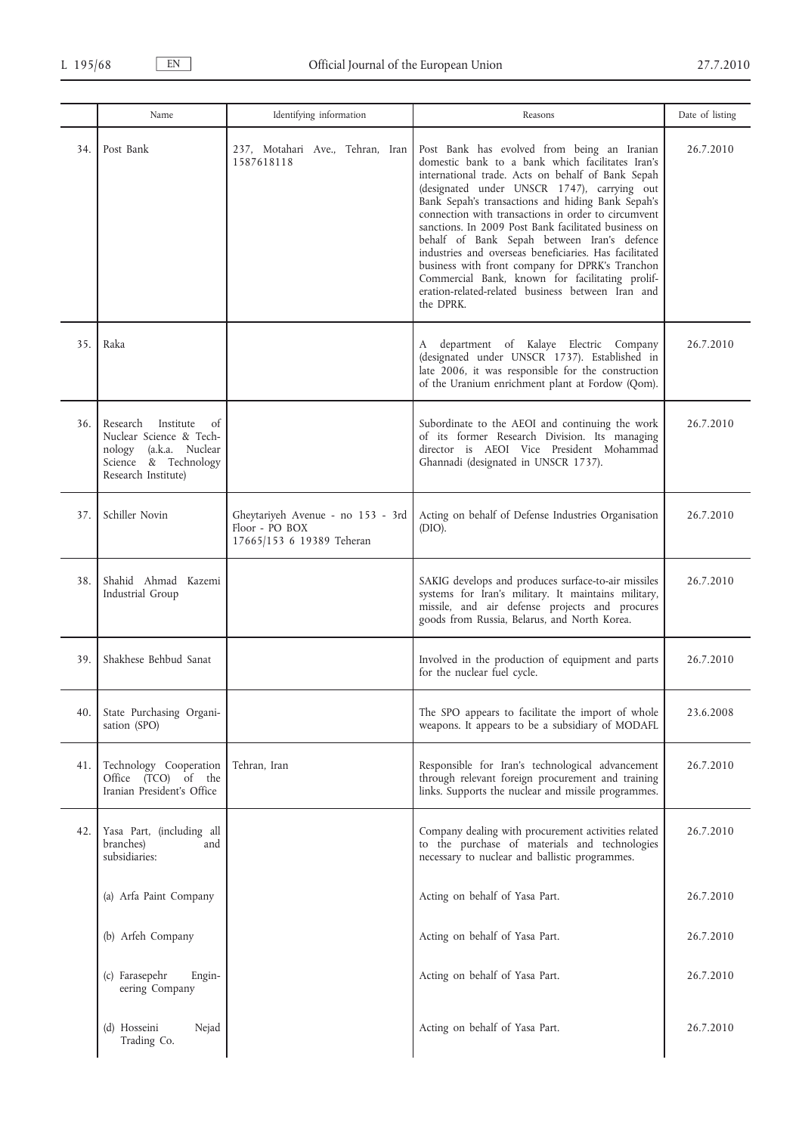|     | Name                                                                                                                            | Identifying information                                                          | Reasons                                                                                                                                                                                                                                                                                                                                                                                                                                                                                                                                                                                                                                                  | Date of listing |
|-----|---------------------------------------------------------------------------------------------------------------------------------|----------------------------------------------------------------------------------|----------------------------------------------------------------------------------------------------------------------------------------------------------------------------------------------------------------------------------------------------------------------------------------------------------------------------------------------------------------------------------------------------------------------------------------------------------------------------------------------------------------------------------------------------------------------------------------------------------------------------------------------------------|-----------------|
| 34. | Post Bank                                                                                                                       | 237, Motahari Ave., Tehran, Iran<br>1587618118                                   | Post Bank has evolved from being an Iranian<br>domestic bank to a bank which facilitates Iran's<br>international trade. Acts on behalf of Bank Sepah<br>(designated under UNSCR 1747), carrying out<br>Bank Sepah's transactions and hiding Bank Sepah's<br>connection with transactions in order to circumvent<br>sanctions. In 2009 Post Bank facilitated business on<br>behalf of Bank Sepah between Iran's defence<br>industries and overseas beneficiaries. Has facilitated<br>business with front company for DPRK's Tranchon<br>Commercial Bank, known for facilitating prolif-<br>eration-related-related business between Iran and<br>the DPRK. | 26.7.2010       |
| 35. | Raka                                                                                                                            |                                                                                  | A department of Kalaye Electric Company<br>(designated under UNSCR 1737). Established in<br>late 2006, it was responsible for the construction<br>of the Uranium enrichment plant at Fordow (Qom).                                                                                                                                                                                                                                                                                                                                                                                                                                                       | 26.7.2010       |
| 36. | Research<br>Institute<br>οf<br>Nuclear Science & Tech-<br>nology (a.k.a. Nuclear<br>Science & Technology<br>Research Institute) |                                                                                  | Subordinate to the AEOI and continuing the work<br>of its former Research Division. Its managing<br>director is AEOI Vice President Mohammad<br>Ghannadi (designated in UNSCR 1737).                                                                                                                                                                                                                                                                                                                                                                                                                                                                     | 26.7.2010       |
| 37. | Schiller Novin                                                                                                                  | Gheytariyeh Avenue - no 153 - 3rd<br>Floor - PO BOX<br>17665/153 6 19389 Teheran | Acting on behalf of Defense Industries Organisation<br>(DIO).                                                                                                                                                                                                                                                                                                                                                                                                                                                                                                                                                                                            | 26.7.2010       |
| 38. | Shahid Ahmad Kazemi<br>Industrial Group                                                                                         |                                                                                  | SAKIG develops and produces surface-to-air missiles<br>systems for Iran's military. It maintains military,<br>missile, and air defense projects and procures<br>goods from Russia, Belarus, and North Korea.                                                                                                                                                                                                                                                                                                                                                                                                                                             | 26.7.2010       |
| 39. | Shakhese Behbud Sanat                                                                                                           |                                                                                  | Involved in the production of equipment and parts<br>for the nuclear fuel cycle.                                                                                                                                                                                                                                                                                                                                                                                                                                                                                                                                                                         | 26.7.2010       |
| 40. | State Purchasing Organi-<br>sation (SPO)                                                                                        |                                                                                  | The SPO appears to facilitate the import of whole<br>weapons. It appears to be a subsidiary of MODAFL                                                                                                                                                                                                                                                                                                                                                                                                                                                                                                                                                    | 23.6.2008       |
| 41. | Technology Cooperation<br>Office (TCO) of the<br>Iranian President's Office                                                     | Tehran, Iran                                                                     | Responsible for Iran's technological advancement<br>through relevant foreign procurement and training<br>links. Supports the nuclear and missile programmes.                                                                                                                                                                                                                                                                                                                                                                                                                                                                                             | 26.7.2010       |
| 42. | Yasa Part, (including all<br>branches)<br>and<br>subsidiaries:                                                                  |                                                                                  | Company dealing with procurement activities related<br>to the purchase of materials and technologies<br>necessary to nuclear and ballistic programmes.                                                                                                                                                                                                                                                                                                                                                                                                                                                                                                   | 26.7.2010       |
|     | (a) Arfa Paint Company                                                                                                          |                                                                                  | Acting on behalf of Yasa Part.                                                                                                                                                                                                                                                                                                                                                                                                                                                                                                                                                                                                                           | 26.7.2010       |
|     | (b) Arfeh Company                                                                                                               |                                                                                  | Acting on behalf of Yasa Part.                                                                                                                                                                                                                                                                                                                                                                                                                                                                                                                                                                                                                           | 26.7.2010       |
|     | (c) Farasepehr<br>Engin-<br>eering Company                                                                                      |                                                                                  | Acting on behalf of Yasa Part.                                                                                                                                                                                                                                                                                                                                                                                                                                                                                                                                                                                                                           | 26.7.2010       |
|     | (d) Hosseini<br>Nejad<br>Trading Co.                                                                                            |                                                                                  | Acting on behalf of Yasa Part.                                                                                                                                                                                                                                                                                                                                                                                                                                                                                                                                                                                                                           | 26.7.2010       |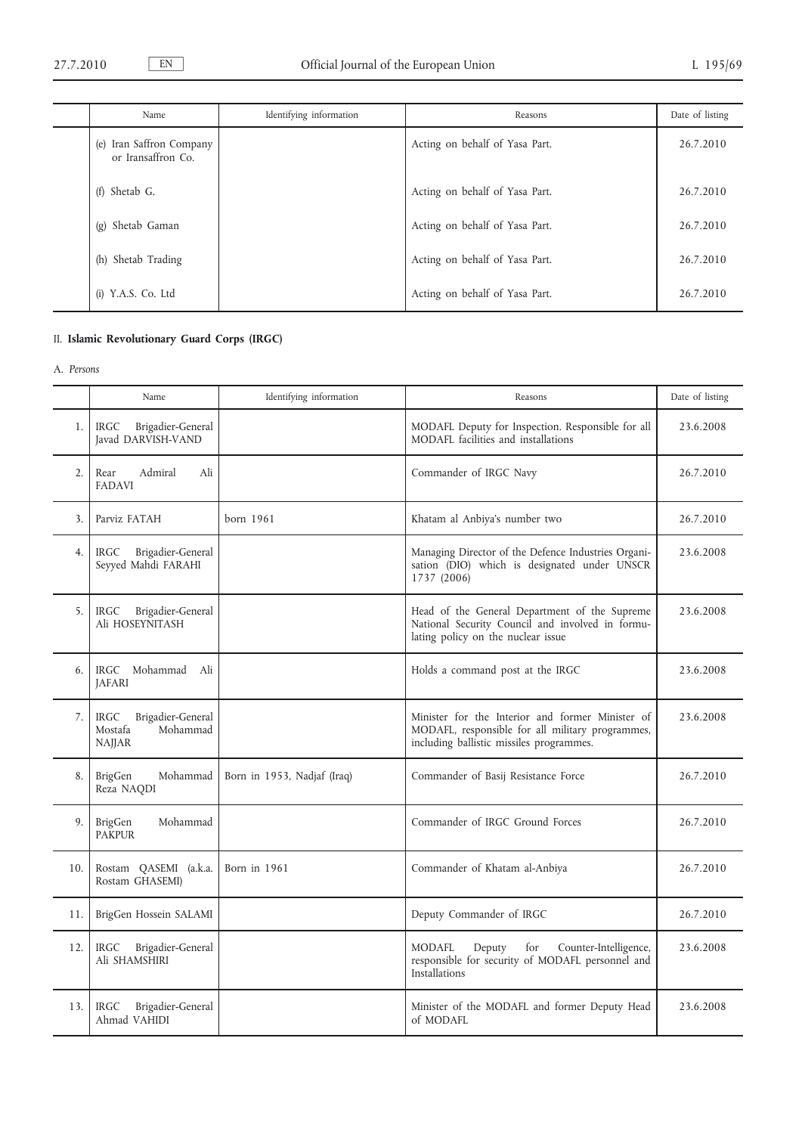| Name                                           | Identifying information | Reasons                        | Date of listing |
|------------------------------------------------|-------------------------|--------------------------------|-----------------|
| (e) Iran Saffron Company<br>or Iransaffron Co. |                         | Acting on behalf of Yasa Part. | 26.7.2010       |
| (f) Shetab G.                                  |                         | Acting on behalf of Yasa Part. | 26.7.2010       |
| (g) Shetab Gaman                               |                         | Acting on behalf of Yasa Part. | 26.7.2010       |
| (h) Shetab Trading                             |                         | Acting on behalf of Yasa Part. | 26.7.2010       |
| $(i)$ Y.A.S. Co. Ltd                           |                         | Acting on behalf of Yasa Part. | 26.7.2010       |

# II. **Islamic Revolutionary Guard Corps (IRGC)**

## A. *Persons*

|     | Name                                                                     | Identifying information     | Reasons                                                                                                                                          | Date of listing |
|-----|--------------------------------------------------------------------------|-----------------------------|--------------------------------------------------------------------------------------------------------------------------------------------------|-----------------|
| 1.  | <b>IRGC</b><br>Brigadier-General<br>Javad DARVISH-VAND                   |                             | MODAFL Deputy for Inspection. Responsible for all<br>MODAFL facilities and installations                                                         | 23.6.2008       |
| 2.  | Admiral<br>Ali<br>Rear<br><b>FADAVI</b>                                  |                             | Commander of IRGC Navy                                                                                                                           | 26.7.2010       |
| 3.  | Parviz FATAH                                                             | born 1961                   | Khatam al Anbiya's number two                                                                                                                    | 26.7.2010       |
| 4.  | <b>IRGC</b><br>Brigadier-General<br>Seyyed Mahdi FARAHI                  |                             | Managing Director of the Defence Industries Organi-<br>sation (DIO) which is designated under UNSCR<br>1737 (2006)                               | 23.6.2008       |
| 5.  | <b>IRGC</b><br>Brigadier-General<br>Ali HOSEYNITASH                      |                             | Head of the General Department of the Supreme<br>National Security Council and involved in formu-<br>lating policy on the nuclear issue          | 23.6.2008       |
| 6.  | IRGC<br>Mohammad<br>Ali<br><b>JAFARI</b>                                 |                             | Holds a command post at the IRGC                                                                                                                 | 23.6.2008       |
| 7.  | Brigadier-General<br><b>IRGC</b><br>Mostafa<br>Mohammad<br><b>NAJJAR</b> |                             | Minister for the Interior and former Minister of<br>MODAFL, responsible for all military programmes,<br>including ballistic missiles programmes. | 23.6.2008       |
| 8.  | BrigGen<br>Mohammad<br>Reza NAQDI                                        | Born in 1953, Nadjaf (Iraq) | Commander of Basij Resistance Force                                                                                                              | 26.7.2010       |
| 9.  | Mohammad<br>BrigGen<br><b>PAKPUR</b>                                     |                             | Commander of IRGC Ground Forces                                                                                                                  | 26.7.2010       |
| 10. | Rostam QASEMI (a.k.a.<br>Rostam GHASEMI)                                 | Born in 1961                | Commander of Khatam al-Anbiya                                                                                                                    | 26.7.2010       |
| 11. | BrigGen Hossein SALAMI                                                   |                             | Deputy Commander of IRGC                                                                                                                         | 26.7.2010       |
| 12. | <b>IRGC</b><br>Brigadier-General<br>Ali SHAMSHIRI                        |                             | <b>MODAFL</b><br>for<br>Counter-Intelligence,<br>Deputy<br>responsible for security of MODAFL personnel and<br>Installations                     | 23.6.2008       |
| 13. | Brigadier-General<br><b>IRGC</b><br>Ahmad VAHIDI                         |                             | Minister of the MODAFL and former Deputy Head<br>of MODAFL                                                                                       | 23.6.2008       |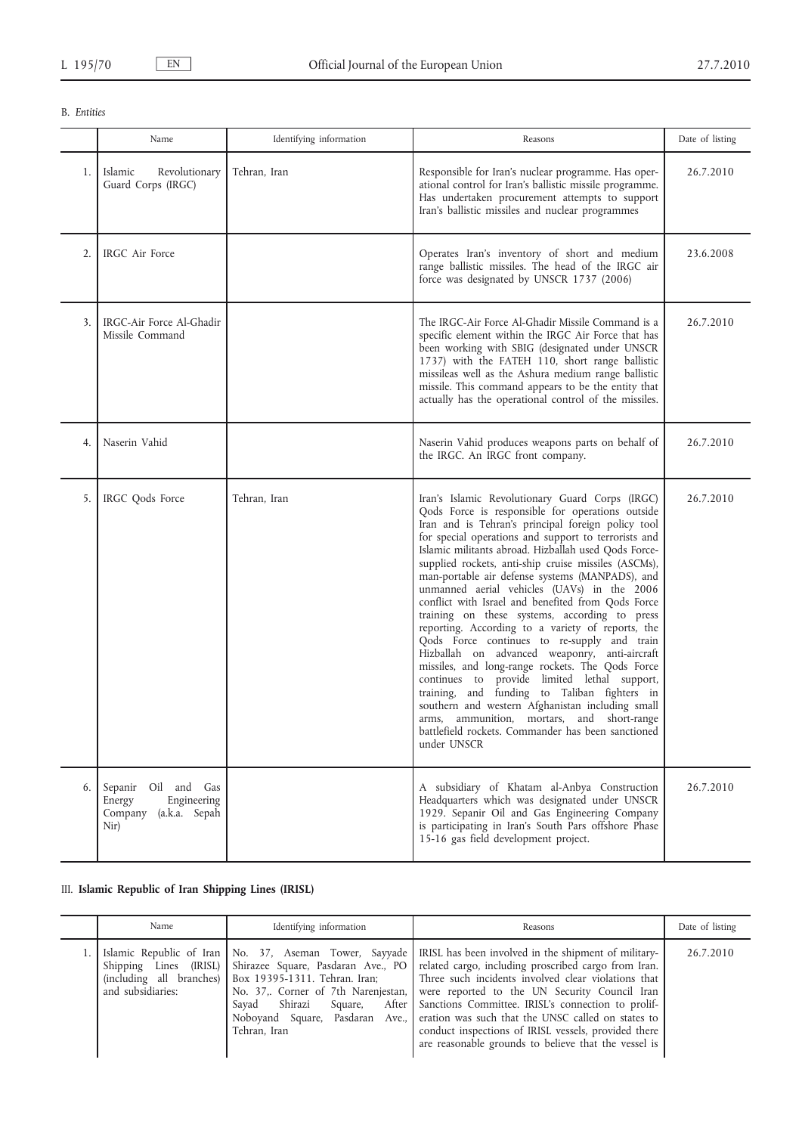# B. *Entities*

|    | Name                                                                             | Identifying information | Reasons                                                                                                                                                                                                                                                                                                                                                                                                                                                                                                                                                                                                                                                                                                                                                                                                                                                                                                                                                                                                                    | Date of listing |
|----|----------------------------------------------------------------------------------|-------------------------|----------------------------------------------------------------------------------------------------------------------------------------------------------------------------------------------------------------------------------------------------------------------------------------------------------------------------------------------------------------------------------------------------------------------------------------------------------------------------------------------------------------------------------------------------------------------------------------------------------------------------------------------------------------------------------------------------------------------------------------------------------------------------------------------------------------------------------------------------------------------------------------------------------------------------------------------------------------------------------------------------------------------------|-----------------|
| 1. | Revolutionary<br>Islamic<br>Guard Corps (IRGC)                                   | Tehran, Iran            | Responsible for Iran's nuclear programme. Has oper-<br>ational control for Iran's ballistic missile programme.<br>Has undertaken procurement attempts to support<br>Iran's ballistic missiles and nuclear programmes                                                                                                                                                                                                                                                                                                                                                                                                                                                                                                                                                                                                                                                                                                                                                                                                       | 26.7.2010       |
| 2. | IRGC Air Force                                                                   |                         | Operates Iran's inventory of short and medium<br>range ballistic missiles. The head of the IRGC air<br>force was designated by UNSCR 1737 (2006)                                                                                                                                                                                                                                                                                                                                                                                                                                                                                                                                                                                                                                                                                                                                                                                                                                                                           | 23.6.2008       |
| 3. | IRGC-Air Force Al-Ghadir<br>Missile Command                                      |                         | The IRGC-Air Force Al-Ghadir Missile Command is a<br>specific element within the IRGC Air Force that has<br>been working with SBIG (designated under UNSCR<br>1737) with the FATEH 110, short range ballistic<br>missileas well as the Ashura medium range ballistic<br>missile. This command appears to be the entity that<br>actually has the operational control of the missiles.                                                                                                                                                                                                                                                                                                                                                                                                                                                                                                                                                                                                                                       | 26.7.2010       |
| 4. | Naserin Vahid                                                                    |                         | Naserin Vahid produces weapons parts on behalf of<br>the IRGC. An IRGC front company.                                                                                                                                                                                                                                                                                                                                                                                                                                                                                                                                                                                                                                                                                                                                                                                                                                                                                                                                      | 26.7.2010       |
| 5. | IRGC Qods Force                                                                  | Tehran, Iran            | Iran's Islamic Revolutionary Guard Corps (IRGC)<br>Qods Force is responsible for operations outside<br>Iran and is Tehran's principal foreign policy tool<br>for special operations and support to terrorists and<br>Islamic militants abroad. Hizballah used Qods Force-<br>supplied rockets, anti-ship cruise missiles (ASCMs),<br>man-portable air defense systems (MANPADS), and<br>unmanned aerial vehicles (UAVs) in the 2006<br>conflict with Israel and benefited from Qods Force<br>training on these systems, according to press<br>reporting. According to a variety of reports, the<br>Qods Force continues to re-supply and train<br>Hizballah on advanced weaponry, anti-aircraft<br>missiles, and long-range rockets. The Qods Force<br>continues to provide limited lethal support,<br>training, and funding to Taliban fighters in<br>southern and western Afghanistan including small<br>arms, ammunition, mortars, and short-range<br>battlefield rockets. Commander has been sanctioned<br>under UNSCR | 26.7.2010       |
| 6. | Sepanir Oil and Gas<br>Energy<br>Engineering<br>Company<br>(a.k.a. Sepah<br>Nir) |                         | A subsidiary of Khatam al-Anbya Construction<br>Headquarters which was designated under UNSCR<br>1929. Sepanir Oil and Gas Engineering Company<br>is participating in Iran's South Pars offshore Phase<br>15-16 gas field development project.                                                                                                                                                                                                                                                                                                                                                                                                                                                                                                                                                                                                                                                                                                                                                                             | 26.7.2010       |

## III. **Islamic Republic of Iran Shipping Lines (IRISL)**

| Name              | Identifying information                                                                                                                                                                                                                                                  | Reasons                                                                                                                                                                                                                                                                                                                                                                                                                                                                                | Date of listing |
|-------------------|--------------------------------------------------------------------------------------------------------------------------------------------------------------------------------------------------------------------------------------------------------------------------|----------------------------------------------------------------------------------------------------------------------------------------------------------------------------------------------------------------------------------------------------------------------------------------------------------------------------------------------------------------------------------------------------------------------------------------------------------------------------------------|-----------------|
| and subsidiaries: | Islamic Republic of Iran   No. 37, Aseman Tower, Sayyade<br>Shipping Lines (IRISL) Shirazee Square, Pasdaran Ave., PO<br>(including all branches)   Box 19395-1311. Tehran. Iran;<br>No. 37. Corner of 7th Narenjestan, I<br>Shirazi<br>Sayad<br>Square,<br>Tehran, Iran | IRISL has been involved in the shipment of military-<br>related cargo, including proscribed cargo from Iran.<br>Three such incidents involved clear violations that<br>were reported to the UN Security Council Iran<br>After Sanctions Committee. IRISL's connection to prolif-<br>Noboyand Square, Pasdaran Ave., eration was such that the UNSC called on states to<br>conduct inspections of IRISL vessels, provided there<br>are reasonable grounds to believe that the vessel is | 26.7.2010       |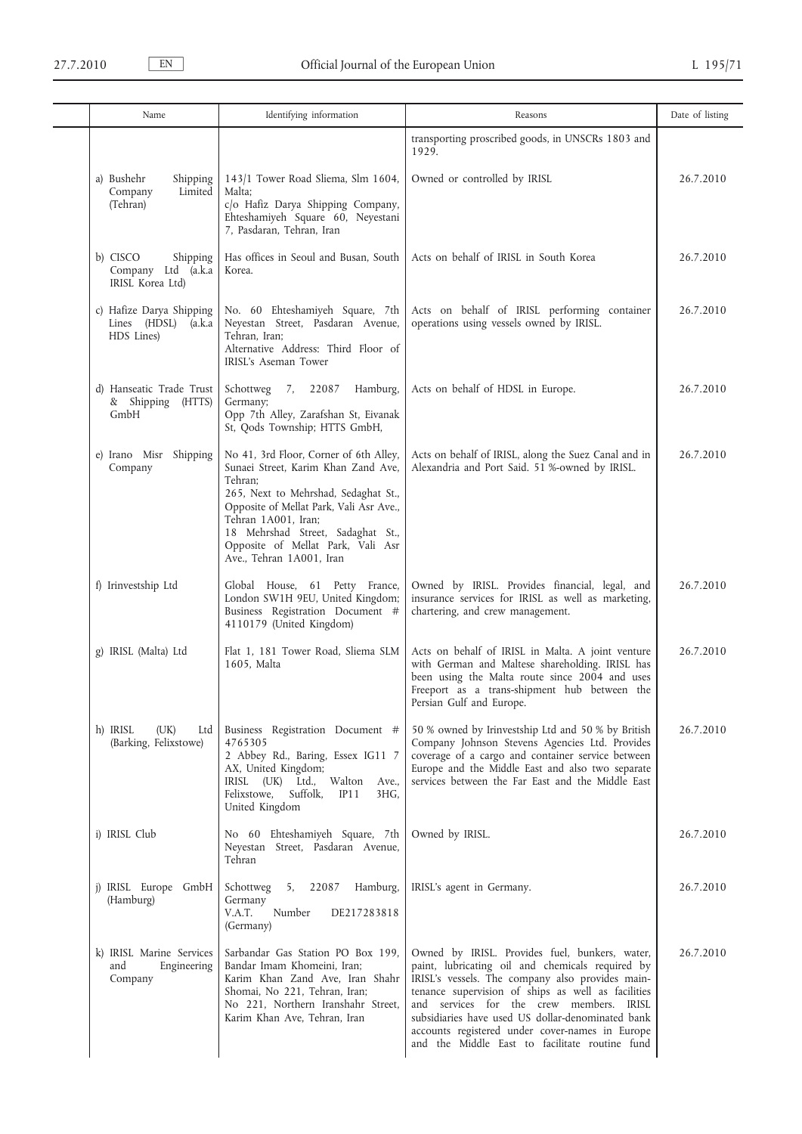| Name                                                           | Identifying information                                                                                                                                                                                                                                                                                  | Reasons                                                                                                                                                                                                                                                                                                                                                                                                            | Date of listing |
|----------------------------------------------------------------|----------------------------------------------------------------------------------------------------------------------------------------------------------------------------------------------------------------------------------------------------------------------------------------------------------|--------------------------------------------------------------------------------------------------------------------------------------------------------------------------------------------------------------------------------------------------------------------------------------------------------------------------------------------------------------------------------------------------------------------|-----------------|
|                                                                |                                                                                                                                                                                                                                                                                                          | transporting proscribed goods, in UNSCRs 1803 and<br>1929.                                                                                                                                                                                                                                                                                                                                                         |                 |
| a) Bushehr<br>Shipping<br>Company<br>Limited<br>(Tehran)       | 143/1 Tower Road Sliema, Slm 1604,<br>Malta;<br>c/o Hafiz Darya Shipping Company,<br>Ehteshamiyeh Square 60, Neyestani<br>7, Pasdaran, Tehran, Iran                                                                                                                                                      | Owned or controlled by IRISL                                                                                                                                                                                                                                                                                                                                                                                       | 26.7.2010       |
| b) CISCO<br>Shipping<br>Company Ltd (a.k.a<br>IRISL Korea Ltd) | Has offices in Seoul and Busan, South<br>Korea.                                                                                                                                                                                                                                                          | Acts on behalf of IRISL in South Korea                                                                                                                                                                                                                                                                                                                                                                             | 26.7.2010       |
| c) Hafize Darya Shipping<br>Lines (HDSL) (a.k.a<br>HDS Lines)  | No. 60 Ehteshamiyeh Square, 7th<br>Neyestan Street, Pasdaran Avenue,<br>Tehran, Iran;<br>Alternative Address: Third Floor of<br>IRISL's Aseman Tower                                                                                                                                                     | Acts on behalf of IRISL performing container<br>operations using vessels owned by IRISL.                                                                                                                                                                                                                                                                                                                           | 26.7.2010       |
| d) Hanseatic Trade Trust<br>& Shipping (HTTS)<br>GmbH          | Schottweg<br>7, 22087<br>Hamburg,<br>Germany;<br>Opp 7th Alley, Zarafshan St, Eivanak<br>St, Qods Township; HTTS GmbH,                                                                                                                                                                                   | Acts on behalf of HDSL in Europe.                                                                                                                                                                                                                                                                                                                                                                                  | 26.7.2010       |
| e) Irano Misr Shipping<br>Company                              | No 41, 3rd Floor, Corner of 6th Alley,<br>Sunaei Street, Karim Khan Zand Ave,<br>Tehran;<br>265, Next to Mehrshad, Sedaghat St.,<br>Opposite of Mellat Park, Vali Asr Ave.,<br>Tehran 1A001, Iran;<br>18 Mehrshad Street, Sadaghat St.,<br>Opposite of Mellat Park, Vali Asr<br>Ave., Tehran 1A001, Iran | Acts on behalf of IRISL, along the Suez Canal and in<br>Alexandria and Port Said. 51 %-owned by IRISL.                                                                                                                                                                                                                                                                                                             | 26.7.2010       |
| f) Irinvestship Ltd                                            | Global House, 61 Petty France,<br>London SW1H 9EU, United Kingdom;<br>Business Registration Document #<br>4110179 (United Kingdom)                                                                                                                                                                       | Owned by IRISL. Provides financial, legal, and<br>insurance services for IRISL as well as marketing,<br>chartering, and crew management.                                                                                                                                                                                                                                                                           | 26.7.2010       |
| g) IRISL (Malta) Ltd                                           | Flat 1, 181 Tower Road, Sliema SLM<br>1605, Malta                                                                                                                                                                                                                                                        | Acts on behalf of IRISL in Malta. A joint venture<br>with German and Maltese shareholding. IRISL has<br>been using the Malta route since 2004 and uses<br>Freeport as a trans-shipment hub between the<br>Persian Gulf and Europe.                                                                                                                                                                                 | 26.7.2010       |
| h) IRISL<br>(UK)<br>Ltd<br>(Barking, Felixstowe)               | Business Registration Document #<br>4765305<br>2 Abbey Rd., Baring, Essex IG11 7<br>AX, United Kingdom;<br>IRISL (UK) Ltd., Walton<br>Ave.,<br>Suffolk,<br>Felixstowe,<br>IP11<br>3HG,<br>United Kingdom                                                                                                 | 50 % owned by Irinvestship Ltd and 50 % by British<br>Company Johnson Stevens Agencies Ltd. Provides<br>coverage of a cargo and container service between<br>Europe and the Middle East and also two separate<br>services between the Far East and the Middle East                                                                                                                                                 | 26.7.2010       |
| i) IRISL Club                                                  | No 60 Ehteshamiyeh Square, 7th<br>Neyestan Street, Pasdaran Avenue,<br>Tehran                                                                                                                                                                                                                            | Owned by IRISL.                                                                                                                                                                                                                                                                                                                                                                                                    | 26.7.2010       |
| j) IRISL Europe GmbH<br>(Hamburg)                              | Schottweg<br>5,<br>22087<br>Hamburg,<br>Germany<br>Number<br>DE217283818<br>V.A.T.<br>(Germany)                                                                                                                                                                                                          | IRISL's agent in Germany.                                                                                                                                                                                                                                                                                                                                                                                          | 26.7.2010       |
| k) IRISL Marine Services<br>and<br>Engineering<br>Company      | Sarbandar Gas Station PO Box 199,<br>Bandar Imam Khomeini, Iran;<br>Karim Khan Zand Ave, Iran Shahr<br>Shomai, No 221, Tehran, Iran;<br>No 221, Northern Iranshahr Street,<br>Karim Khan Ave, Tehran, Iran                                                                                               | Owned by IRISL. Provides fuel, bunkers, water,<br>paint, lubricating oil and chemicals required by<br>IRISL's vessels. The company also provides main-<br>tenance supervision of ships as well as facilities<br>and services for the crew members. IRISL<br>subsidiaries have used US dollar-denominated bank<br>accounts registered under cover-names in Europe<br>and the Middle East to facilitate routine fund | 26.7.2010       |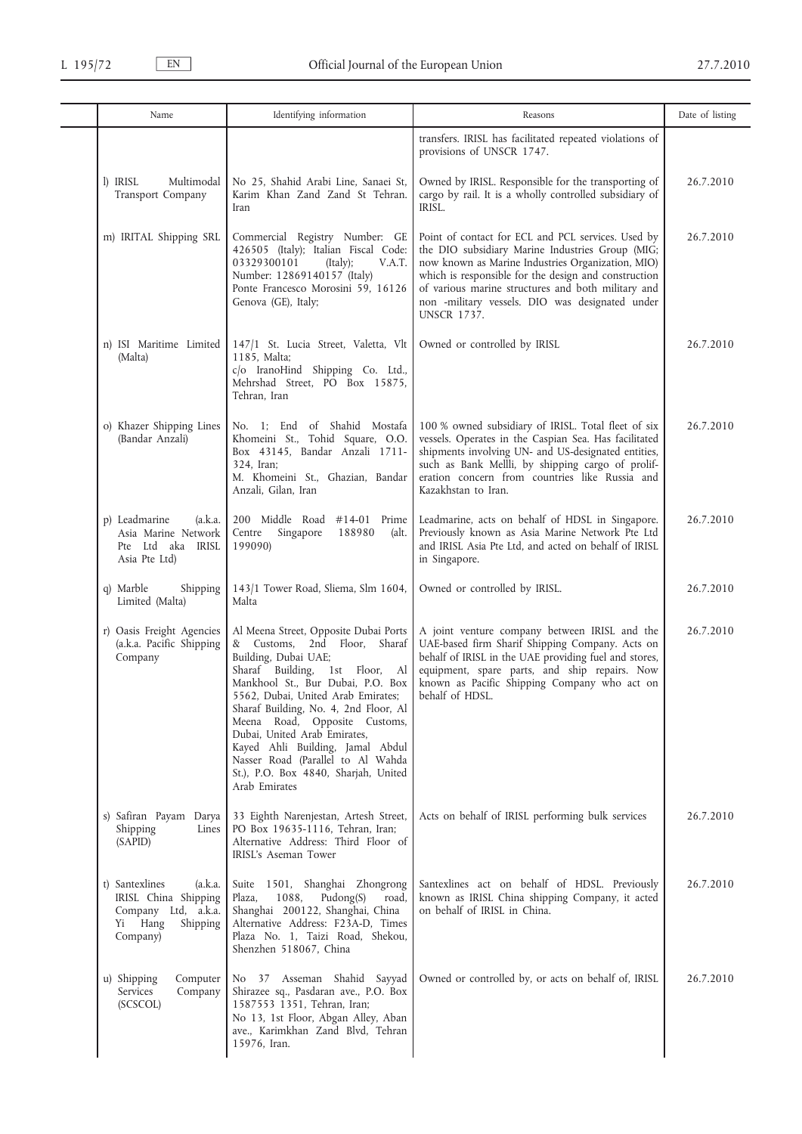| Name                                                                                                        | Identifying information                                                                                                                                                                                                                                                                                                                                                                                                                                   | Reasons                                                                                                                                                                                                                                                                                                                                            | Date of listing |
|-------------------------------------------------------------------------------------------------------------|-----------------------------------------------------------------------------------------------------------------------------------------------------------------------------------------------------------------------------------------------------------------------------------------------------------------------------------------------------------------------------------------------------------------------------------------------------------|----------------------------------------------------------------------------------------------------------------------------------------------------------------------------------------------------------------------------------------------------------------------------------------------------------------------------------------------------|-----------------|
|                                                                                                             |                                                                                                                                                                                                                                                                                                                                                                                                                                                           |                                                                                                                                                                                                                                                                                                                                                    |                 |
|                                                                                                             |                                                                                                                                                                                                                                                                                                                                                                                                                                                           | transfers. IRISL has facilitated repeated violations of<br>provisions of UNSCR 1747.                                                                                                                                                                                                                                                               |                 |
| l) IRISL<br>Multimodal<br>Transport Company                                                                 | No 25, Shahid Arabi Line, Sanaei St,<br>Karim Khan Zand Zand St Tehran.<br>Iran                                                                                                                                                                                                                                                                                                                                                                           | Owned by IRISL. Responsible for the transporting of<br>cargo by rail. It is a wholly controlled subsidiary of<br>IRISL.                                                                                                                                                                                                                            | 26.7.2010       |
| m) IRITAL Shipping SRL                                                                                      | Commercial Registry Number: GE<br>426505 (Italy); Italian Fiscal Code:<br>03329300101<br>(Italv):<br>V.A.T.<br>Number: 12869140157 (Italy)<br>Ponte Francesco Morosini 59, 16126<br>Genova (GE), Italy;                                                                                                                                                                                                                                                   | Point of contact for ECL and PCL services. Used by<br>the DIO subsidiary Marine Industries Group (MIG;<br>now known as Marine Industries Organization, MIO)<br>which is responsible for the design and construction<br>of various marine structures and both military and<br>non -military vessels. DIO was designated under<br><b>UNSCR 1737.</b> | 26.7.2010       |
| n) ISI Maritime Limited<br>(Malta)                                                                          | 147/1 St. Lucia Street, Valetta, Vlt<br>1185, Malta;<br>c/o IranoHind Shipping Co. Ltd.,<br>Mehrshad Street, PO Box 15875,<br>Tehran, Iran                                                                                                                                                                                                                                                                                                                | Owned or controlled by IRISL                                                                                                                                                                                                                                                                                                                       | 26.7.2010       |
| o) Khazer Shipping Lines<br>(Bandar Anzali)                                                                 | No. 1; End of Shahid Mostafa<br>Khomeini St., Tohid Square, O.O.<br>Box 43145, Bandar Anzali 1711-<br>324, Iran;<br>M. Khomeini St., Ghazian, Bandar<br>Anzali, Gilan, Iran                                                                                                                                                                                                                                                                               | 100 % owned subsidiary of IRISL. Total fleet of six<br>vessels. Operates in the Caspian Sea. Has facilitated<br>shipments involving UN- and US-designated entities,<br>such as Bank Mellli, by shipping cargo of prolif-<br>eration concern from countries like Russia and<br>Kazakhstan to Iran.                                                  | 26.7.2010       |
| p) Leadmarine<br>(a.k.a.<br>Asia Marine Network<br>Pte Ltd aka IRISL<br>Asia Pte Ltd)                       | 200 Middle Road #14-01<br>Prime<br>Centre<br>Singapore<br>188980<br>(alt.<br>199090)                                                                                                                                                                                                                                                                                                                                                                      | Leadmarine, acts on behalf of HDSL in Singapore.<br>Previously known as Asia Marine Network Pte Ltd<br>and IRISL Asia Pte Ltd, and acted on behalf of IRISL<br>in Singapore.                                                                                                                                                                       | 26.7.2010       |
| q) Marble<br>Shipping<br>Limited (Malta)                                                                    | 143/1 Tower Road, Sliema, Slm 1604,<br>Malta                                                                                                                                                                                                                                                                                                                                                                                                              | Owned or controlled by IRISL.                                                                                                                                                                                                                                                                                                                      | 26.7.2010       |
| r) Oasis Freight Agencies<br>(a.k.a. Pacific Shipping<br>Company                                            | Al Meena Street, Opposite Dubai Ports<br>Customs, 2nd Floor, Sharaf<br>&<br>Building, Dubai UAE;<br>Sharaf Building, 1st Floor, Al<br>Mankhool St., Bur Dubai, P.O. Box<br>5562, Dubai, United Arab Emirates;<br>Sharaf Building, No. 4, 2nd Floor, Al<br>Meena Road, Opposite Customs,<br>Dubai, United Arab Emirates,<br>Kayed Ahli Building, Jamal Abdul<br>Nasser Road (Parallel to Al Wahda<br>St.), P.O. Box 4840, Sharjah, United<br>Arab Emirates | A joint venture company between IRISL and the<br>UAE-based firm Sharif Shipping Company. Acts on<br>behalf of IRISL in the UAE providing fuel and stores,<br>equipment, spare parts, and ship repairs. Now<br>known as Pacific Shipping Company who act on<br>behalf of HDSL.                                                                      | 26.7.2010       |
| s) Safiran Payam Darya<br>Shipping<br>Lines<br>(SAPID)                                                      | 33 Eighth Narenjestan, Artesh Street,<br>PO Box 19635-1116, Tehran, Iran;<br>Alternative Address: Third Floor of<br>IRISL's Aseman Tower                                                                                                                                                                                                                                                                                                                  | Acts on behalf of IRISL performing bulk services                                                                                                                                                                                                                                                                                                   | 26.7.2010       |
| t) Santexlines<br>(a.k.a.<br>IRISL China Shipping<br>Company Ltd, a.k.a.<br>Yi Hang<br>Shipping<br>Company) | Suite 1501, Shanghai Zhongrong<br>Plaza,<br>1088,<br>Pudong $(S)$<br>road,<br>Shanghai 200122, Shanghai, China<br>Alternative Address: F23A-D, Times<br>Plaza No. 1, Taizi Road, Shekou,<br>Shenzhen 518067, China                                                                                                                                                                                                                                        | Santexlines act on behalf of HDSL. Previously<br>known as IRISL China shipping Company, it acted<br>on behalf of IRISL in China.                                                                                                                                                                                                                   | 26.7.2010       |
| Computer<br>u) Shipping<br>Services<br>Company<br>(SCSCOL)                                                  | No 37 Asseman Shahid Sayyad<br>Shirazee sq., Pasdaran ave., P.O. Box<br>1587553 1351, Tehran, Iran;<br>No 13, 1st Floor, Abgan Alley, Aban<br>ave., Karimkhan Zand Blvd, Tehran<br>15976, Iran.                                                                                                                                                                                                                                                           | Owned or controlled by, or acts on behalf of, IRISL                                                                                                                                                                                                                                                                                                | 26.7.2010       |